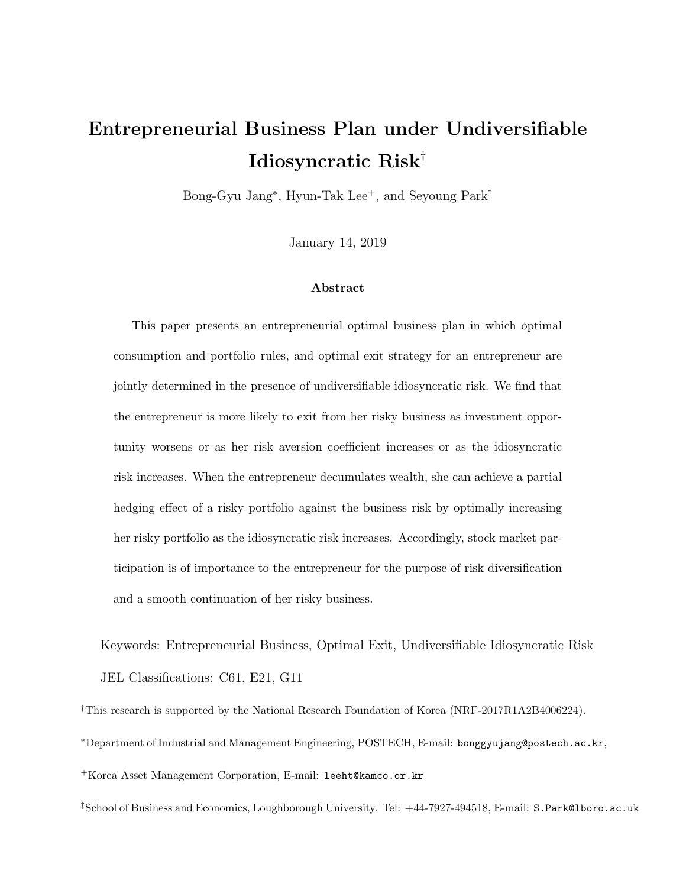# Entrepreneurial Business Plan under Undiversifiable Idiosyncratic Risk†

Bong-Gyu Jang<sup>\*</sup>, Hyun-Tak Lee<sup>+</sup>, and Seyoung Park<sup>‡</sup>

January 14, 2019

#### Abstract

This paper presents an entrepreneurial optimal business plan in which optimal consumption and portfolio rules, and optimal exit strategy for an entrepreneur are jointly determined in the presence of undiversifiable idiosyncratic risk. We find that the entrepreneur is more likely to exit from her risky business as investment opportunity worsens or as her risk aversion coefficient increases or as the idiosyncratic risk increases. When the entrepreneur decumulates wealth, she can achieve a partial hedging effect of a risky portfolio against the business risk by optimally increasing her risky portfolio as the idiosyncratic risk increases. Accordingly, stock market participation is of importance to the entrepreneur for the purpose of risk diversification and a smooth continuation of her risky business.

Keywords: Entrepreneurial Business, Optimal Exit, Undiversifiable Idiosyncratic Risk JEL Classifications: C61, E21, G11

<sup>†</sup>This research is supported by the National Research Foundation of Korea (NRF-2017R1A2B4006224).

<sup>∗</sup>Department of Industrial and Management Engineering, POSTECH, E-mail: bonggyujang@postech.ac.kr,

<sup>+</sup>Korea Asset Management Corporation, E-mail: leeht@kamco.or.kr

‡School of Business and Economics, Loughborough University. Tel: +44-7927-494518, E-mail: S.Park@lboro.ac.uk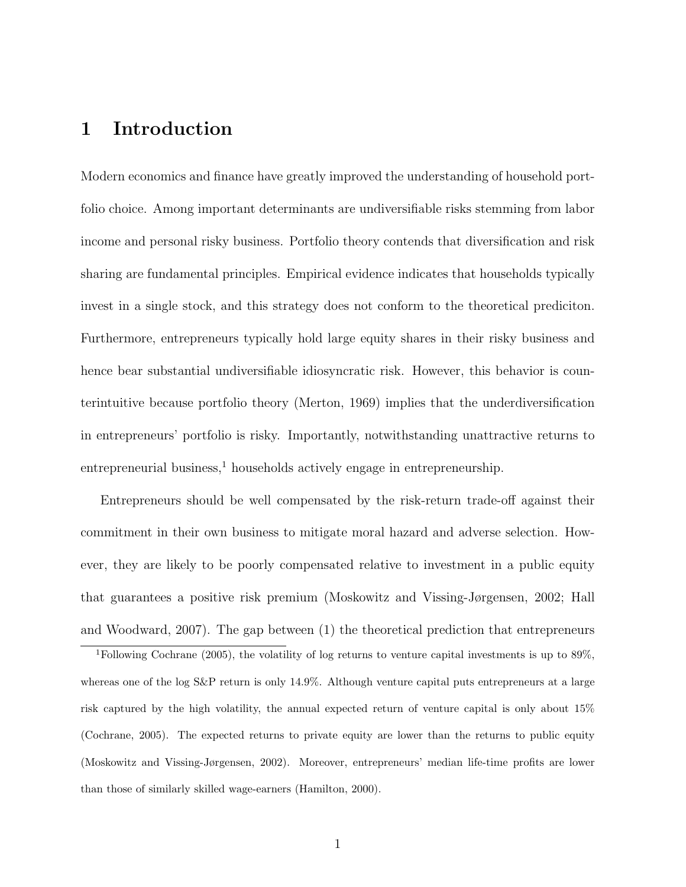## 1 Introduction

Modern economics and finance have greatly improved the understanding of household portfolio choice. Among important determinants are undiversifiable risks stemming from labor income and personal risky business. Portfolio theory contends that diversification and risk sharing are fundamental principles. Empirical evidence indicates that households typically invest in a single stock, and this strategy does not conform to the theoretical prediciton. Furthermore, entrepreneurs typically hold large equity shares in their risky business and hence bear substantial undiversifiable idiosyncratic risk. However, this behavior is counterintuitive because portfolio theory (Merton, 1969) implies that the underdiversification in entrepreneurs' portfolio is risky. Importantly, notwithstanding unattractive returns to  $entrepreneural business<sup>1</sup> households actively engage in entrepreneurship.$ 

Entrepreneurs should be well compensated by the risk-return trade-off against their commitment in their own business to mitigate moral hazard and adverse selection. However, they are likely to be poorly compensated relative to investment in a public equity that guarantees a positive risk premium (Moskowitz and Vissing-Jørgensen, 2002; Hall and Woodward, 2007). The gap between (1) the theoretical prediction that entrepreneurs

<sup>1</sup>Following Cochrane (2005), the volatility of log returns to venture capital investments is up to 89%, whereas one of the log S&P return is only 14.9%. Although venture capital puts entrepreneurs at a large risk captured by the high volatility, the annual expected return of venture capital is only about 15% (Cochrane, 2005). The expected returns to private equity are lower than the returns to public equity (Moskowitz and Vissing-Jørgensen, 2002). Moreover, entrepreneurs' median life-time profits are lower than those of similarly skilled wage-earners (Hamilton, 2000).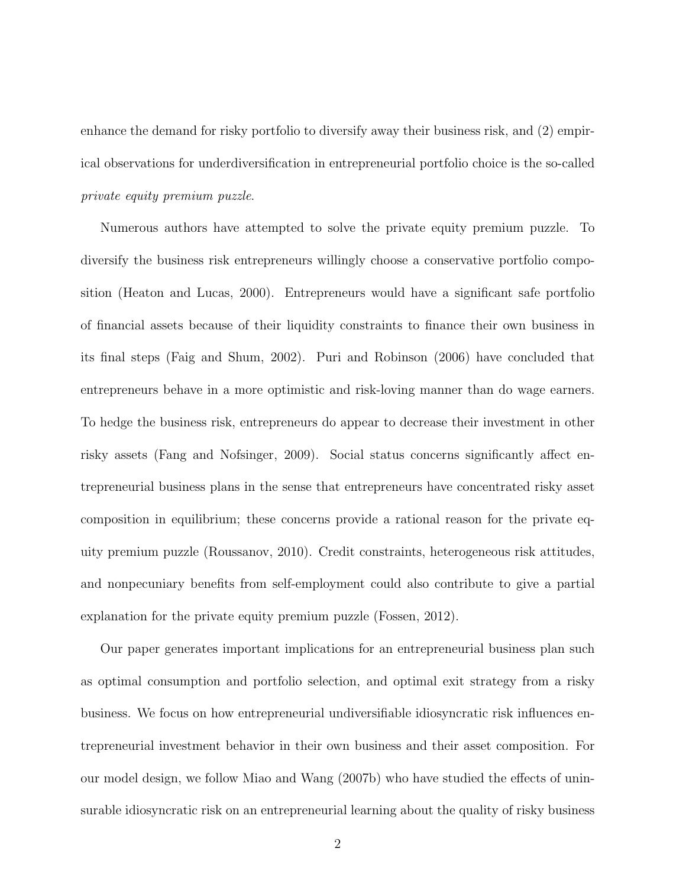enhance the demand for risky portfolio to diversify away their business risk, and (2) empirical observations for underdiversification in entrepreneurial portfolio choice is the so-called private equity premium puzzle.

Numerous authors have attempted to solve the private equity premium puzzle. To diversify the business risk entrepreneurs willingly choose a conservative portfolio composition (Heaton and Lucas, 2000). Entrepreneurs would have a significant safe portfolio of financial assets because of their liquidity constraints to finance their own business in its final steps (Faig and Shum, 2002). Puri and Robinson (2006) have concluded that entrepreneurs behave in a more optimistic and risk-loving manner than do wage earners. To hedge the business risk, entrepreneurs do appear to decrease their investment in other risky assets (Fang and Nofsinger, 2009). Social status concerns significantly affect entrepreneurial business plans in the sense that entrepreneurs have concentrated risky asset composition in equilibrium; these concerns provide a rational reason for the private equity premium puzzle (Roussanov, 2010). Credit constraints, heterogeneous risk attitudes, and nonpecuniary benefits from self-employment could also contribute to give a partial explanation for the private equity premium puzzle (Fossen, 2012).

Our paper generates important implications for an entrepreneurial business plan such as optimal consumption and portfolio selection, and optimal exit strategy from a risky business. We focus on how entrepreneurial undiversifiable idiosyncratic risk influences entrepreneurial investment behavior in their own business and their asset composition. For our model design, we follow Miao and Wang (2007b) who have studied the effects of uninsurable idiosyncratic risk on an entrepreneurial learning about the quality of risky business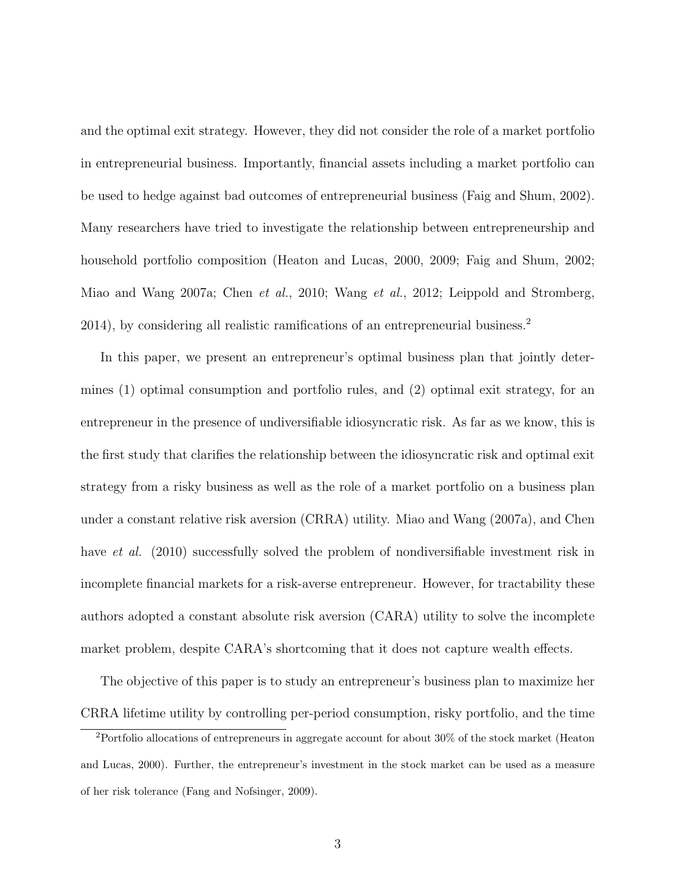and the optimal exit strategy. However, they did not consider the role of a market portfolio in entrepreneurial business. Importantly, financial assets including a market portfolio can be used to hedge against bad outcomes of entrepreneurial business (Faig and Shum, 2002). Many researchers have tried to investigate the relationship between entrepreneurship and household portfolio composition (Heaton and Lucas, 2000, 2009; Faig and Shum, 2002; Miao and Wang 2007a; Chen et al., 2010; Wang et al., 2012; Leippold and Stromberg, 2014), by considering all realistic ramifications of an entrepreneurial business.<sup>2</sup>

In this paper, we present an entrepreneur's optimal business plan that jointly determines (1) optimal consumption and portfolio rules, and (2) optimal exit strategy, for an entrepreneur in the presence of undiversifiable idiosyncratic risk. As far as we know, this is the first study that clarifies the relationship between the idiosyncratic risk and optimal exit strategy from a risky business as well as the role of a market portfolio on a business plan under a constant relative risk aversion (CRRA) utility. Miao and Wang (2007a), and Chen have *et al.* (2010) successfully solved the problem of nondiversifiable investment risk in incomplete financial markets for a risk-averse entrepreneur. However, for tractability these authors adopted a constant absolute risk aversion (CARA) utility to solve the incomplete market problem, despite CARA's shortcoming that it does not capture wealth effects.

The objective of this paper is to study an entrepreneur's business plan to maximize her CRRA lifetime utility by controlling per-period consumption, risky portfolio, and the time

<sup>2</sup>Portfolio allocations of entrepreneurs in aggregate account for about 30% of the stock market (Heaton and Lucas, 2000). Further, the entrepreneur's investment in the stock market can be used as a measure of her risk tolerance (Fang and Nofsinger, 2009).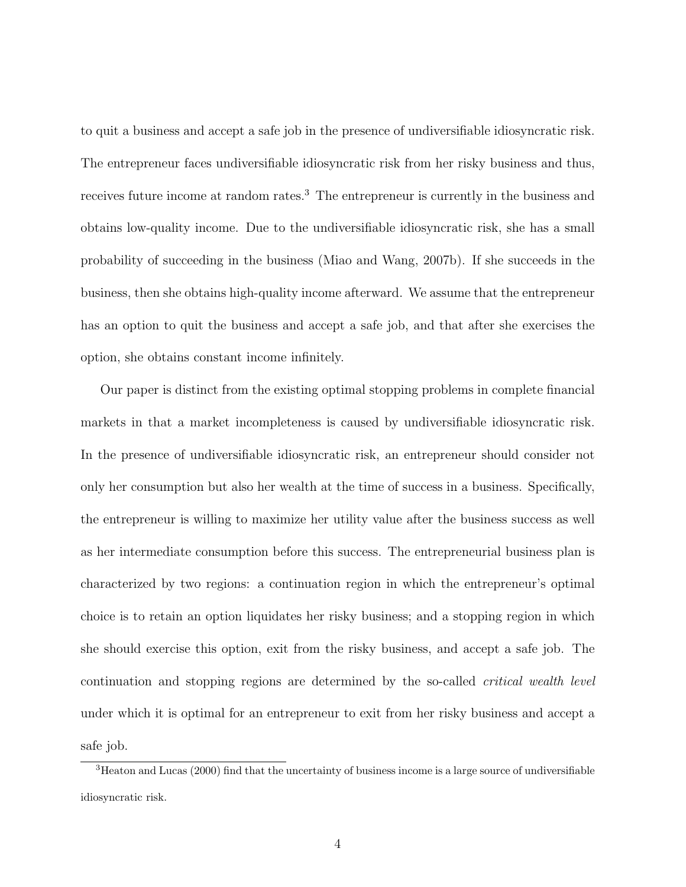to quit a business and accept a safe job in the presence of undiversifiable idiosyncratic risk. The entrepreneur faces undiversifiable idiosyncratic risk from her risky business and thus, receives future income at random rates.<sup>3</sup> The entrepreneur is currently in the business and obtains low-quality income. Due to the undiversifiable idiosyncratic risk, she has a small probability of succeeding in the business (Miao and Wang, 2007b). If she succeeds in the business, then she obtains high-quality income afterward. We assume that the entrepreneur has an option to quit the business and accept a safe job, and that after she exercises the option, she obtains constant income infinitely.

Our paper is distinct from the existing optimal stopping problems in complete financial markets in that a market incompleteness is caused by undiversifiable idiosyncratic risk. In the presence of undiversifiable idiosyncratic risk, an entrepreneur should consider not only her consumption but also her wealth at the time of success in a business. Specifically, the entrepreneur is willing to maximize her utility value after the business success as well as her intermediate consumption before this success. The entrepreneurial business plan is characterized by two regions: a continuation region in which the entrepreneur's optimal choice is to retain an option liquidates her risky business; and a stopping region in which she should exercise this option, exit from the risky business, and accept a safe job. The continuation and stopping regions are determined by the so-called critical wealth level under which it is optimal for an entrepreneur to exit from her risky business and accept a safe job.

<sup>3</sup>Heaton and Lucas (2000) find that the uncertainty of business income is a large source of undiversifiable idiosyncratic risk.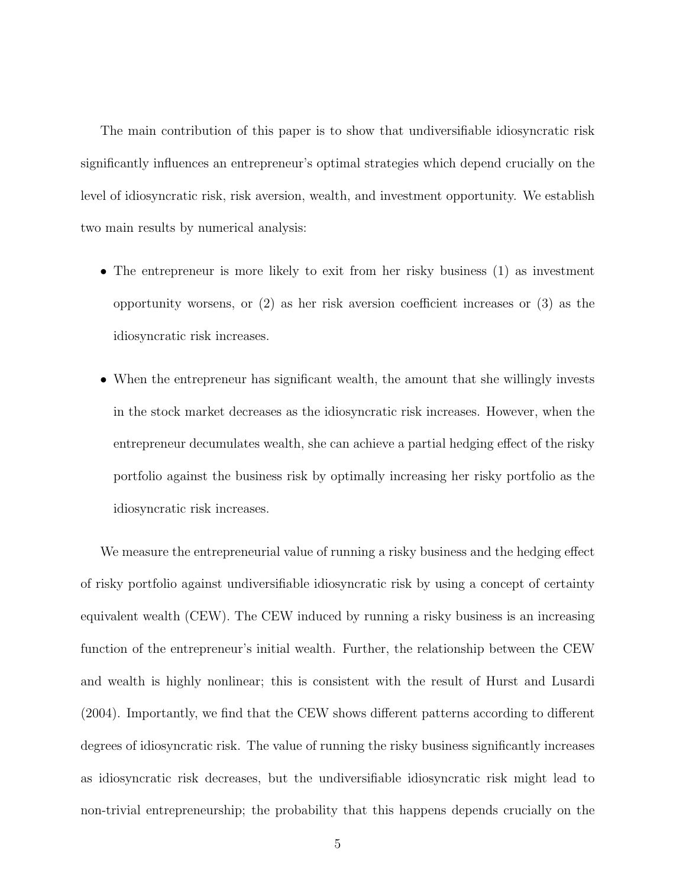The main contribution of this paper is to show that undiversifiable idiosyncratic risk significantly influences an entrepreneur's optimal strategies which depend crucially on the level of idiosyncratic risk, risk aversion, wealth, and investment opportunity. We establish two main results by numerical analysis:

- The entrepreneur is more likely to exit from her risky business (1) as investment opportunity worsens, or (2) as her risk aversion coefficient increases or (3) as the idiosyncratic risk increases.
- When the entrepreneur has significant wealth, the amount that she willingly invests in the stock market decreases as the idiosyncratic risk increases. However, when the entrepreneur decumulates wealth, she can achieve a partial hedging effect of the risky portfolio against the business risk by optimally increasing her risky portfolio as the idiosyncratic risk increases.

We measure the entrepreneurial value of running a risky business and the hedging effect of risky portfolio against undiversifiable idiosyncratic risk by using a concept of certainty equivalent wealth (CEW). The CEW induced by running a risky business is an increasing function of the entrepreneur's initial wealth. Further, the relationship between the CEW and wealth is highly nonlinear; this is consistent with the result of Hurst and Lusardi (2004). Importantly, we find that the CEW shows different patterns according to different degrees of idiosyncratic risk. The value of running the risky business significantly increases as idiosyncratic risk decreases, but the undiversifiable idiosyncratic risk might lead to non-trivial entrepreneurship; the probability that this happens depends crucially on the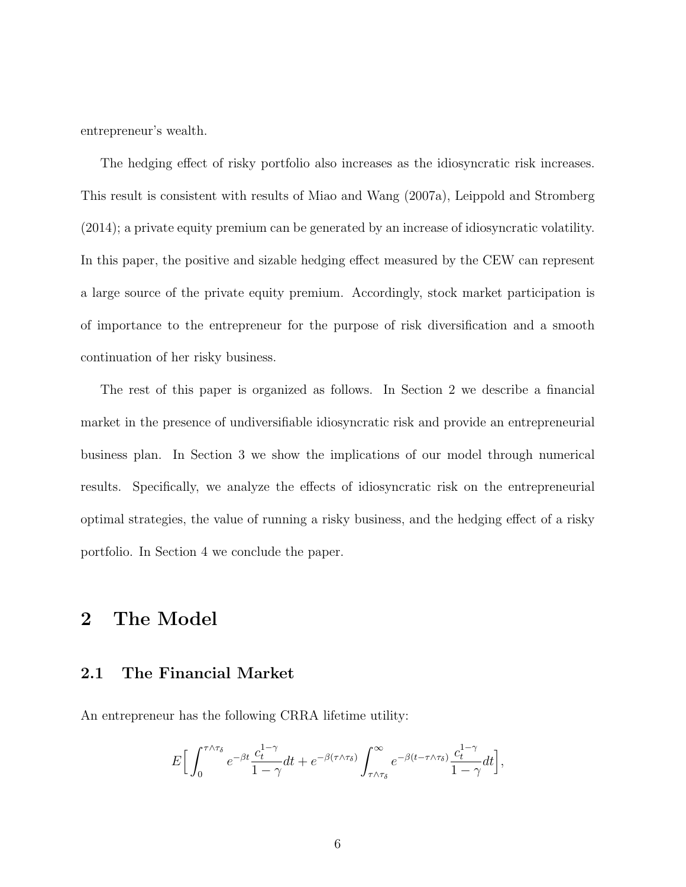entrepreneur's wealth.

The hedging effect of risky portfolio also increases as the idiosyncratic risk increases. This result is consistent with results of Miao and Wang (2007a), Leippold and Stromberg (2014); a private equity premium can be generated by an increase of idiosyncratic volatility. In this paper, the positive and sizable hedging effect measured by the CEW can represent a large source of the private equity premium. Accordingly, stock market participation is of importance to the entrepreneur for the purpose of risk diversification and a smooth continuation of her risky business.

The rest of this paper is organized as follows. In Section 2 we describe a financial market in the presence of undiversifiable idiosyncratic risk and provide an entrepreneurial business plan. In Section 3 we show the implications of our model through numerical results. Specifically, we analyze the effects of idiosyncratic risk on the entrepreneurial optimal strategies, the value of running a risky business, and the hedging effect of a risky portfolio. In Section 4 we conclude the paper.

## 2 The Model

## 2.1 The Financial Market

An entrepreneur has the following CRRA lifetime utility:

$$
E\Big[\int_0^{\tau\wedge\tau_\delta}e^{-\beta t}\frac{c_t^{1-\gamma}}{1-\gamma}dt+e^{-\beta(\tau\wedge\tau_\delta)}\int_{\tau\wedge\tau_\delta}^\infty e^{-\beta(t-\tau\wedge\tau_\delta)}\frac{c_t^{1-\gamma}}{1-\gamma}dt\Big],
$$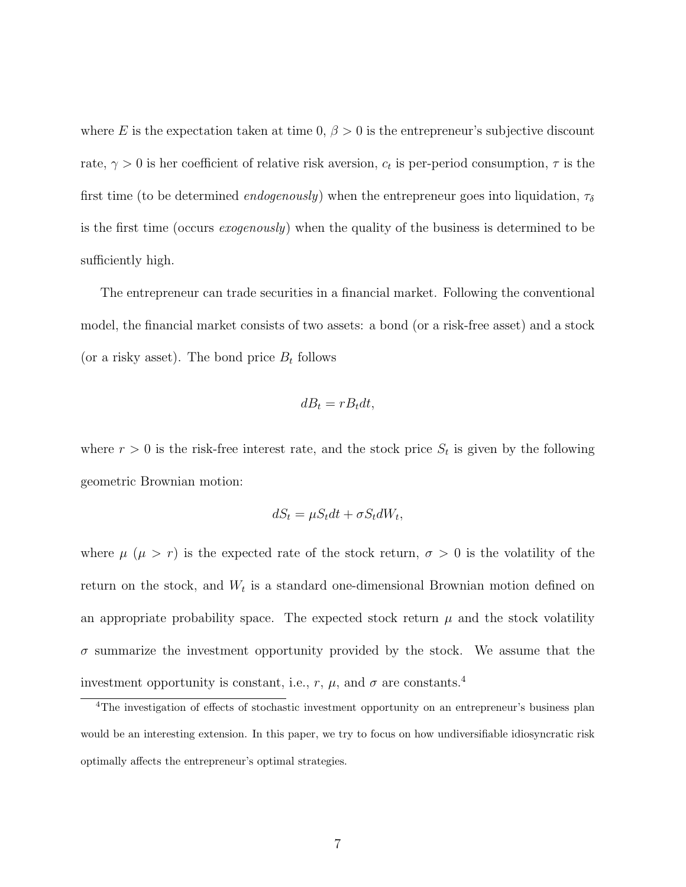where E is the expectation taken at time  $0, \beta > 0$  is the entrepreneur's subjective discount rate,  $\gamma > 0$  is her coefficient of relative risk aversion,  $c_t$  is per-period consumption,  $\tau$  is the first time (to be determined *endogenously*) when the entrepreneur goes into liquidation,  $\tau_{\delta}$ is the first time (occurs exogenously) when the quality of the business is determined to be sufficiently high.

The entrepreneur can trade securities in a financial market. Following the conventional model, the financial market consists of two assets: a bond (or a risk-free asset) and a stock (or a risky asset). The bond price  $B_t$  follows

$$
dB_t = rB_t dt,
$$

where  $r > 0$  is the risk-free interest rate, and the stock price  $S_t$  is given by the following geometric Brownian motion:

$$
dS_t = \mu S_t dt + \sigma S_t dW_t,
$$

where  $\mu$  ( $\mu > r$ ) is the expected rate of the stock return,  $\sigma > 0$  is the volatility of the return on the stock, and  $W_t$  is a standard one-dimensional Brownian motion defined on an appropriate probability space. The expected stock return  $\mu$  and the stock volatility  $\sigma$  summarize the investment opportunity provided by the stock. We assume that the investment opportunity is constant, i.e.,  $r$ ,  $\mu$ , and  $\sigma$  are constants.<sup>4</sup>

<sup>&</sup>lt;sup>4</sup>The investigation of effects of stochastic investment opportunity on an entrepreneur's business plan would be an interesting extension. In this paper, we try to focus on how undiversifiable idiosyncratic risk optimally affects the entrepreneur's optimal strategies.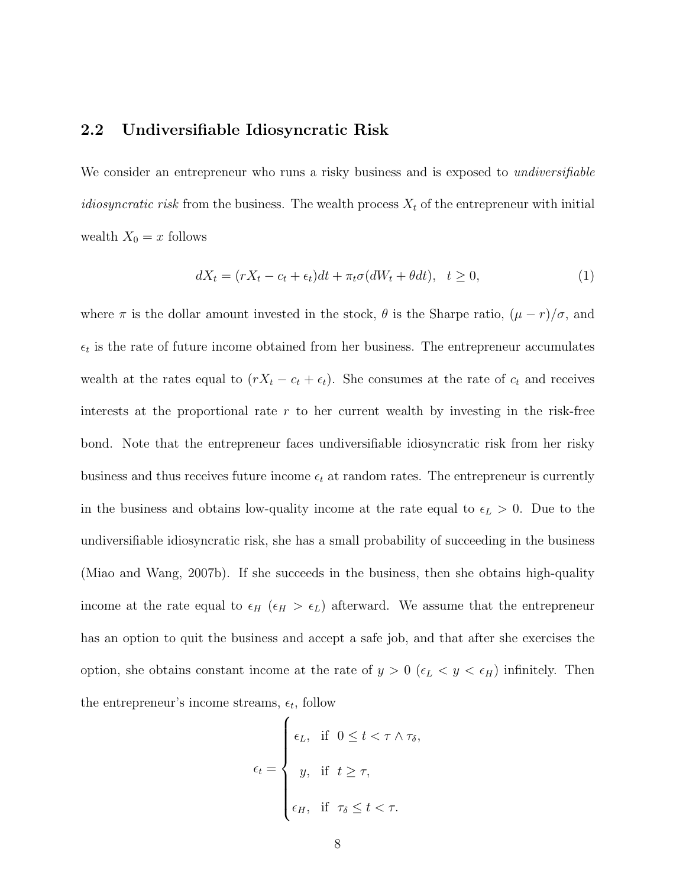## 2.2 Undiversifiable Idiosyncratic Risk

We consider an entrepreneur who runs a risky business and is exposed to *undiversifiable* idiosyncratic risk from the business. The wealth process  $X_t$  of the entrepreneur with initial wealth  $X_0 = x$  follows

$$
dX_t = (rX_t - c_t + \epsilon_t)dt + \pi_t \sigma(dW_t + \theta dt), \quad t \ge 0,
$$
\n<sup>(1)</sup>

where  $\pi$  is the dollar amount invested in the stock,  $\theta$  is the Sharpe ratio,  $(\mu - r)/\sigma$ , and  $\epsilon_t$  is the rate of future income obtained from her business. The entrepreneur accumulates wealth at the rates equal to  $(rX_t - c_t + \epsilon_t)$ . She consumes at the rate of  $c_t$  and receives interests at the proportional rate  $r$  to her current wealth by investing in the risk-free bond. Note that the entrepreneur faces undiversifiable idiosyncratic risk from her risky business and thus receives future income  $\epsilon_t$  at random rates. The entrepreneur is currently in the business and obtains low-quality income at the rate equal to  $\epsilon_L > 0$ . Due to the undiversifiable idiosyncratic risk, she has a small probability of succeeding in the business (Miao and Wang, 2007b). If she succeeds in the business, then she obtains high-quality income at the rate equal to  $\epsilon_H$  ( $\epsilon_H > \epsilon_L$ ) afterward. We assume that the entrepreneur has an option to quit the business and accept a safe job, and that after she exercises the option, she obtains constant income at the rate of  $y > 0$  ( $\epsilon_L < y < \epsilon_H$ ) infinitely. Then the entrepreneur's income streams,  $\epsilon_t$ , follow

$$
\epsilon_t = \begin{cases} \epsilon_L, & \text{if } 0 \leq t < \tau \wedge \tau_\delta, \\ y, & \text{if } t \geq \tau, \\ \epsilon_H, & \text{if } \tau_\delta \leq t < \tau. \end{cases}
$$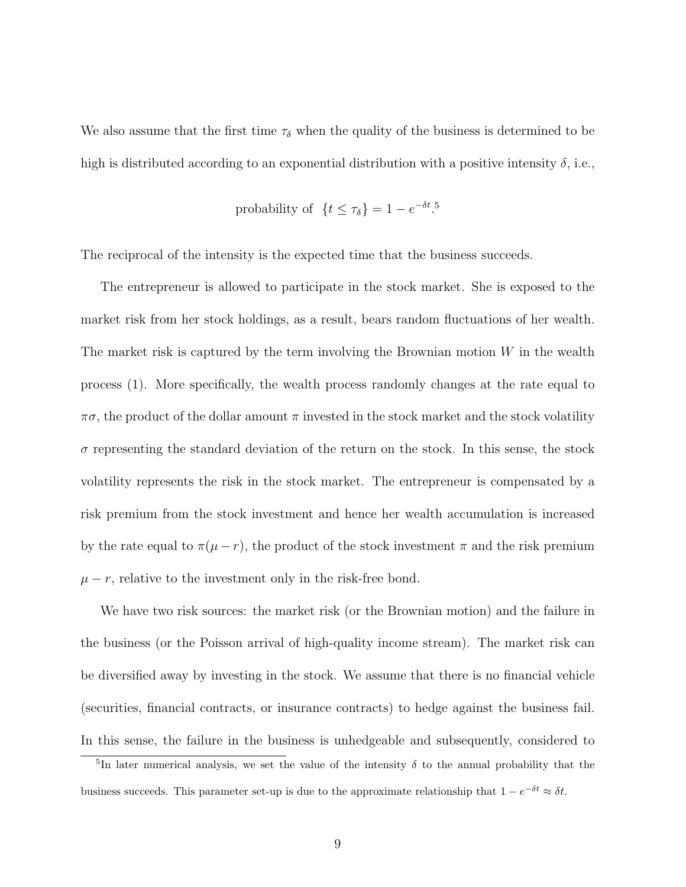We also assume that the first time  $\tau_{\delta}$  when the quality of the business is determined to be high is distributed according to an exponential distribution with a positive intensity  $\delta$ , i.e.,

probability of 
$$
{t \leq \tau_{\delta}} = 1 - e^{-\delta t}.
$$
<sup>5</sup>

The reciprocal of the intensity is the expected time that the business succeeds.

The entrepreneur is allowed to participate in the stock market. She is exposed to the market risk from her stock holdings, as a result, bears random fluctuations of her wealth. The market risk is captured by the term involving the Brownian motion  $W$  in the wealth process (1). More specifically, the wealth process randomly changes at the rate equal to  $\pi\sigma$ , the product of the dollar amount  $\pi$  invested in the stock market and the stock volatility  $\sigma$  representing the standard deviation of the return on the stock. In this sense, the stock volatility represents the risk in the stock market. The entrepreneur is compensated by a risk premium from the stock investment and hence her wealth accumulation is increased by the rate equal to  $\pi(\mu - r)$ , the product of the stock investment  $\pi$  and the risk premium  $\mu - r$ , relative to the investment only in the risk-free bond.

We have two risk sources: the market risk (or the Brownian motion) and the failure in the business (or the Poisson arrival of high-quality income stream). The market risk can be diversified away by investing in the stock. We assume that there is no financial vehicle (securities, financial contracts, or insurance contracts) to hedge against the business fail. In this sense, the failure in the business is unhedgeable and subsequently, considered to

<sup>&</sup>lt;sup>5</sup>In later numerical analysis, we set the value of the intensity  $\delta$  to the annual probability that the business succeeds. This parameter set-up is due to the approximate relationship that  $1 - e^{-\delta t} \approx \delta t$ .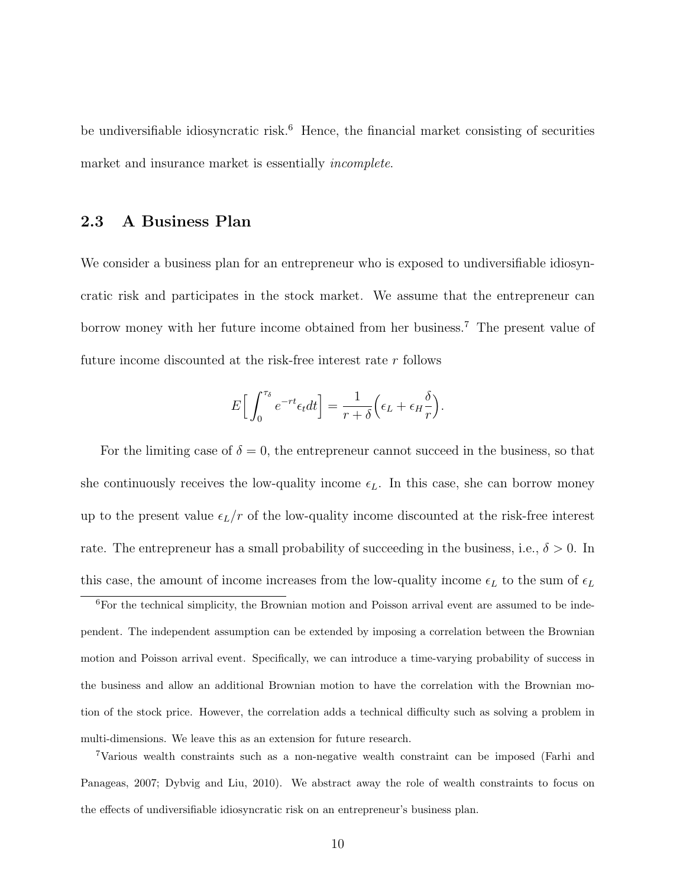be undiversifiable idiosyncratic risk.<sup>6</sup> Hence, the financial market consisting of securities market and insurance market is essentially *incomplete*.

## 2.3 A Business Plan

We consider a business plan for an entrepreneur who is exposed to undiversifiable idiosyncratic risk and participates in the stock market. We assume that the entrepreneur can borrow money with her future income obtained from her business.<sup>7</sup> The present value of future income discounted at the risk-free interest rate r follows

$$
E\Big[\int_0^{\tau_\delta} e^{-rt} \epsilon_t dt\Big] = \frac{1}{r+\delta} \Big(\epsilon_L + \epsilon_H \frac{\delta}{r}\Big).
$$

For the limiting case of  $\delta = 0$ , the entrepreneur cannot succeed in the business, so that she continuously receives the low-quality income  $\epsilon_L$ . In this case, she can borrow money up to the present value  $\epsilon_L/r$  of the low-quality income discounted at the risk-free interest rate. The entrepreneur has a small probability of succeeding in the business, i.e.,  $\delta > 0$ . In this case, the amount of income increases from the low-quality income  $\epsilon_L$  to the sum of  $\epsilon_L$ 

<sup>6</sup>For the technical simplicity, the Brownian motion and Poisson arrival event are assumed to be independent. The independent assumption can be extended by imposing a correlation between the Brownian motion and Poisson arrival event. Specifically, we can introduce a time-varying probability of success in the business and allow an additional Brownian motion to have the correlation with the Brownian motion of the stock price. However, the correlation adds a technical difficulty such as solving a problem in multi-dimensions. We leave this as an extension for future research.

<sup>7</sup>Various wealth constraints such as a non-negative wealth constraint can be imposed (Farhi and Panageas, 2007; Dybvig and Liu, 2010). We abstract away the role of wealth constraints to focus on the effects of undiversifiable idiosyncratic risk on an entrepreneur's business plan.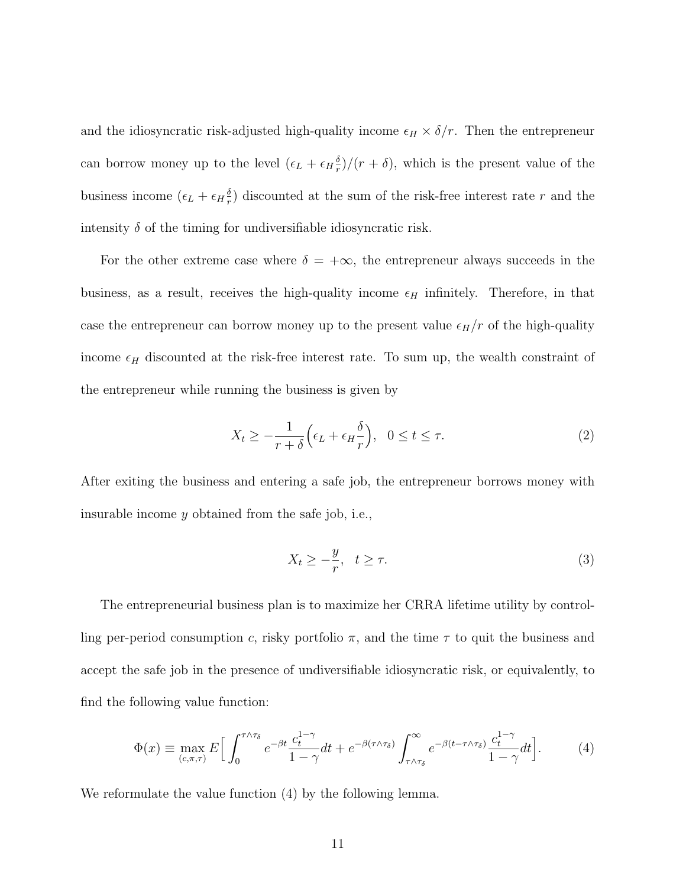and the idiosyncratic risk-adjusted high-quality income  $\epsilon_H \times \delta/r$ . Then the entrepreneur can borrow money up to the level  $(\epsilon_L + \epsilon_H \frac{\delta_L}{r})$  $\frac{\partial}{r}$ / $(r + \delta)$ , which is the present value of the business income  $(\epsilon_L + \epsilon_H \frac{\delta_L}{r})$  $\frac{\delta}{r}$ ) discounted at the sum of the risk-free interest rate r and the intensity  $\delta$  of the timing for undiversifiable idiosyncratic risk.

For the other extreme case where  $\delta = +\infty$ , the entrepreneur always succeeds in the business, as a result, receives the high-quality income  $\epsilon_H$  infinitely. Therefore, in that case the entrepreneur can borrow money up to the present value  $\epsilon_H/r$  of the high-quality income  $\epsilon_H$  discounted at the risk-free interest rate. To sum up, the wealth constraint of the entrepreneur while running the business is given by

$$
X_t \ge -\frac{1}{r+\delta} \left(\epsilon_L + \epsilon_H \frac{\delta}{r}\right), \quad 0 \le t \le \tau.
$$
 (2)

After exiting the business and entering a safe job, the entrepreneur borrows money with insurable income y obtained from the safe job, i.e.,

$$
X_t \ge -\frac{y}{r}, \quad t \ge \tau. \tag{3}
$$

The entrepreneurial business plan is to maximize her CRRA lifetime utility by controlling per-period consumption c, risky portfolio  $\pi$ , and the time  $\tau$  to quit the business and accept the safe job in the presence of undiversifiable idiosyncratic risk, or equivalently, to find the following value function:

$$
\Phi(x) \equiv \max_{(c,\pi,\tau)} E\Big[\int_0^{\tau \wedge \tau_\delta} e^{-\beta t} \frac{c_t^{1-\gamma}}{1-\gamma} dt + e^{-\beta(\tau \wedge \tau_\delta)} \int_{\tau \wedge \tau_\delta}^\infty e^{-\beta(t-\tau \wedge \tau_\delta)} \frac{c_t^{1-\gamma}}{1-\gamma} dt\Big].\tag{4}
$$

We reformulate the value function (4) by the following lemma.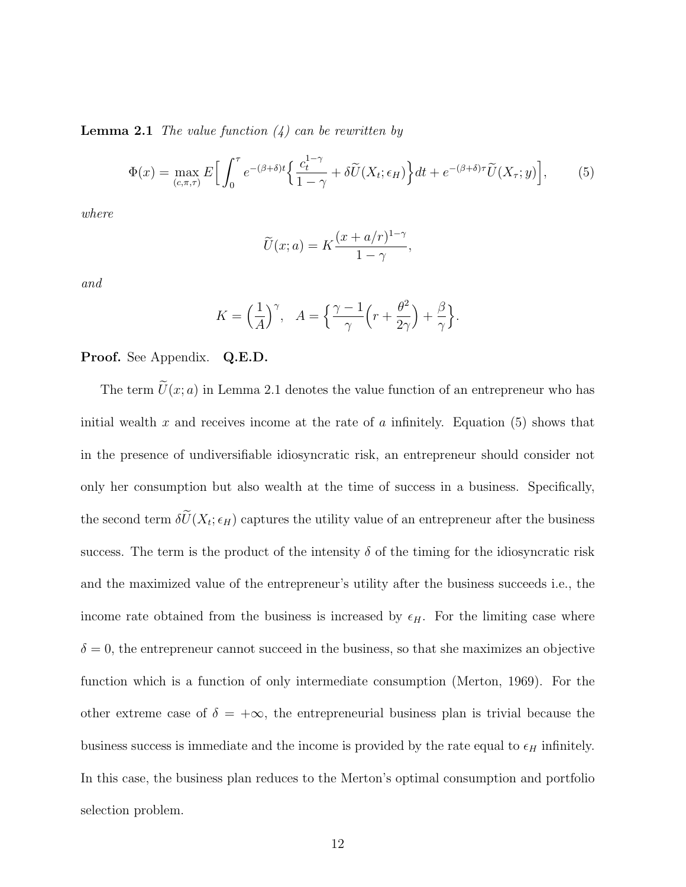**Lemma 2.1** The value function  $(4)$  can be rewritten by

$$
\Phi(x) = \max_{(c,\pi,\tau)} E\Big[\int_0^\tau e^{-(\beta+\delta)t} \Big\{\frac{c_t^{1-\gamma}}{1-\gamma} + \delta \widetilde{U}(X_t;\epsilon_H)\Big\} dt + e^{-(\beta+\delta)\tau} \widetilde{U}(X_\tau;y)\Big],\tag{5}
$$

where

$$
\widetilde{U}(x;a) = K \frac{(x+a/r)^{1-\gamma}}{1-\gamma},
$$

and

$$
K = \left(\frac{1}{A}\right)^{\gamma}, \quad A = \left\{\frac{\gamma - 1}{\gamma} \left(r + \frac{\theta^2}{2\gamma}\right) + \frac{\beta}{\gamma}\right\}.
$$

#### Proof. See Appendix. Q.E.D.

The term  $\tilde{U}(x; a)$  in Lemma 2.1 denotes the value function of an entrepreneur who has initial wealth x and receives income at the rate of a infinitely. Equation (5) shows that in the presence of undiversifiable idiosyncratic risk, an entrepreneur should consider not only her consumption but also wealth at the time of success in a business. Specifically, the second term  $\delta U(X_t; \epsilon_H)$  captures the utility value of an entrepreneur after the business success. The term is the product of the intensity  $\delta$  of the timing for the idiosyncratic risk and the maximized value of the entrepreneur's utility after the business succeeds i.e., the income rate obtained from the business is increased by  $\epsilon_H$ . For the limiting case where  $\delta = 0$ , the entrepreneur cannot succeed in the business, so that she maximizes an objective function which is a function of only intermediate consumption (Merton, 1969). For the other extreme case of  $\delta = +\infty$ , the entrepreneurial business plan is trivial because the business success is immediate and the income is provided by the rate equal to  $\epsilon_H$  infinitely. In this case, the business plan reduces to the Merton's optimal consumption and portfolio selection problem.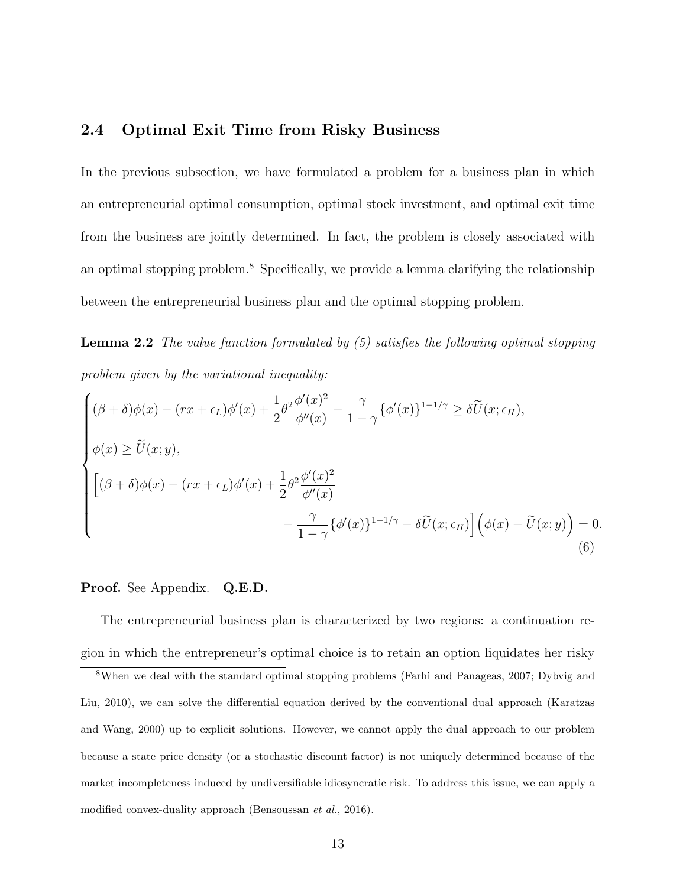## 2.4 Optimal Exit Time from Risky Business

In the previous subsection, we have formulated a problem for a business plan in which an entrepreneurial optimal consumption, optimal stock investment, and optimal exit time from the business are jointly determined. In fact, the problem is closely associated with an optimal stopping problem.<sup>8</sup> Specifically, we provide a lemma clarifying the relationship between the entrepreneurial business plan and the optimal stopping problem.

Lemma 2.2 The value function formulated by (5) satisfies the following optimal stopping problem given by the variational inequality:

$$
\begin{cases}\n(\beta + \delta)\phi(x) - (rx + \epsilon_L)\phi'(x) + \frac{1}{2}\theta^2 \frac{\phi'(x)^2}{\phi''(x)} - \frac{\gamma}{1 - \gamma} \{\phi'(x)\}^{1 - 1/\gamma} \ge \delta \widetilde{U}(x; \epsilon_H), \\
\phi(x) \ge \widetilde{U}(x; y), \\
\left[ (\beta + \delta)\phi(x) - (rx + \epsilon_L)\phi'(x) + \frac{1}{2}\theta^2 \frac{\phi'(x)^2}{\phi''(x)} - \frac{\gamma}{1 - \gamma} \{\phi'(x)\}^{1 - 1/\gamma} - \delta \widetilde{U}(x; \epsilon_H)\right] \left(\phi(x) - \widetilde{U}(x; y)\right) = 0.\n\end{cases}
$$
\n(6)

#### Proof. See Appendix. Q.E.D.

The entrepreneurial business plan is characterized by two regions: a continuation region in which the entrepreneur's optimal choice is to retain an option liquidates her risky

<sup>8</sup>When we deal with the standard optimal stopping problems (Farhi and Panageas, 2007; Dybvig and Liu, 2010), we can solve the differential equation derived by the conventional dual approach (Karatzas and Wang, 2000) up to explicit solutions. However, we cannot apply the dual approach to our problem because a state price density (or a stochastic discount factor) is not uniquely determined because of the market incompleteness induced by undiversifiable idiosyncratic risk. To address this issue, we can apply a modified convex-duality approach (Bensoussan et al., 2016).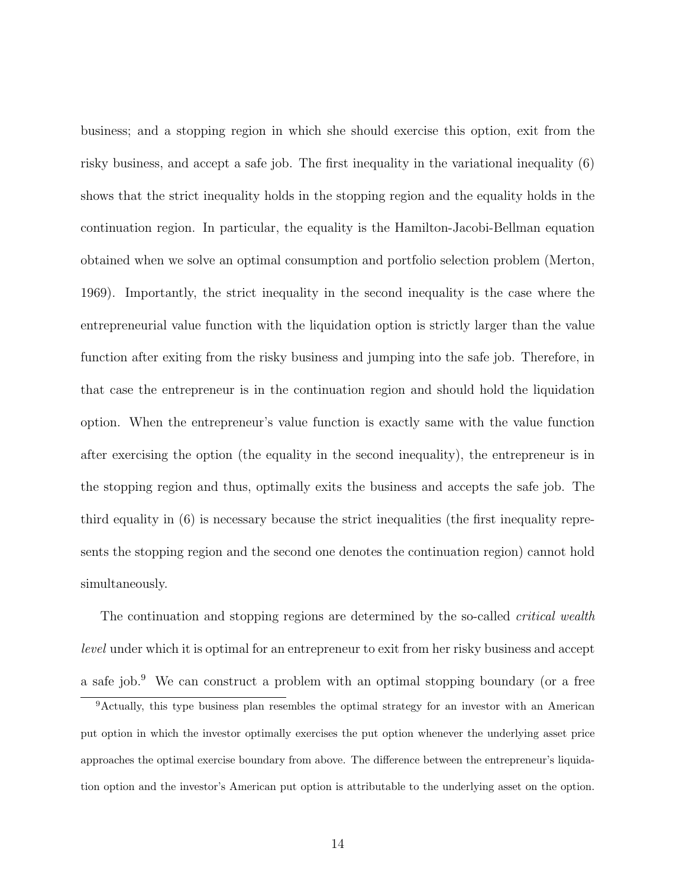business; and a stopping region in which she should exercise this option, exit from the risky business, and accept a safe job. The first inequality in the variational inequality (6) shows that the strict inequality holds in the stopping region and the equality holds in the continuation region. In particular, the equality is the Hamilton-Jacobi-Bellman equation obtained when we solve an optimal consumption and portfolio selection problem (Merton, 1969). Importantly, the strict inequality in the second inequality is the case where the entrepreneurial value function with the liquidation option is strictly larger than the value function after exiting from the risky business and jumping into the safe job. Therefore, in that case the entrepreneur is in the continuation region and should hold the liquidation option. When the entrepreneur's value function is exactly same with the value function after exercising the option (the equality in the second inequality), the entrepreneur is in the stopping region and thus, optimally exits the business and accepts the safe job. The third equality in (6) is necessary because the strict inequalities (the first inequality represents the stopping region and the second one denotes the continuation region) cannot hold simultaneously.

The continuation and stopping regions are determined by the so-called *critical wealth* level under which it is optimal for an entrepreneur to exit from her risky business and accept a safe job.<sup>9</sup> We can construct a problem with an optimal stopping boundary (or a free

<sup>&</sup>lt;sup>9</sup>Actually, this type business plan resembles the optimal strategy for an investor with an American put option in which the investor optimally exercises the put option whenever the underlying asset price approaches the optimal exercise boundary from above. The difference between the entrepreneur's liquidation option and the investor's American put option is attributable to the underlying asset on the option.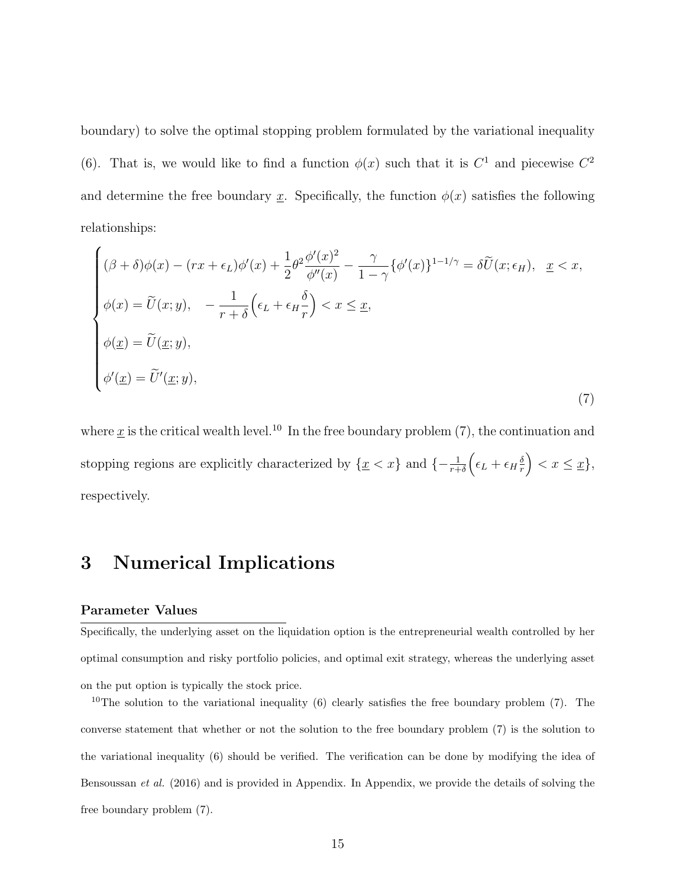boundary) to solve the optimal stopping problem formulated by the variational inequality (6). That is, we would like to find a function  $\phi(x)$  such that it is  $C^1$  and piecewise  $C^2$ and determine the free boundary x. Specifically, the function  $\phi(x)$  satisfies the following relationships:

$$
\begin{cases}\n(\beta + \delta)\phi(x) - (rx + \epsilon_L)\phi'(x) + \frac{1}{2}\theta^2 \frac{\phi'(x)^2}{\phi''(x)} - \frac{\gamma}{1 - \gamma} \{\phi'(x)\}^{1 - 1/\gamma} = \delta \tilde{U}(x; \epsilon_H), & \underline{x} < x, \\
\phi(x) = \tilde{U}(x; y), & -\frac{1}{r + \delta} \left(\epsilon_L + \epsilon_H \frac{\delta}{r}\right) < x \leq \underline{x}, \\
\phi(\underline{x}) = \tilde{U}(\underline{x}; y), \\
\phi'(x) = \tilde{U}'(\underline{x}; y),\n\end{cases} \tag{7}
$$

where  $\underline{x}$  is the critical wealth level.<sup>10</sup> In the free boundary problem (7), the continuation and stopping regions are explicitly characterized by  $\{\underline{x} < x\}$  and  $\{-\frac{1}{r+\delta} \left(\epsilon_L + \epsilon_H \frac{\delta_L}{r}\right)$  $\left(\frac{\delta}{r}\right) < x \leq \underline{x}$ , respectively.

## 3 Numerical Implications

#### Parameter Values

Specifically, the underlying asset on the liquidation option is the entrepreneurial wealth controlled by her optimal consumption and risky portfolio policies, and optimal exit strategy, whereas the underlying asset on the put option is typically the stock price.

<sup>10</sup>The solution to the variational inequality (6) clearly satisfies the free boundary problem (7). The converse statement that whether or not the solution to the free boundary problem (7) is the solution to the variational inequality (6) should be verified. The verification can be done by modifying the idea of Bensoussan et al. (2016) and is provided in Appendix. In Appendix, we provide the details of solving the free boundary problem (7).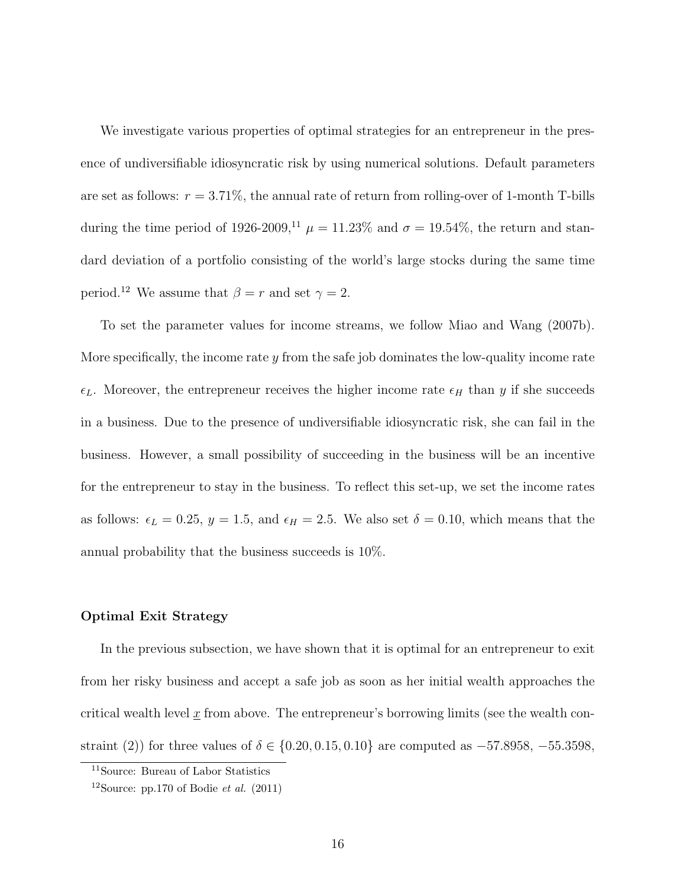We investigate various properties of optimal strategies for an entrepreneur in the presence of undiversifiable idiosyncratic risk by using numerical solutions. Default parameters are set as follows:  $r = 3.71\%$ , the annual rate of return from rolling-over of 1-month T-bills during the time period of 1926-2009,<sup>11</sup>  $\mu = 11.23\%$  and  $\sigma = 19.54\%$ , the return and standard deviation of a portfolio consisting of the world's large stocks during the same time period.<sup>12</sup> We assume that  $\beta = r$  and set  $\gamma = 2$ .

To set the parameter values for income streams, we follow Miao and Wang (2007b). More specifically, the income rate  $y$  from the safe job dominates the low-quality income rate  $\epsilon_L$ . Moreover, the entrepreneur receives the higher income rate  $\epsilon_H$  than y if she succeeds in a business. Due to the presence of undiversifiable idiosyncratic risk, she can fail in the business. However, a small possibility of succeeding in the business will be an incentive for the entrepreneur to stay in the business. To reflect this set-up, we set the income rates as follows:  $\epsilon_L = 0.25$ ,  $y = 1.5$ , and  $\epsilon_H = 2.5$ . We also set  $\delta = 0.10$ , which means that the annual probability that the business succeeds is 10%.

#### Optimal Exit Strategy

In the previous subsection, we have shown that it is optimal for an entrepreneur to exit from her risky business and accept a safe job as soon as her initial wealth approaches the critical wealth level  $\underline{x}$  from above. The entrepreneur's borrowing limits (see the wealth constraint (2)) for three values of  $\delta \in \{0.20, 0.15, 0.10\}$  are computed as  $-57.8958, -55.3598,$ 

<sup>11</sup>Source: Bureau of Labor Statistics

<sup>&</sup>lt;sup>12</sup>Source: pp.170 of Bodie *et al.*  $(2011)$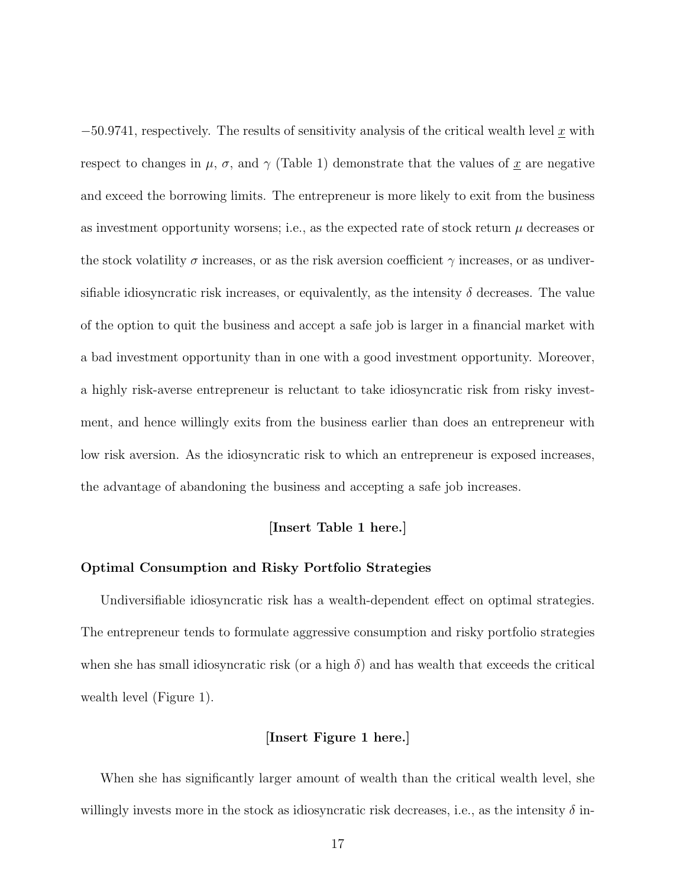$-50.9741$ , respectively. The results of sensitivity analysis of the critical wealth level x with respect to changes in  $\mu$ ,  $\sigma$ , and  $\gamma$  (Table 1) demonstrate that the values of x are negative and exceed the borrowing limits. The entrepreneur is more likely to exit from the business as investment opportunity worsens; i.e., as the expected rate of stock return  $\mu$  decreases or the stock volatility  $\sigma$  increases, or as the risk aversion coefficient  $\gamma$  increases, or as undiversifiable idiosyncratic risk increases, or equivalently, as the intensity  $\delta$  decreases. The value of the option to quit the business and accept a safe job is larger in a financial market with a bad investment opportunity than in one with a good investment opportunity. Moreover, a highly risk-averse entrepreneur is reluctant to take idiosyncratic risk from risky investment, and hence willingly exits from the business earlier than does an entrepreneur with low risk aversion. As the idiosyncratic risk to which an entrepreneur is exposed increases, the advantage of abandoning the business and accepting a safe job increases.

#### [Insert Table 1 here.]

#### Optimal Consumption and Risky Portfolio Strategies

Undiversifiable idiosyncratic risk has a wealth-dependent effect on optimal strategies. The entrepreneur tends to formulate aggressive consumption and risky portfolio strategies when she has small idiosyncratic risk (or a high  $\delta$ ) and has wealth that exceeds the critical wealth level (Figure 1).

#### [Insert Figure 1 here.]

When she has significantly larger amount of wealth than the critical wealth level, she willingly invests more in the stock as idiosyncratic risk decreases, i.e., as the intensity  $\delta$  in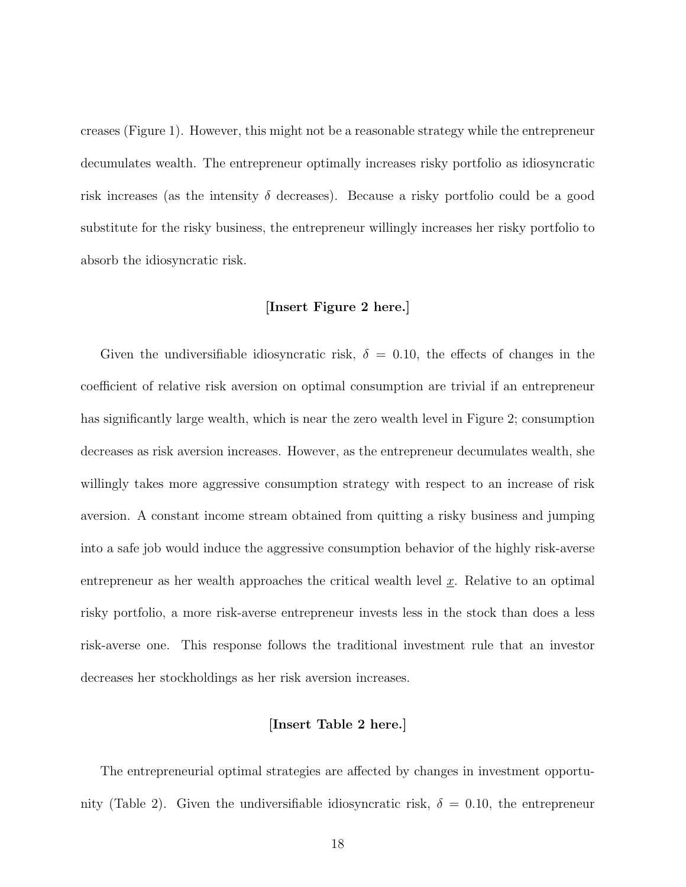creases (Figure 1). However, this might not be a reasonable strategy while the entrepreneur decumulates wealth. The entrepreneur optimally increases risky portfolio as idiosyncratic risk increases (as the intensity  $\delta$  decreases). Because a risky portfolio could be a good substitute for the risky business, the entrepreneur willingly increases her risky portfolio to absorb the idiosyncratic risk.

#### [Insert Figure 2 here.]

Given the undiversifiable idiosyncratic risk,  $\delta = 0.10$ , the effects of changes in the coefficient of relative risk aversion on optimal consumption are trivial if an entrepreneur has significantly large wealth, which is near the zero wealth level in Figure 2; consumption decreases as risk aversion increases. However, as the entrepreneur decumulates wealth, she willingly takes more aggressive consumption strategy with respect to an increase of risk aversion. A constant income stream obtained from quitting a risky business and jumping into a safe job would induce the aggressive consumption behavior of the highly risk-averse entrepreneur as her wealth approaches the critical wealth level  $x$ . Relative to an optimal risky portfolio, a more risk-averse entrepreneur invests less in the stock than does a less risk-averse one. This response follows the traditional investment rule that an investor decreases her stockholdings as her risk aversion increases.

#### [Insert Table 2 here.]

The entrepreneurial optimal strategies are affected by changes in investment opportunity (Table 2). Given the undiversifiable idiosyncratic risk,  $\delta = 0.10$ , the entrepreneur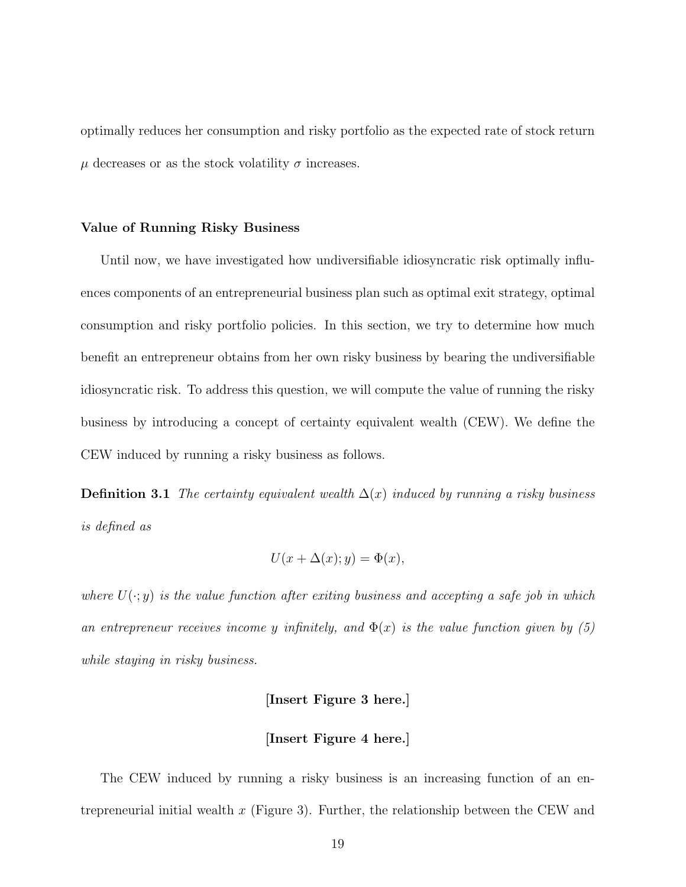optimally reduces her consumption and risky portfolio as the expected rate of stock return  $\mu$  decreases or as the stock volatility  $\sigma$  increases.

#### Value of Running Risky Business

Until now, we have investigated how undiversifiable idiosyncratic risk optimally influences components of an entrepreneurial business plan such as optimal exit strategy, optimal consumption and risky portfolio policies. In this section, we try to determine how much benefit an entrepreneur obtains from her own risky business by bearing the undiversifiable idiosyncratic risk. To address this question, we will compute the value of running the risky business by introducing a concept of certainty equivalent wealth (CEW). We define the CEW induced by running a risky business as follows.

**Definition 3.1** The certainty equivalent wealth  $\Delta(x)$  induced by running a risky business is defined as

$$
U(x + \Delta(x); y) = \Phi(x),
$$

where  $U(\cdot; y)$  is the value function after exiting business and accepting a safe job in which an entrepreneur receives income y infinitely, and  $\Phi(x)$  is the value function given by (5) while staying in risky business.

#### [Insert Figure 3 here.]

#### [Insert Figure 4 here.]

The CEW induced by running a risky business is an increasing function of an entrepreneurial initial wealth  $x$  (Figure 3). Further, the relationship between the CEW and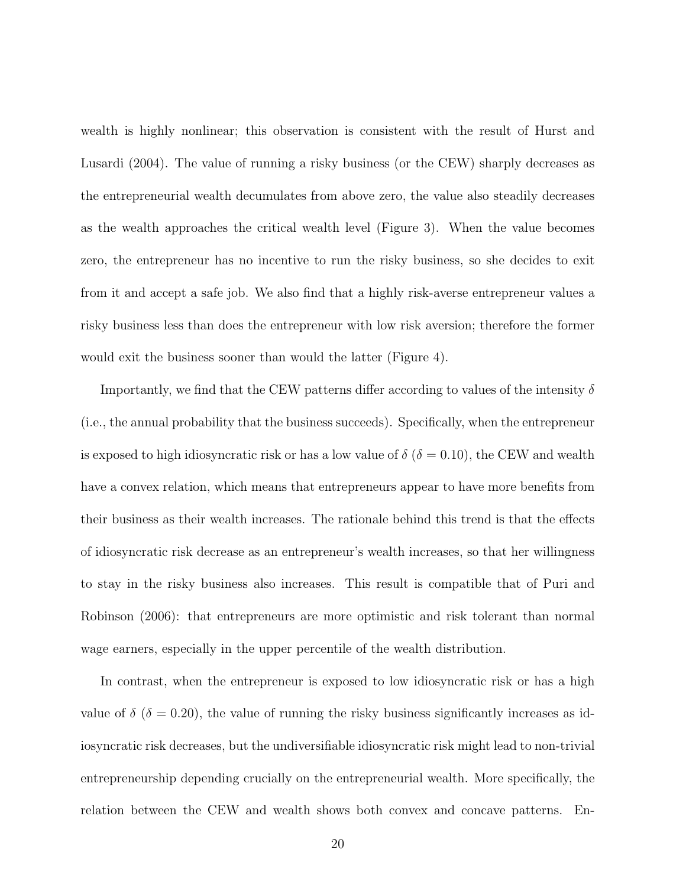wealth is highly nonlinear; this observation is consistent with the result of Hurst and Lusardi (2004). The value of running a risky business (or the CEW) sharply decreases as the entrepreneurial wealth decumulates from above zero, the value also steadily decreases as the wealth approaches the critical wealth level (Figure 3). When the value becomes zero, the entrepreneur has no incentive to run the risky business, so she decides to exit from it and accept a safe job. We also find that a highly risk-averse entrepreneur values a risky business less than does the entrepreneur with low risk aversion; therefore the former would exit the business sooner than would the latter (Figure 4).

Importantly, we find that the CEW patterns differ according to values of the intensity  $\delta$ (i.e., the annual probability that the business succeeds). Specifically, when the entrepreneur is exposed to high idiosyncratic risk or has a low value of  $\delta$  ( $\delta = 0.10$ ), the CEW and wealth have a convex relation, which means that entrepreneurs appear to have more benefits from their business as their wealth increases. The rationale behind this trend is that the effects of idiosyncratic risk decrease as an entrepreneur's wealth increases, so that her willingness to stay in the risky business also increases. This result is compatible that of Puri and Robinson (2006): that entrepreneurs are more optimistic and risk tolerant than normal wage earners, especially in the upper percentile of the wealth distribution.

In contrast, when the entrepreneur is exposed to low idiosyncratic risk or has a high value of  $\delta$  ( $\delta = 0.20$ ), the value of running the risky business significantly increases as idiosyncratic risk decreases, but the undiversifiable idiosyncratic risk might lead to non-trivial entrepreneurship depending crucially on the entrepreneurial wealth. More specifically, the relation between the CEW and wealth shows both convex and concave patterns. En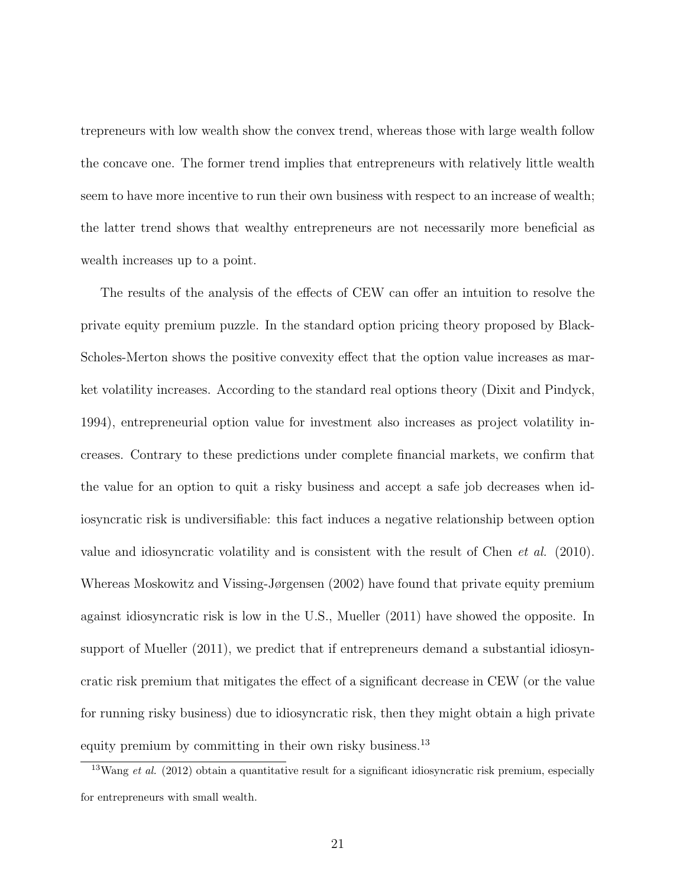trepreneurs with low wealth show the convex trend, whereas those with large wealth follow the concave one. The former trend implies that entrepreneurs with relatively little wealth seem to have more incentive to run their own business with respect to an increase of wealth; the latter trend shows that wealthy entrepreneurs are not necessarily more beneficial as wealth increases up to a point.

The results of the analysis of the effects of CEW can offer an intuition to resolve the private equity premium puzzle. In the standard option pricing theory proposed by Black-Scholes-Merton shows the positive convexity effect that the option value increases as market volatility increases. According to the standard real options theory (Dixit and Pindyck, 1994), entrepreneurial option value for investment also increases as project volatility increases. Contrary to these predictions under complete financial markets, we confirm that the value for an option to quit a risky business and accept a safe job decreases when idiosyncratic risk is undiversifiable: this fact induces a negative relationship between option value and idiosyncratic volatility and is consistent with the result of Chen et al. (2010). Whereas Moskowitz and Vissing-Jørgensen (2002) have found that private equity premium against idiosyncratic risk is low in the U.S., Mueller (2011) have showed the opposite. In support of Mueller (2011), we predict that if entrepreneurs demand a substantial idiosyncratic risk premium that mitigates the effect of a significant decrease in CEW (or the value for running risky business) due to idiosyncratic risk, then they might obtain a high private equity premium by committing in their own risky business.<sup>13</sup>

 $13$ Wang et al. (2012) obtain a quantitative result for a significant idiosyncratic risk premium, especially for entrepreneurs with small wealth.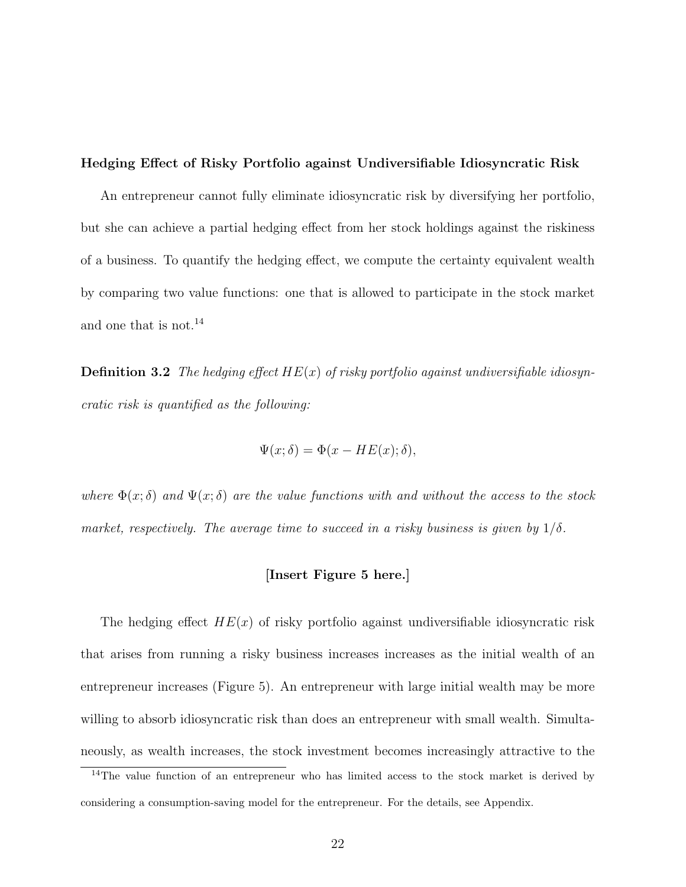Hedging Effect of Risky Portfolio against Undiversifiable Idiosyncratic Risk

An entrepreneur cannot fully eliminate idiosyncratic risk by diversifying her portfolio, but she can achieve a partial hedging effect from her stock holdings against the riskiness of a business. To quantify the hedging effect, we compute the certainty equivalent wealth by comparing two value functions: one that is allowed to participate in the stock market and one that is not.<sup>14</sup>

**Definition 3.2** The hedging effect  $HE(x)$  of risky portfolio against undiversifiable idiosyncratic risk is quantified as the following:

$$
\Psi(x;\delta) = \Phi(x - HE(x); \delta),
$$

where  $\Phi(x;\delta)$  and  $\Psi(x;\delta)$  are the value functions with and without the access to the stock market, respectively. The average time to succeed in a risky business is given by  $1/\delta$ .

#### [Insert Figure 5 here.]

The hedging effect  $HE(x)$  of risky portfolio against undiversifiable idiosyncratic risk that arises from running a risky business increases increases as the initial wealth of an entrepreneur increases (Figure 5). An entrepreneur with large initial wealth may be more willing to absorb idiosyncratic risk than does an entrepreneur with small wealth. Simultaneously, as wealth increases, the stock investment becomes increasingly attractive to the

<sup>&</sup>lt;sup>14</sup>The value function of an entrepreneur who has limited access to the stock market is derived by considering a consumption-saving model for the entrepreneur. For the details, see Appendix.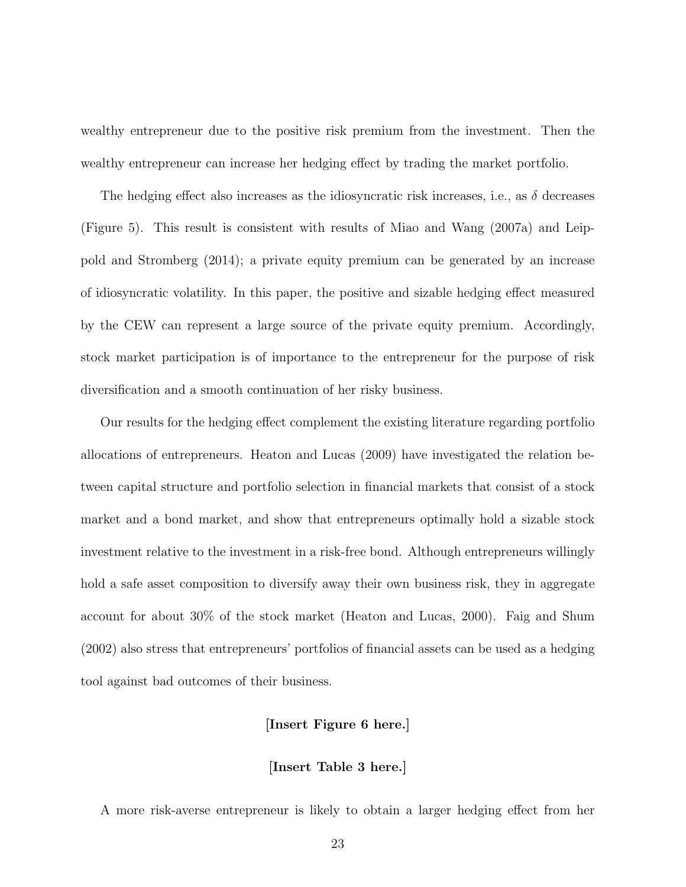wealthy entrepreneur due to the positive risk premium from the investment. Then the wealthy entrepreneur can increase her hedging effect by trading the market portfolio.

The hedging effect also increases as the idiosyncratic risk increases, i.e., as  $\delta$  decreases (Figure 5). This result is consistent with results of Miao and Wang (2007a) and Leippold and Stromberg (2014); a private equity premium can be generated by an increase of idiosyncratic volatility. In this paper, the positive and sizable hedging effect measured by the CEW can represent a large source of the private equity premium. Accordingly, stock market participation is of importance to the entrepreneur for the purpose of risk diversification and a smooth continuation of her risky business.

Our results for the hedging effect complement the existing literature regarding portfolio allocations of entrepreneurs. Heaton and Lucas (2009) have investigated the relation between capital structure and portfolio selection in financial markets that consist of a stock market and a bond market, and show that entrepreneurs optimally hold a sizable stock investment relative to the investment in a risk-free bond. Although entrepreneurs willingly hold a safe asset composition to diversify away their own business risk, they in aggregate account for about 30% of the stock market (Heaton and Lucas, 2000). Faig and Shum (2002) also stress that entrepreneurs' portfolios of financial assets can be used as a hedging tool against bad outcomes of their business.

#### [Insert Figure 6 here.]

#### [Insert Table 3 here.]

A more risk-averse entrepreneur is likely to obtain a larger hedging effect from her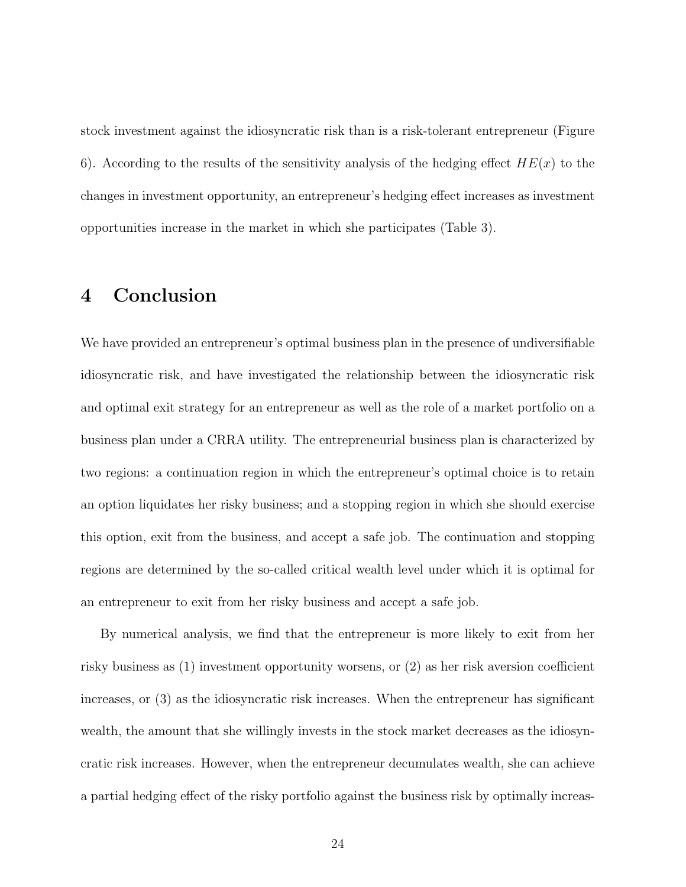stock investment against the idiosyncratic risk than is a risk-tolerant entrepreneur (Figure 6). According to the results of the sensitivity analysis of the hedging effect  $HE(x)$  to the changes in investment opportunity, an entrepreneur's hedging effect increases as investment opportunities increase in the market in which she participates (Table 3).

## 4 Conclusion

We have provided an entrepreneur's optimal business plan in the presence of undiversifiable idiosyncratic risk, and have investigated the relationship between the idiosyncratic risk and optimal exit strategy for an entrepreneur as well as the role of a market portfolio on a business plan under a CRRA utility. The entrepreneurial business plan is characterized by two regions: a continuation region in which the entrepreneur's optimal choice is to retain an option liquidates her risky business; and a stopping region in which she should exercise this option, exit from the business, and accept a safe job. The continuation and stopping regions are determined by the so-called critical wealth level under which it is optimal for an entrepreneur to exit from her risky business and accept a safe job.

By numerical analysis, we find that the entrepreneur is more likely to exit from her risky business as (1) investment opportunity worsens, or (2) as her risk aversion coefficient increases, or (3) as the idiosyncratic risk increases. When the entrepreneur has significant wealth, the amount that she willingly invests in the stock market decreases as the idiosyncratic risk increases. However, when the entrepreneur decumulates wealth, she can achieve a partial hedging effect of the risky portfolio against the business risk by optimally increas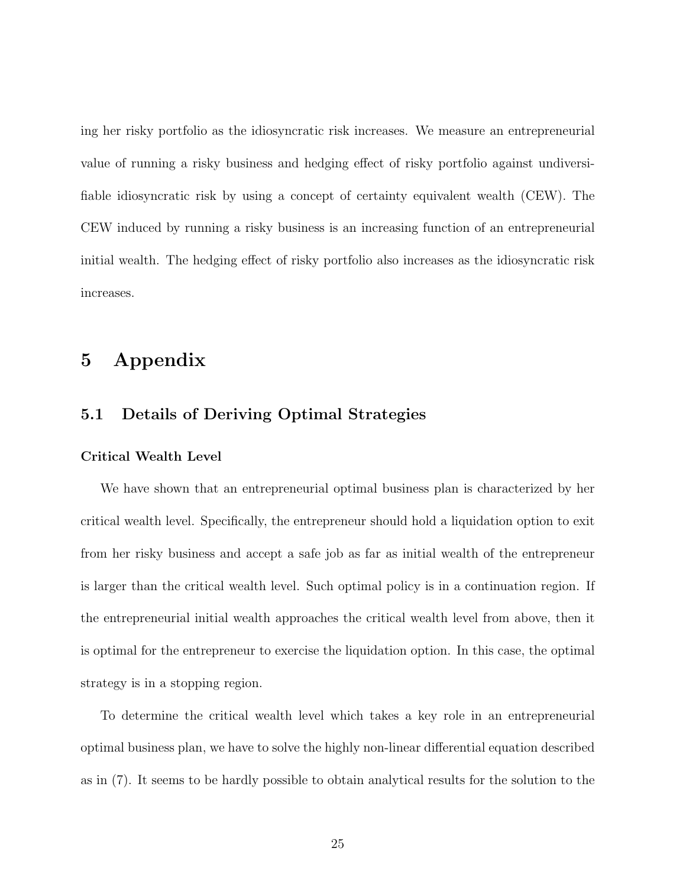ing her risky portfolio as the idiosyncratic risk increases. We measure an entrepreneurial value of running a risky business and hedging effect of risky portfolio against undiversifiable idiosyncratic risk by using a concept of certainty equivalent wealth (CEW). The CEW induced by running a risky business is an increasing function of an entrepreneurial initial wealth. The hedging effect of risky portfolio also increases as the idiosyncratic risk increases.

## 5 Appendix

## 5.1 Details of Deriving Optimal Strategies

#### Critical Wealth Level

We have shown that an entrepreneurial optimal business plan is characterized by her critical wealth level. Specifically, the entrepreneur should hold a liquidation option to exit from her risky business and accept a safe job as far as initial wealth of the entrepreneur is larger than the critical wealth level. Such optimal policy is in a continuation region. If the entrepreneurial initial wealth approaches the critical wealth level from above, then it is optimal for the entrepreneur to exercise the liquidation option. In this case, the optimal strategy is in a stopping region.

To determine the critical wealth level which takes a key role in an entrepreneurial optimal business plan, we have to solve the highly non-linear differential equation described as in (7). It seems to be hardly possible to obtain analytical results for the solution to the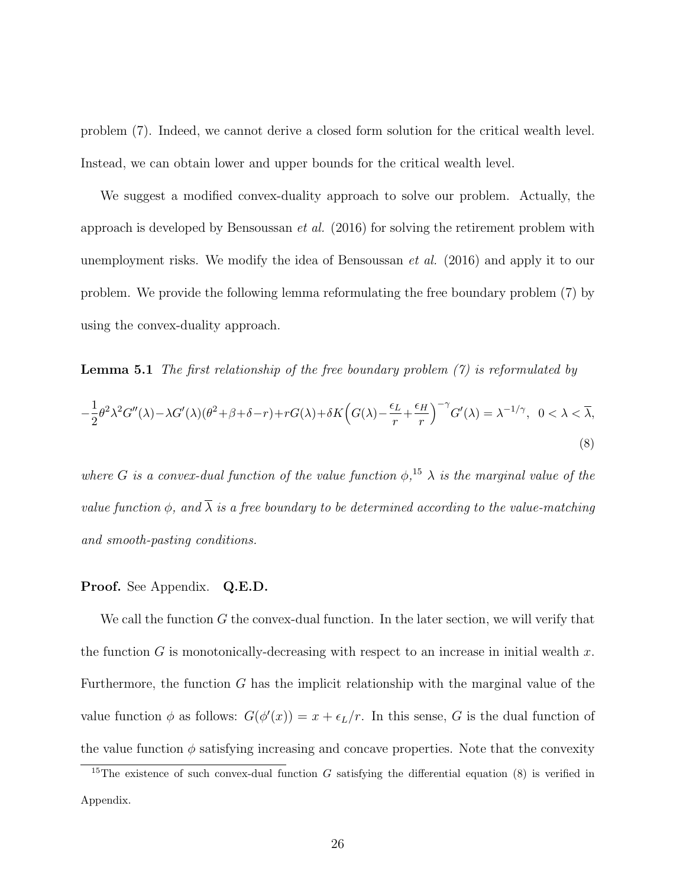problem (7). Indeed, we cannot derive a closed form solution for the critical wealth level. Instead, we can obtain lower and upper bounds for the critical wealth level.

We suggest a modified convex-duality approach to solve our problem. Actually, the approach is developed by Bensoussan *et al.*  $(2016)$  for solving the retirement problem with unemployment risks. We modify the idea of Bensoussan et al. (2016) and apply it to our problem. We provide the following lemma reformulating the free boundary problem (7) by using the convex-duality approach.

**Lemma 5.1** The first relationship of the free boundary problem  $(7)$  is reformulated by  $-\frac{1}{2}$  $\frac{1}{2}\theta^2\lambda^2G''(\lambda) - \lambda G'(\lambda)(\theta^2 + \beta + \delta - r) + rG(\lambda) + \delta K\Big(G(\lambda) - \frac{\epsilon_L}{r}\Big)$  $\frac{E_L}{r} + \frac{\epsilon_H}{r}$ r  $\int_{0}^{-\gamma} G'(\lambda) = \lambda^{-1/\gamma}, \ \ 0 < \lambda < \overline{\lambda},$ (8)

where G is a convex-dual function of the value function  $\phi$ ,<sup>15</sup>  $\lambda$  is the marginal value of the value function  $\phi$ , and  $\overline{\lambda}$  is a free boundary to be determined according to the value-matching and smooth-pasting conditions.

#### Proof. See Appendix. Q.E.D.

We call the function  $G$  the convex-dual function. In the later section, we will verify that the function G is monotonically-decreasing with respect to an increase in initial wealth  $x$ . Furthermore, the function G has the implicit relationship with the marginal value of the value function  $\phi$  as follows:  $G(\phi'(x)) = x + \epsilon_L/r$ . In this sense, G is the dual function of the value function  $\phi$  satisfying increasing and concave properties. Note that the convexity

<sup>&</sup>lt;sup>15</sup>The existence of such convex-dual function G satisfying the differential equation (8) is verified in Appendix.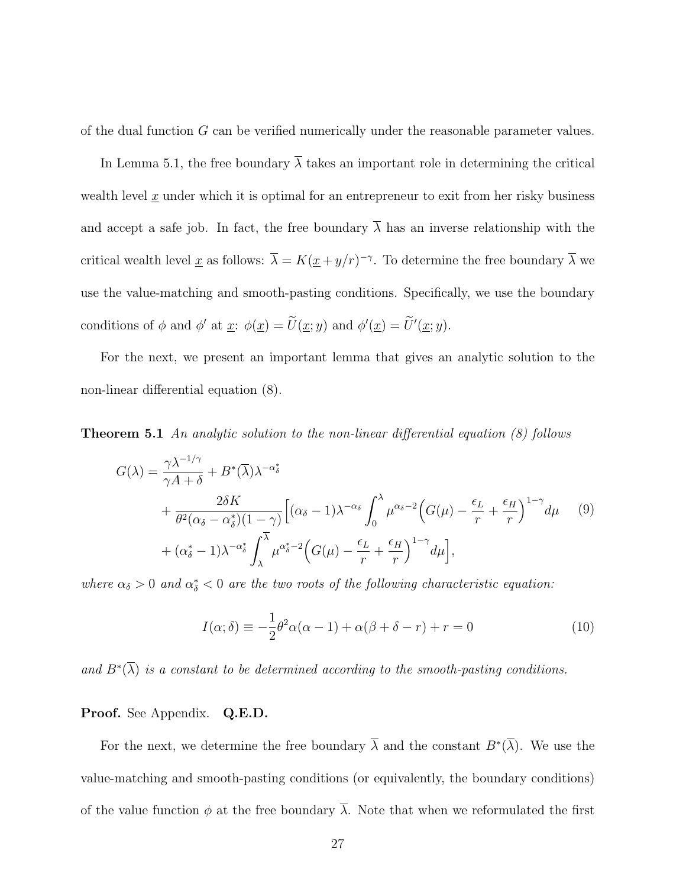of the dual function G can be verified numerically under the reasonable parameter values.

In Lemma 5.1, the free boundary  $\overline{\lambda}$  takes an important role in determining the critical wealth level  $\underline{x}$  under which it is optimal for an entrepreneur to exit from her risky business and accept a safe job. In fact, the free boundary  $\overline{\lambda}$  has an inverse relationship with the critical wealth level <u>x</u> as follows:  $\overline{\lambda} = K(\underline{x} + y/r)^{-\gamma}$ . To determine the free boundary  $\overline{\lambda}$  we use the value-matching and smooth-pasting conditions. Specifically, we use the boundary conditions of  $\phi$  and  $\phi'$  at  $\underline{x}$ :  $\phi(\underline{x}) = \overline{U}(\underline{x}; y)$  and  $\phi'(\underline{x}) = \overline{U}'(\underline{x}; y)$ .

For the next, we present an important lemma that gives an analytic solution to the non-linear differential equation (8).

**Theorem 5.1** An analytic solution to the non-linear differential equation  $(8)$  follows

$$
G(\lambda) = \frac{\gamma \lambda^{-1/\gamma}}{\gamma A + \delta} + B^*(\overline{\lambda}) \lambda^{-\alpha_{\delta}^*} + \frac{2\delta K}{\theta^2 (\alpha_{\delta} - \alpha_{\delta}^*) (1 - \gamma)} \Big[ (\alpha_{\delta} - 1) \lambda^{-\alpha_{\delta}} \int_0^{\lambda} \mu^{\alpha_{\delta} - 2} \Big( G(\mu) - \frac{\epsilon_L}{r} + \frac{\epsilon_H}{r} \Big)^{1 - \gamma} d\mu \qquad (9) + (\alpha_{\delta}^* - 1) \lambda^{-\alpha_{\delta}^*} \int_{\lambda}^{\overline{\lambda}} \mu^{\alpha_{\delta}^* - 2} \Big( G(\mu) - \frac{\epsilon_L}{r} + \frac{\epsilon_H}{r} \Big)^{1 - \gamma} d\mu \Big],
$$

where  $\alpha_{\delta} > 0$  and  $\alpha_{\delta}^{*} < 0$  are the two roots of the following characteristic equation:

$$
I(\alpha; \delta) \equiv -\frac{1}{2}\theta^2 \alpha(\alpha - 1) + \alpha(\beta + \delta - r) + r = 0
$$
\n(10)

and  $B^*(\overline{\lambda})$  is a constant to be determined according to the smooth-pasting conditions.

#### Proof. See Appendix. Q.E.D.

For the next, we determine the free boundary  $\overline{\lambda}$  and the constant  $B^*(\overline{\lambda})$ . We use the value-matching and smooth-pasting conditions (or equivalently, the boundary conditions) of the value function  $\phi$  at the free boundary  $\overline{\lambda}$ . Note that when we reformulated the first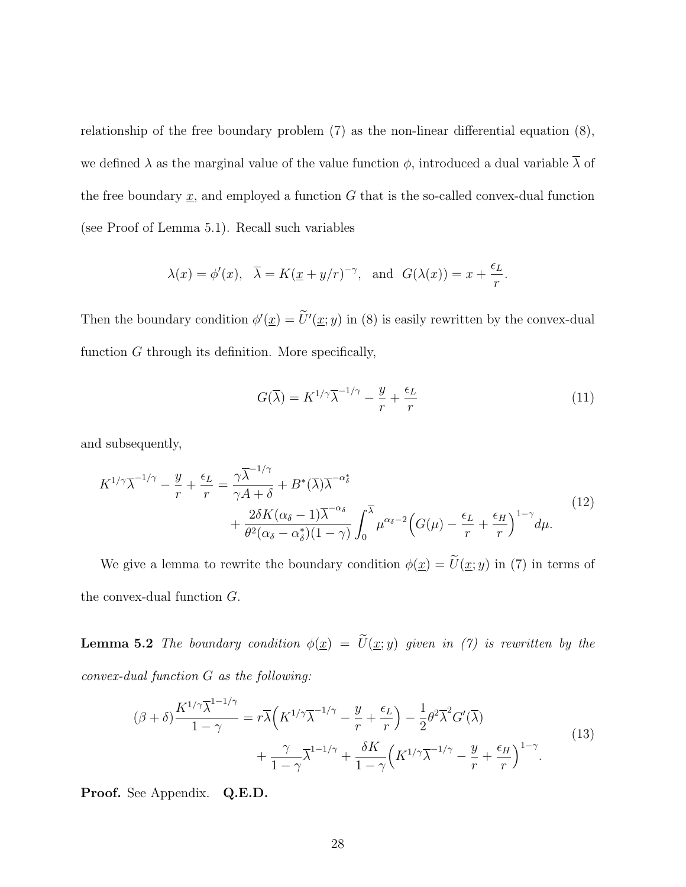relationship of the free boundary problem (7) as the non-linear differential equation (8), we defined  $\lambda$  as the marginal value of the value function  $\phi$ , introduced a dual variable  $\overline{\lambda}$  of the free boundary  $\underline{x}$ , and employed a function  $G$  that is the so-called convex-dual function (see Proof of Lemma 5.1). Recall such variables

$$
\lambda(x) = \phi'(x), \quad \overline{\lambda} = K(\underline{x} + y/r)^{-\gamma}, \text{ and } G(\lambda(x)) = x + \frac{\epsilon_L}{r}.
$$

Then the boundary condition  $\phi'(\underline{x}) = \tilde{U}'(\underline{x}; y)$  in (8) is easily rewritten by the convex-dual function  $G$  through its definition. More specifically,

$$
G(\overline{\lambda}) = K^{1/\gamma} \overline{\lambda}^{-1/\gamma} - \frac{y}{r} + \frac{\epsilon_L}{r}
$$
 (11)

and subsequently,

$$
K^{1/\gamma}\overline{\lambda}^{-1/\gamma} - \frac{y}{r} + \frac{\epsilon_L}{r} = \frac{\gamma \overline{\lambda}^{-1/\gamma}}{\gamma A + \delta} + B^*(\overline{\lambda})\overline{\lambda}^{-\alpha_{\delta}^*} + \frac{2\delta K(\alpha_{\delta} - 1)\overline{\lambda}^{-\alpha_{\delta}}}{\theta^2(\alpha_{\delta} - \alpha_{\delta}^*)(1 - \gamma)} \int_0^{\overline{\lambda}} \mu^{\alpha_{\delta} - 2} \Big(G(\mu) - \frac{\epsilon_L}{r} + \frac{\epsilon_H}{r}\Big)^{1 - \gamma} d\mu.
$$
\n(12)

We give a lemma to rewrite the boundary condition  $\phi(\underline{x}) = \widetilde{U}(\underline{x}; y)$  in (7) in terms of the convex-dual function G.

**Lemma 5.2** The boundary condition  $\phi(\underline{x}) = \widetilde{U}(\underline{x}; y)$  given in (7) is rewritten by the convex-dual function G as the following:

$$
(\beta + \delta) \frac{K^{1/\gamma} \overline{\lambda}^{1-1/\gamma}}{1-\gamma} = r \overline{\lambda} \Big( K^{1/\gamma} \overline{\lambda}^{-1/\gamma} - \frac{y}{r} + \frac{\epsilon_L}{r} \Big) - \frac{1}{2} \theta^2 \overline{\lambda}^2 G'(\overline{\lambda}) + \frac{\gamma}{1-\gamma} \overline{\lambda}^{1-1/\gamma} + \frac{\delta K}{1-\gamma} \Big( K^{1/\gamma} \overline{\lambda}^{-1/\gamma} - \frac{y}{r} + \frac{\epsilon_H}{r} \Big)^{1-\gamma}.
$$
 (13)

Proof. See Appendix. Q.E.D.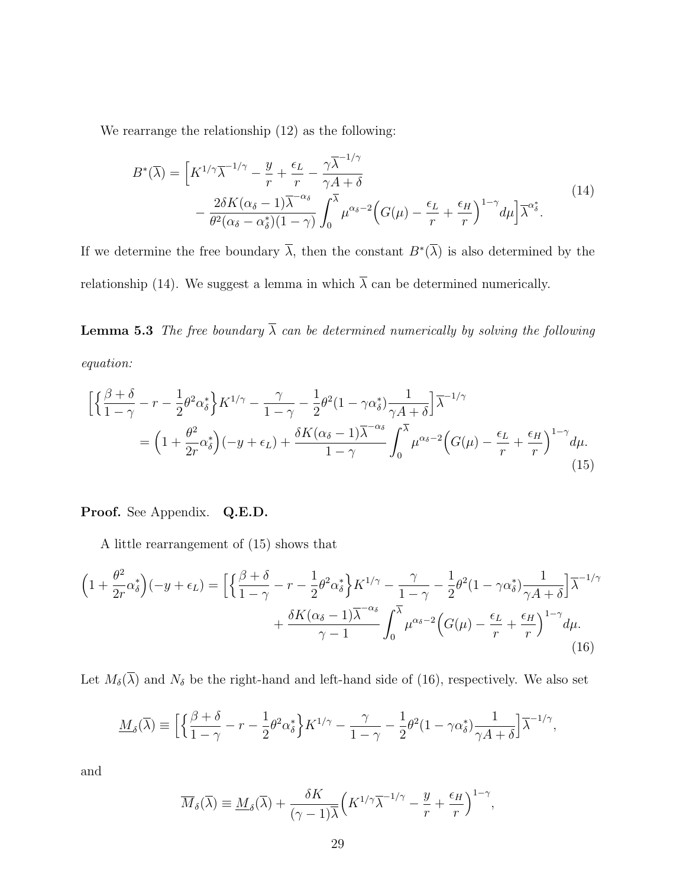We rearrange the relationship (12) as the following:

$$
B^*(\overline{\lambda}) = \left[K^{1/\gamma}\overline{\lambda}^{-1/\gamma} - \frac{y}{r} + \frac{\epsilon_L}{r} - \frac{\gamma \overline{\lambda}^{-1/\gamma}}{\gamma A + \delta} - \frac{2\delta K(\alpha_{\delta} - 1)\overline{\lambda}^{-\alpha_{\delta}}}{\theta^2(\alpha_{\delta} - \alpha_{\delta}^*)(1 - \gamma)} \int_0^{\overline{\lambda}} \mu^{\alpha_{\delta} - 2} \Big(G(\mu) - \frac{\epsilon_L}{r} + \frac{\epsilon_H}{r}\Big)^{1 - \gamma} d\mu\Big] \overline{\lambda}^{\alpha_{\delta}^*}.
$$
\n(14)

If we determine the free boundary  $\overline{\lambda}$ , then the constant  $B^*(\overline{\lambda})$  is also determined by the relationship (14). We suggest a lemma in which  $\overline{\lambda}$  can be determined numerically.

**Lemma 5.3** The free boundary  $\overline{\lambda}$  can be determined numerically by solving the following equation:

$$
\begin{split} \Big[ \Big\{ \frac{\beta + \delta}{1 - \gamma} - r - \frac{1}{2} \theta^2 \alpha_{\delta}^* \Big\} K^{1/\gamma} - \frac{\gamma}{1 - \gamma} - \frac{1}{2} \theta^2 (1 - \gamma \alpha_{\delta}^*) \frac{1}{\gamma A + \delta} \Big] \overline{\lambda}^{-1/\gamma} \\ &= \Big( 1 + \frac{\theta^2}{2r} \alpha_{\delta}^* \Big) (-y + \epsilon_L) + \frac{\delta K (\alpha_{\delta} - 1) \overline{\lambda}^{-\alpha_{\delta}}}{1 - \gamma} \int_0^{\overline{\lambda}} \mu^{\alpha_{\delta} - 2} \Big( G(\mu) - \frac{\epsilon_L}{r} + \frac{\epsilon_H}{r} \Big)^{1 - \gamma} d\mu. \end{split} \tag{15}
$$

Proof. See Appendix. Q.E.D.

A little rearrangement of (15) shows that

$$
\left(1+\frac{\theta^2}{2r}\alpha_{\delta}^*\right)(-y+\epsilon_L) = \left[\left\{\frac{\beta+\delta}{1-\gamma} - r - \frac{1}{2}\theta^2\alpha_{\delta}^*\right\}K^{1/\gamma} - \frac{\gamma}{1-\gamma} - \frac{1}{2}\theta^2(1-\gamma\alpha_{\delta}^*)\frac{1}{\gamma A+\delta}\right]\overline{\lambda}^{-1/\gamma} + \frac{\delta K(\alpha_{\delta}-1)\overline{\lambda}^{-\alpha_{\delta}}}{\gamma-1} \int_0^{\overline{\lambda}} \mu^{\alpha_{\delta}-2}\Big(G(\mu) - \frac{\epsilon_L}{r} + \frac{\epsilon_H}{r}\Big)^{1-\gamma}d\mu. \tag{16}
$$

Let  $M_{\delta}(\overline{\lambda})$  and  $N_{\delta}$  be the right-hand and left-hand side of (16), respectively. We also set

$$
\underline{M}_{\delta}(\overline{\lambda}) \equiv \Big[ \Big\{ \frac{\beta + \delta}{1 - \gamma} - r - \frac{1}{2} \theta^2 \alpha_{\delta}^* \Big\} K^{1/\gamma} - \frac{\gamma}{1 - \gamma} - \frac{1}{2} \theta^2 (1 - \gamma \alpha_{\delta}^*) \frac{1}{\gamma A + \delta} \Big] \overline{\lambda}^{-1/\gamma},
$$

and

$$
\overline{M}_{\delta}(\overline{\lambda}) \equiv \underline{M}_{\delta}(\overline{\lambda}) + \frac{\delta K}{(\gamma - 1)\overline{\lambda}} \Big( K^{1/\gamma} \overline{\lambda}^{-1/\gamma} - \frac{y}{r} + \frac{\epsilon_H}{r} \Big)^{1 - \gamma},
$$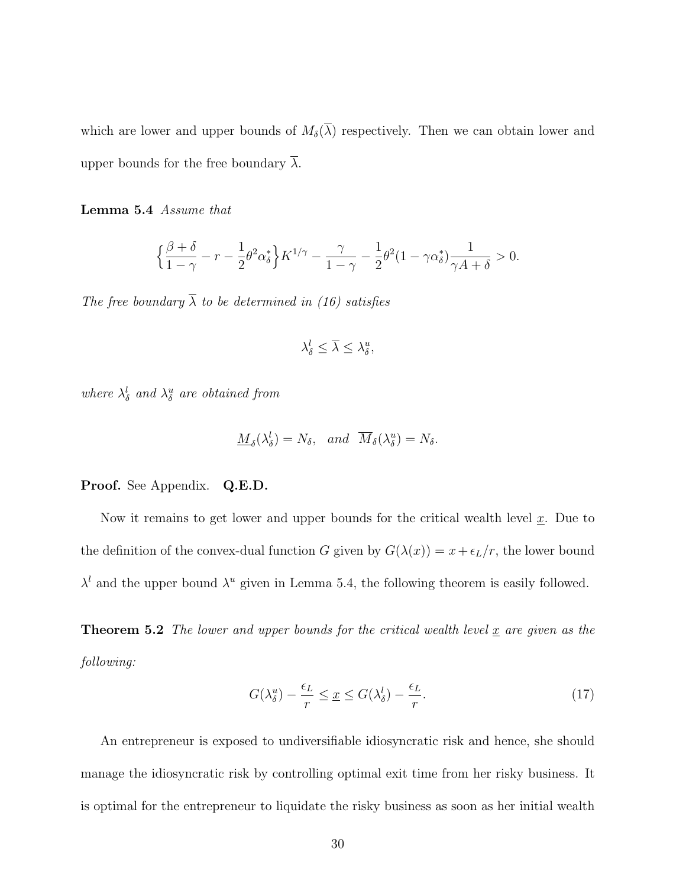which are lower and upper bounds of  $M_{\delta}(\overline{\lambda})$  respectively. Then we can obtain lower and upper bounds for the free boundary  $\lambda$ .

Lemma 5.4 Assume that

$$
\left\{\frac{\beta+\delta}{1-\gamma}-r-\frac{1}{2}\theta^2\alpha_{\delta}^*\right\}K^{1/\gamma}-\frac{\gamma}{1-\gamma}-\frac{1}{2}\theta^2(1-\gamma\alpha_{\delta}^*)\frac{1}{\gamma A+\delta}>0.
$$

The free boundary  $\overline{\lambda}$  to be determined in (16) satisfies

$$
\lambda_{\delta}^{l} \leq \overline{\lambda} \leq \lambda_{\delta}^{u},
$$

where  $\lambda_{\delta}^{l}$  and  $\lambda_{\delta}^{u}$  are obtained from

$$
\underline{M}_{\delta}(\lambda_{\delta}^{l}) = N_{\delta}, \quad and \quad \overline{M}_{\delta}(\lambda_{\delta}^{u}) = N_{\delta}.
$$

Proof. See Appendix. Q.E.D.

Now it remains to get lower and upper bounds for the critical wealth level  $x$ . Due to the definition of the convex-dual function G given by  $G(\lambda(x)) = x + \epsilon_L/r$ , the lower bound  $\lambda^{l}$  and the upper bound  $\lambda^{u}$  given in Lemma 5.4, the following theorem is easily followed.

**Theorem 5.2** The lower and upper bounds for the critical wealth level  $\underline{x}$  are given as the following:

$$
G(\lambda_{\delta}^{u}) - \frac{\epsilon_{L}}{r} \leq \underline{x} \leq G(\lambda_{\delta}^{l}) - \frac{\epsilon_{L}}{r}.
$$
\n(17)

An entrepreneur is exposed to undiversifiable idiosyncratic risk and hence, she should manage the idiosyncratic risk by controlling optimal exit time from her risky business. It is optimal for the entrepreneur to liquidate the risky business as soon as her initial wealth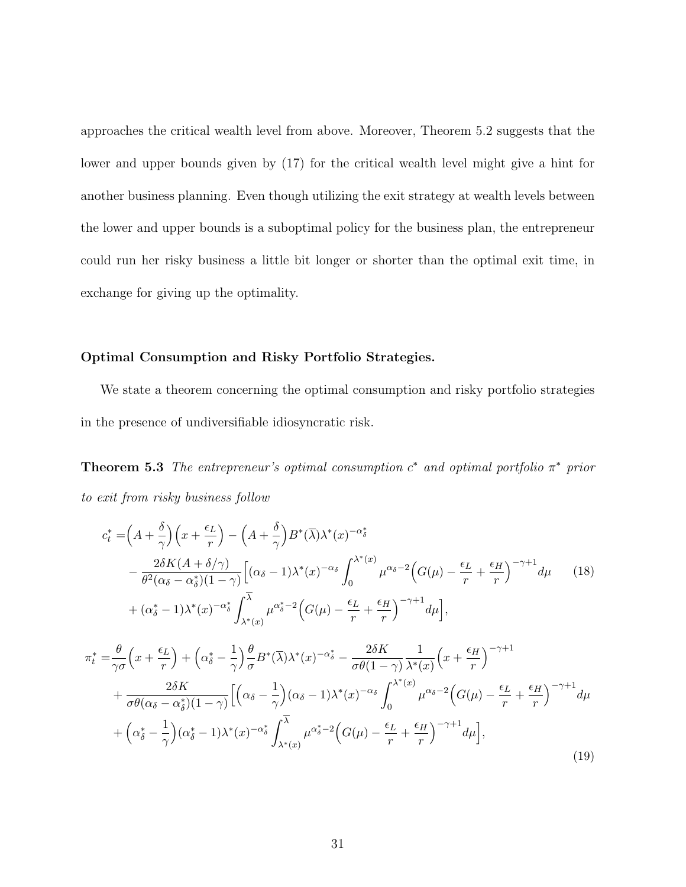approaches the critical wealth level from above. Moreover, Theorem 5.2 suggests that the lower and upper bounds given by (17) for the critical wealth level might give a hint for another business planning. Even though utilizing the exit strategy at wealth levels between the lower and upper bounds is a suboptimal policy for the business plan, the entrepreneur could run her risky business a little bit longer or shorter than the optimal exit time, in exchange for giving up the optimality.

#### Optimal Consumption and Risky Portfolio Strategies.

We state a theorem concerning the optimal consumption and risky portfolio strategies in the presence of undiversifiable idiosyncratic risk.

**Theorem 5.3** The entrepreneur's optimal consumption  $c^*$  and optimal portfolio  $\pi^*$  prior to exit from risky business follow

$$
c_{t}^{*} = \left(A + \frac{\delta}{\gamma}\right)\left(x + \frac{\epsilon_{L}}{r}\right) - \left(A + \frac{\delta}{\gamma}\right)B^{*}(\overline{\lambda})\lambda^{*}(x)^{-\alpha_{\delta}^{*}}
$$
\n
$$
- \frac{2\delta K(A + \delta/\gamma)}{\theta^{2}(\alpha_{\delta} - \alpha_{\delta}^{*})(1 - \gamma)}\left[(\alpha_{\delta} - 1)\lambda^{*}(x)^{-\alpha_{\delta}}\int_{0}^{\lambda^{*}(x)}\mu^{\alpha_{\delta} - 2}\left(G(\mu) - \frac{\epsilon_{L}}{r} + \frac{\epsilon_{H}}{r}\right)^{-\gamma + 1}d\mu\right] (18)
$$
\n
$$
+ (\alpha_{\delta}^{*} - 1)\lambda^{*}(x)^{-\alpha_{\delta}^{*}}\int_{\lambda^{*}(x)}^{\overline{\lambda}}\mu^{\alpha_{\delta}^{*} - 2}\left(G(\mu) - \frac{\epsilon_{L}}{r} + \frac{\epsilon_{H}}{r}\right)^{-\gamma + 1}d\mu\right],
$$
\n
$$
\pi_{t}^{*} = \frac{\theta}{\gamma\sigma}\left(x + \frac{\epsilon_{L}}{r}\right) + \left(\alpha_{\delta}^{*} - \frac{1}{\gamma}\right)\frac{\theta}{\sigma}B^{*}(\overline{\lambda})\lambda^{*}(x)^{-\alpha_{\delta}^{*}} - \frac{2\delta K}{\sigma\theta(1 - \gamma)}\frac{1}{\lambda^{*}(x)}\left(x + \frac{\epsilon_{H}}{r}\right)^{-\gamma + 1} + \frac{2\delta K}{\sigma\theta(\alpha_{\delta} - \alpha_{\delta}^{*})(1 - \gamma)}\left[\left(\alpha_{\delta} - \frac{1}{\gamma}\right)(\alpha_{\delta} - 1)\lambda^{*}(x)^{-\alpha_{\delta}}\int_{0}^{\lambda^{*}(x)}\mu^{\alpha_{\delta} - 2}\left(G(\mu) - \frac{\epsilon_{L}}{r} + \frac{\epsilon_{H}}{r}\right)^{-\gamma + 1}d\mu\right] + \left(\alpha_{\delta}^{*} - \frac{1}{\gamma}\right)(\alpha_{\delta}^{*} - 1)\lambda^{*}(x)^{-\alpha_{\delta}^{*}}\int_{\lambda^{*}(x)}^{\overline{\lambda}}\mu^{\alpha_{\delta}^{*} - 2}\left(G(\mu) - \frac{\epsilon_{L}}{r} + \frac{\epsilon_{H}}{r}\right)^{-\gamma +
$$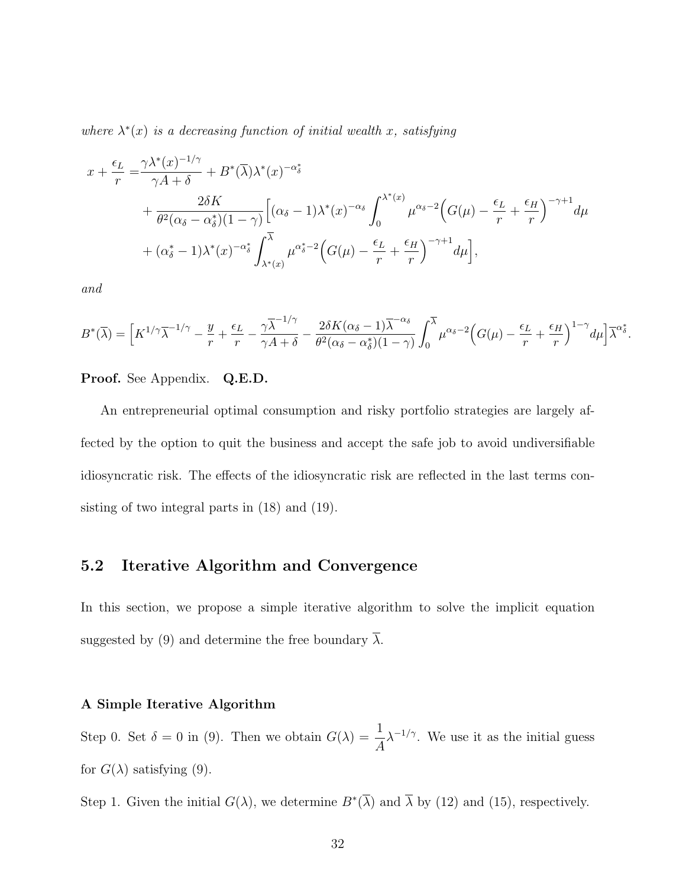where  $\lambda^*(x)$  is a decreasing function of initial wealth x, satisfying

$$
x + \frac{\epsilon_L}{r} = \frac{\gamma \lambda^*(x)^{-1/\gamma}}{\gamma A + \delta} + B^*(\overline{\lambda})\lambda^*(x)^{-\alpha_{\delta}^*} + \frac{2\delta K}{\theta^2(\alpha_{\delta} - \alpha_{\delta}^*)(1 - \gamma)} \Big[ (\alpha_{\delta} - 1)\lambda^*(x)^{-\alpha_{\delta}} \int_0^{\lambda^*(x)} \mu^{\alpha_{\delta} - 2} \Big(G(\mu) - \frac{\epsilon_L}{r} + \frac{\epsilon_H}{r} \Big)^{-\gamma + 1} d\mu + (\alpha_{\delta}^* - 1)\lambda^*(x)^{-\alpha_{\delta}^*} \int_{\lambda^*(x)}^{\overline{\lambda}} \mu^{\alpha_{\delta}^* - 2} \Big(G(\mu) - \frac{\epsilon_L}{r} + \frac{\epsilon_H}{r} \Big)^{-\gamma + 1} d\mu \Big],
$$

and

$$
B^*(\overline{\lambda}) = \left[K^{1/\gamma}\overline{\lambda}^{-1/\gamma} - \frac{y}{r} + \frac{\epsilon_L}{r} - \frac{\gamma \overline{\lambda}^{-1/\gamma}}{\gamma A + \delta} - \frac{2\delta K(\alpha_{\delta} - 1)\overline{\lambda}^{-\alpha_{\delta}}}{\theta^2(\alpha_{\delta} - \alpha_{\delta}^*)(1 - \gamma)} \int_0^{\overline{\lambda}} \mu^{\alpha_{\delta} - 2} \Big(G(\mu) - \frac{\epsilon_L}{r} + \frac{\epsilon_H}{r}\Big)^{1 - \gamma} d\mu\Big] \overline{\lambda}^{\alpha_{\delta}^*}.
$$

Proof. See Appendix. Q.E.D.

An entrepreneurial optimal consumption and risky portfolio strategies are largely affected by the option to quit the business and accept the safe job to avoid undiversifiable idiosyncratic risk. The effects of the idiosyncratic risk are reflected in the last terms consisting of two integral parts in (18) and (19).

### 5.2 Iterative Algorithm and Convergence

In this section, we propose a simple iterative algorithm to solve the implicit equation suggested by (9) and determine the free boundary  $\lambda$ .

#### A Simple Iterative Algorithm

Step 0. Set  $\delta = 0$  in (9). Then we obtain  $G(\lambda) = \frac{1}{4}$ A  $\lambda^{-1/\gamma}$ . We use it as the initial guess for  $G(\lambda)$  satisfying (9).

Step 1. Given the initial  $G(\lambda)$ , we determine  $B^*(\overline{\lambda})$  and  $\overline{\lambda}$  by (12) and (15), respectively.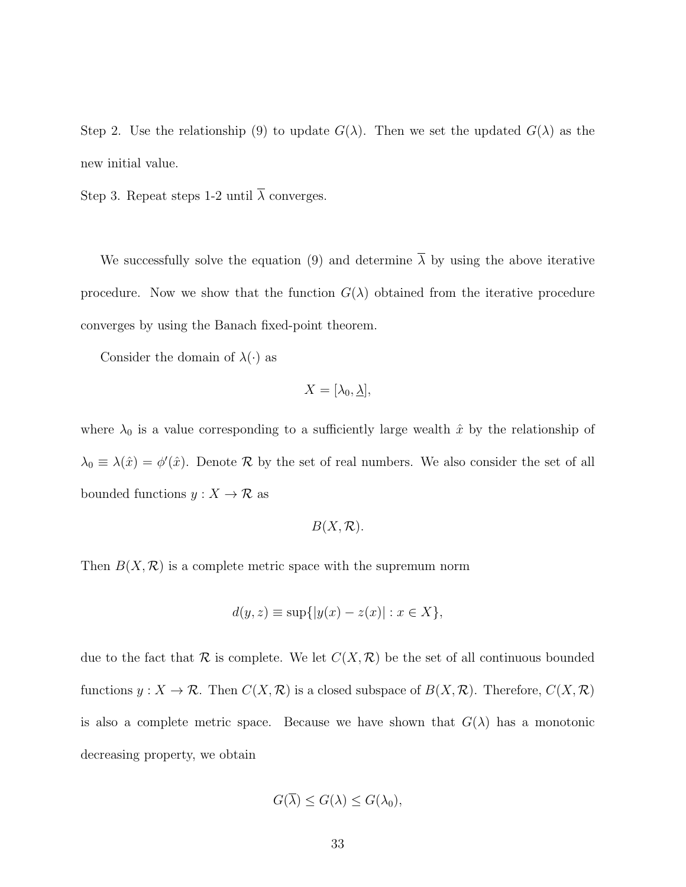Step 2. Use the relationship (9) to update  $G(\lambda)$ . Then we set the updated  $G(\lambda)$  as the new initial value.

Step 3. Repeat steps 1-2 until  $\overline{\lambda}$  converges.

We successfully solve the equation (9) and determine  $\overline{\lambda}$  by using the above iterative procedure. Now we show that the function  $G(\lambda)$  obtained from the iterative procedure converges by using the Banach fixed-point theorem.

Consider the domain of  $\lambda(\cdot)$  as

$$
X=[\lambda_0,\underline{\lambda}],
$$

where  $\lambda_0$  is a value corresponding to a sufficiently large wealth  $\hat{x}$  by the relationship of  $\lambda_0 \equiv \lambda(\hat{x}) = \phi'(\hat{x})$ . Denote R by the set of real numbers. We also consider the set of all bounded functions  $y: X \to \mathcal{R}$  as

$$
B(X,\mathcal{R}).
$$

Then  $B(X, \mathcal{R})$  is a complete metric space with the supremum norm

$$
d(y, z) \equiv \sup\{|y(x) - z(x)| : x \in X\},\
$$

due to the fact that  $\mathcal R$  is complete. We let  $C(X,\mathcal R)$  be the set of all continuous bounded functions  $y: X \to \mathcal{R}$ . Then  $C(X, \mathcal{R})$  is a closed subspace of  $B(X, \mathcal{R})$ . Therefore,  $C(X, \mathcal{R})$ is also a complete metric space. Because we have shown that  $G(\lambda)$  has a monotonic decreasing property, we obtain

$$
G(\overline{\lambda}) \le G(\lambda) \le G(\lambda_0),
$$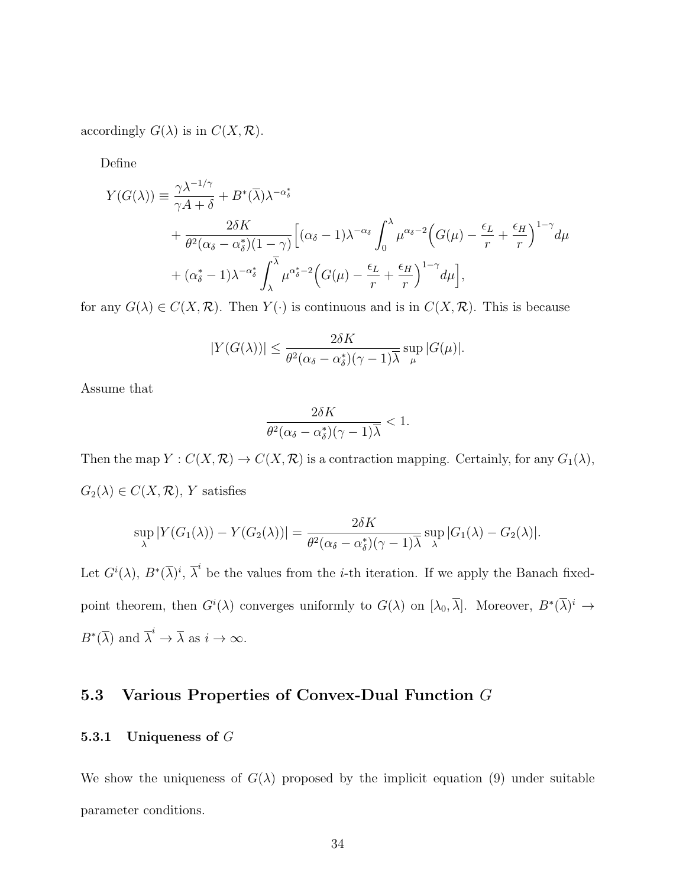accordingly  $G(\lambda)$  is in  $C(X, \mathcal{R})$ .

Define

$$
Y(G(\lambda)) = \frac{\gamma \lambda^{-1/\gamma}}{\gamma A + \delta} + B^*(\overline{\lambda})\lambda^{-\alpha_{\delta}^*} + \frac{2\delta K}{\theta^2(\alpha_{\delta} - \alpha_{\delta}^*)(1 - \gamma)} \Big[ (\alpha_{\delta} - 1)\lambda^{-\alpha_{\delta}} \int_0^{\lambda} \mu^{\alpha_{\delta} - 2} \Big(G(\mu) - \frac{\epsilon_L}{r} + \frac{\epsilon_H}{r} \Big)^{1 - \gamma} d\mu + (\alpha_{\delta}^* - 1)\lambda^{-\alpha_{\delta}^*} \int_{\lambda}^{\overline{\lambda}} \mu^{\alpha_{\delta}^* - 2} \Big(G(\mu) - \frac{\epsilon_L}{r} + \frac{\epsilon_H}{r} \Big)^{1 - \gamma} d\mu \Big],
$$

for any  $G(\lambda) \in C(X,\mathcal{R})$ . Then  $Y(\cdot)$  is continuous and is in  $C(X,\mathcal{R})$ . This is because

$$
|Y(G(\lambda))| \le \frac{2\delta K}{\theta^2(\alpha_{\delta} - \alpha_{\delta}^*)(\gamma - 1)\overline{\lambda}} \sup_{\mu} |G(\mu)|.
$$

Assume that

$$
\frac{2\delta K}{\theta^2(\alpha_{\delta}-\alpha_{\delta}^*)(\gamma-1)\overline{\lambda}}<1.
$$

Then the map  $Y: C(X, \mathcal{R}) \to C(X, \mathcal{R})$  is a contraction mapping. Certainly, for any  $G_1(\lambda)$ ,  $G_2(\lambda) \in C(X, \mathcal{R}), Y$  satisfies

$$
\sup_{\lambda} |Y(G_1(\lambda)) - Y(G_2(\lambda))| = \frac{2\delta K}{\theta^2(\alpha_{\delta} - \alpha_{\delta}^*)(\gamma - 1)\overline{\lambda}} \sup_{\lambda} |G_1(\lambda) - G_2(\lambda)|.
$$

Let  $G^{i}(\lambda)$ ,  $B^{*}(\overline{\lambda})^{i}$ ,  $\overline{\lambda}^{i}$  be the values from the *i*-th iteration. If we apply the Banach fixedpoint theorem, then  $G^{i}(\lambda)$  converges uniformly to  $G(\lambda)$  on  $[\lambda_0, \overline{\lambda}]$ . Moreover,  $B^*(\overline{\lambda})^i \to$  $B^*(\overline{\lambda})$  and  $\overline{\lambda}^i \to \overline{\lambda}$  as  $i \to \infty$ .

## 5.3 Various Properties of Convex-Dual Function G

#### 5.3.1 Uniqueness of G

We show the uniqueness of  $G(\lambda)$  proposed by the implicit equation (9) under suitable parameter conditions.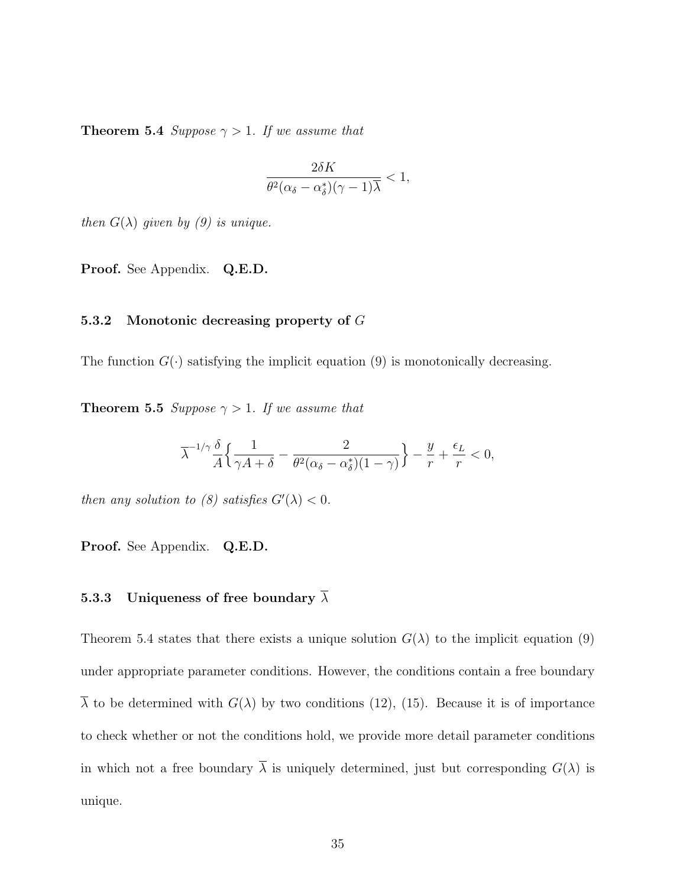**Theorem 5.4** Suppose  $\gamma > 1$ . If we assume that

$$
\frac{2\delta K}{\theta^2(\alpha_\delta-\alpha^*_\delta)(\gamma-1)\overline{\lambda}}<1,
$$

then  $G(\lambda)$  given by (9) is unique.

Proof. See Appendix. Q.E.D.

#### 5.3.2 Monotonic decreasing property of G

The function  $G(\cdot)$  satisfying the implicit equation (9) is monotonically decreasing.

**Theorem 5.5** Suppose  $\gamma > 1$ . If we assume that

$$
\overline{\lambda}^{-1/\gamma}\frac{\delta}{A}\Big\{\frac{1}{\gamma A+\delta}-\frac{2}{\theta^2(\alpha_{\delta}-\alpha^*_{\delta})(1-\gamma)}\Big\}-\frac{y}{r}+\frac{\epsilon_L}{r}<0,
$$

then any solution to (8) satisfies  $G'(\lambda) < 0$ .

Proof. See Appendix. Q.E.D.

### 5.3.3 Uniqueness of free boundary  $\overline{\lambda}$

Theorem 5.4 states that there exists a unique solution  $G(\lambda)$  to the implicit equation (9) under appropriate parameter conditions. However, the conditions contain a free boundary  $\overline{\lambda}$  to be determined with  $G(\lambda)$  by two conditions (12), (15). Because it is of importance to check whether or not the conditions hold, we provide more detail parameter conditions in which not a free boundary  $\overline{\lambda}$  is uniquely determined, just but corresponding  $G(\lambda)$  is unique.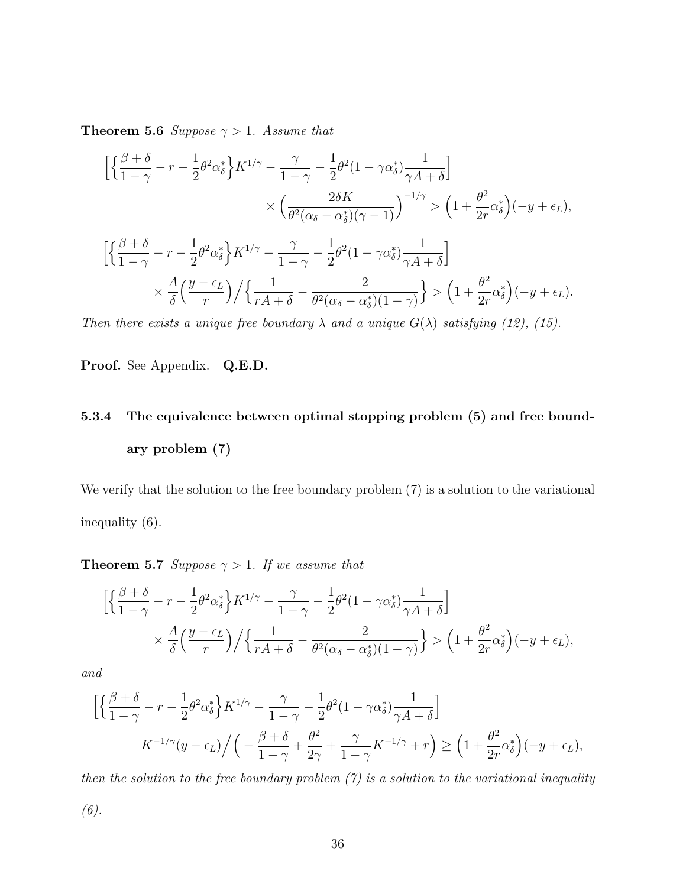**Theorem 5.6** Suppose  $\gamma > 1$ . Assume that

$$
\begin{split} &\Big[\Big\{\frac{\beta+\delta}{1-\gamma}-r-\frac{1}{2}\theta^2\alpha_\delta^*\Big\}K^{1/\gamma}-\frac{\gamma}{1-\gamma}-\frac{1}{2}\theta^2(1-\gamma\alpha_\delta^*)\frac{1}{\gamma A+\delta}\Big]\\ &\qquad \qquad \times\Big(\frac{2\delta K}{\theta^2(\alpha_\delta-\alpha_\delta^*) (\gamma-1)}\Big)^{-1/\gamma}>\Big(1+\frac{\theta^2}{2r}\alpha_\delta^*\Big)(-y+\epsilon_L),\\ &\Big[\Big\{\frac{\beta+\delta}{1-\gamma}-r-\frac{1}{2}\theta^2\alpha_\delta^*\Big\}K^{1/\gamma}-\frac{\gamma}{1-\gamma}-\frac{1}{2}\theta^2(1-\gamma\alpha_\delta^*)\frac{1}{\gamma A+\delta}\Big]\\ &\qquad \qquad \times\frac{A}{\delta}\Big(\frac{y-\epsilon_L}{r}\Big)\Big/\Big\{\frac{1}{rA+\delta}-\frac{2}{\theta^2(\alpha_\delta-\alpha_\delta^*)(1-\gamma)}\Big\}>\Big(1+\frac{\theta^2}{2r}\alpha_\delta^*\Big)(-y+\epsilon_L). \end{split}
$$

Then there exists a unique free boundary  $\overline{\lambda}$  and a unique  $G(\lambda)$  satisfying (12), (15).

Proof. See Appendix. Q.E.D.

# 5.3.4 The equivalence between optimal stopping problem (5) and free boundary problem (7)

We verify that the solution to the free boundary problem  $(7)$  is a solution to the variational inequality (6).

**Theorem 5.7** Suppose  $\gamma > 1$ . If we assume that

$$
\left[ \left\{ \frac{\beta+\delta}{1-\gamma} - r - \frac{1}{2} \theta^2 \alpha_{\delta}^* \right\} K^{1/\gamma} - \frac{\gamma}{1-\gamma} - \frac{1}{2} \theta^2 (1-\gamma \alpha_{\delta}^*) \frac{1}{\gamma A + \delta} \right] \times \frac{A}{\delta} \left( \frac{y-\epsilon_L}{r} \right) / \left\{ \frac{1}{rA+\delta} - \frac{2}{\theta^2 (\alpha_{\delta} - \alpha_{\delta}^*) (1-\gamma)} \right\} > \left( 1 + \frac{\theta^2}{2r} \alpha_{\delta}^* \right) (-y+\epsilon_L),
$$

and

$$
\left[ \left\{ \frac{\beta+\delta}{1-\gamma} - r - \frac{1}{2} \theta^2 \alpha_{\delta}^* \right\} K^{1/\gamma} - \frac{\gamma}{1-\gamma} - \frac{1}{2} \theta^2 (1-\gamma \alpha_{\delta}^*) \frac{1}{\gamma A + \delta} \right]
$$
  

$$
K^{-1/\gamma} (y - \epsilon_L) / \left( - \frac{\beta+\delta}{1-\gamma} + \frac{\theta^2}{2\gamma} + \frac{\gamma}{1-\gamma} K^{-1/\gamma} + r \right) \ge \left( 1 + \frac{\theta^2}{2r} \alpha_{\delta}^* \right) (-y + \epsilon_L),
$$

then the solution to the free boundary problem  $(7)$  is a solution to the variational inequality

(6).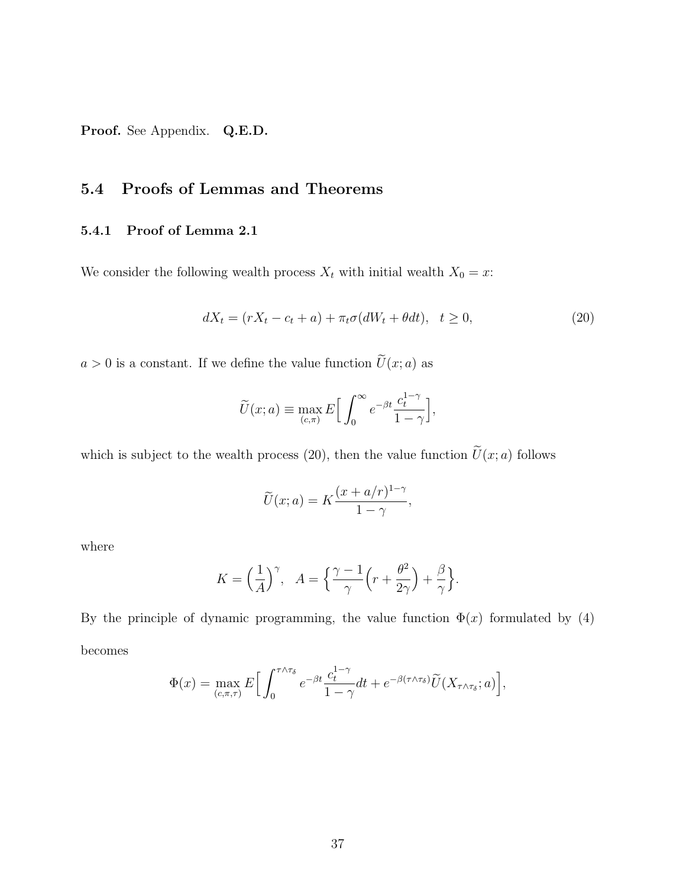Proof. See Appendix. Q.E.D.

## 5.4 Proofs of Lemmas and Theorems

#### 5.4.1 Proof of Lemma 2.1

We consider the following wealth process  $X_t$  with initial wealth  $X_0 = x$ :

$$
dX_t = (rX_t - c_t + a) + \pi_t \sigma(dW_t + \theta dt), \quad t \ge 0,
$$
\n<sup>(20)</sup>

 $a > 0$  is a constant. If we define the value function  $\widetilde{U}(x; a)$  as

$$
\widetilde{U}(x;a) \equiv \max_{(c,\pi)} E\Big[\int_0^\infty e^{-\beta t} \frac{c_t^{1-\gamma}}{1-\gamma}\Big],
$$

which is subject to the wealth process (20), then the value function  $\widetilde{U}(x; a)$  follows

$$
\widetilde{U}(x;a) = K \frac{(x+a/r)^{1-\gamma}}{1-\gamma},
$$

where

$$
K = \left(\frac{1}{A}\right)^{\gamma}, \quad A = \left\{\frac{\gamma - 1}{\gamma} \left(r + \frac{\theta^2}{2\gamma}\right) + \frac{\beta}{\gamma}\right\}.
$$

By the principle of dynamic programming, the value function  $\Phi(x)$  formulated by (4) becomes

$$
\Phi(x) = \max_{(c,\pi,\tau)} E\Big[\int_0^{\tau \wedge \tau_\delta} e^{-\beta t} \frac{c_t^{1-\gamma}}{1-\gamma} dt + e^{-\beta(\tau \wedge \tau_\delta)} \widetilde{U}(X_{\tau \wedge \tau_\delta};a)\Big],
$$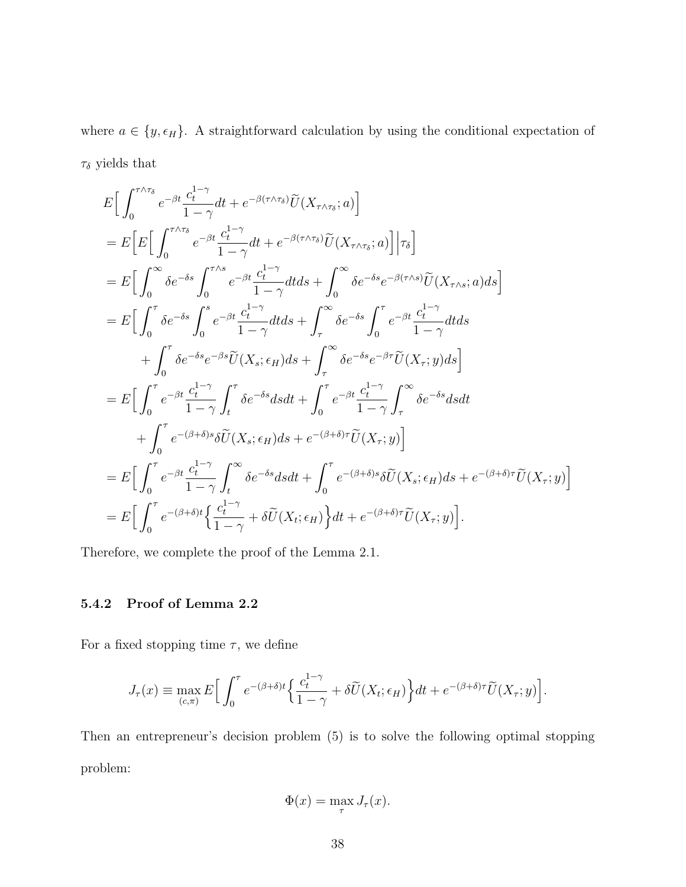where  $a \in \{y, \epsilon_H\}$ . A straightforward calculation by using the conditional expectation of  $\tau_\delta$  yields that

$$
E\left[\int_{0}^{\tau\wedge\tau_{\delta}}e^{-\beta t}\frac{c_{t}^{1-\gamma}}{1-\gamma}dt+e^{-\beta(\tau\wedge\tau_{\delta})}\widetilde{U}(X_{\tau\wedge\tau_{\delta}};a)\right]
$$
  
\n
$$
=E\left[E\left[\int_{0}^{\tau\wedge\tau_{\delta}}e^{-\beta t}\frac{c_{t}^{1-\gamma}}{1-\gamma}dt+e^{-\beta(\tau\wedge\tau_{\delta})}\widetilde{U}(X_{\tau\wedge\tau_{\delta}};a)\right]\Big|\tau_{\delta}\right]
$$
  
\n
$$
=E\left[\int_{0}^{\infty}\delta e^{-\delta s}\int_{0}^{\tau\wedge s}e^{-\beta t}\frac{c_{t}^{1-\gamma}}{1-\gamma}dtds+\int_{0}^{\infty}\delta e^{-\delta s}e^{-\beta(\tau\wedge s)}\widetilde{U}(X_{\tau\wedge s};a)ds\right]
$$
  
\n
$$
=E\left[\int_{0}^{\tau}\delta e^{-\delta s}\int_{0}^{s}e^{-\beta t}\frac{c_{t}^{1-\gamma}}{1-\gamma}dtds+\int_{\tau}^{\infty}\delta e^{-\delta s}\int_{0}^{\tau}e^{-\beta t}\frac{c_{t}^{1-\gamma}}{1-\gamma}dtds\right]
$$
  
\n
$$
+\int_{0}^{\tau}\delta e^{-\delta s}e^{-\beta s}\widetilde{U}(X_{s};\epsilon_{H})ds+\int_{\tau}^{\infty}\delta e^{-\delta s}e^{-\beta \tau}\widetilde{U}(X_{\tau};y)ds\right]
$$
  
\n
$$
=E\left[\int_{0}^{\tau}e^{-\beta t}\frac{c_{t}^{1-\gamma}}{1-\gamma}\int_{t}^{\tau}\delta e^{-\delta s}dsdt+\int_{0}^{\tau}e^{-\beta t}\frac{c_{t}^{1-\gamma}}{1-\gamma}\int_{\tau}^{\infty}\delta e^{-\delta s}dsdt\right]
$$
  
\n
$$
+\int_{0}^{\tau}e^{-(\beta+\delta)s}\delta\widetilde{U}(X_{s};\epsilon_{H})ds+e^{-(\beta+\delta)\tau}\widetilde{U}(X_{\tau};y)\right]
$$
  
\n
$$
=E\left[\int_{0}^{\tau}e^{-\beta t}\frac{c_{t}^{1-\gamma}}{1-\gamma}\int_{t}^
$$

Therefore, we complete the proof of the Lemma 2.1.

### 5.4.2 Proof of Lemma 2.2

For a fixed stopping time  $\tau$ , we define

$$
J_{\tau}(x) \equiv \max_{(c,\pi)} E\Big[\int_0^{\tau} e^{-(\beta+\delta)t} \Big\{\frac{c_t^{1-\gamma}}{1-\gamma} + \delta \widetilde{U}(X_t; \epsilon_H) \Big\} dt + e^{-(\beta+\delta)\tau} \widetilde{U}(X_{\tau}; y)\Big].
$$

Then an entrepreneur's decision problem (5) is to solve the following optimal stopping problem:

$$
\Phi(x) = \max_{\tau} J_{\tau}(x).
$$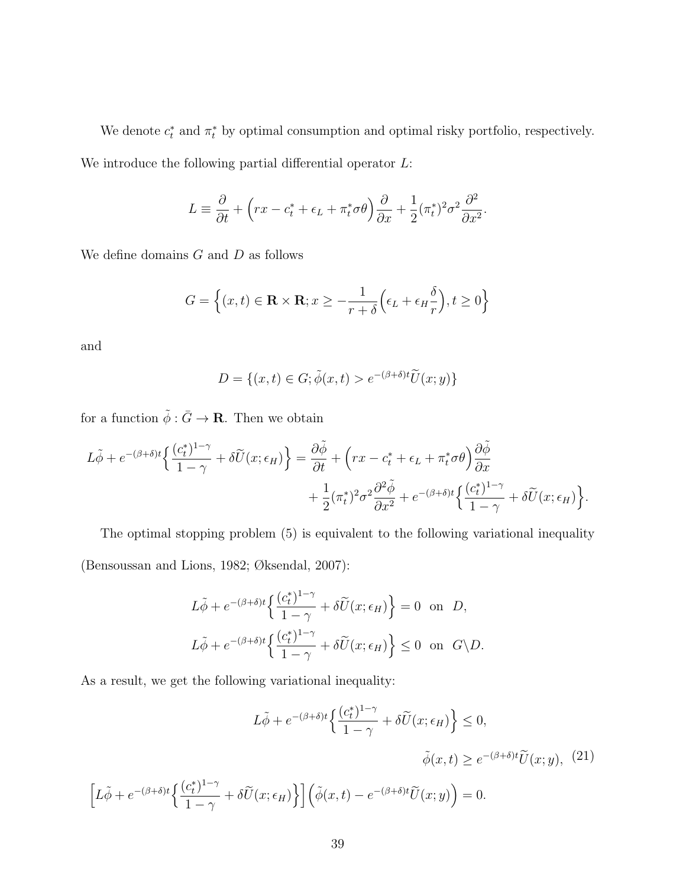We denote  $c_t^*$  and  $\pi_t^*$  by optimal consumption and optimal risky portfolio, respectively. We introduce the following partial differential operator  $L$ :

$$
L \equiv \frac{\partial}{\partial t} + \left( rx - c_t^* + \epsilon_L + \pi_t^* \sigma \theta \right) \frac{\partial}{\partial x} + \frac{1}{2} (\pi_t^*)^2 \sigma^2 \frac{\partial^2}{\partial x^2}.
$$

We define domains  $G$  and  $D$  as follows

$$
G = \left\{ (x, t) \in \mathbf{R} \times \mathbf{R}; x \ge -\frac{1}{r + \delta} \left( \epsilon_L + \epsilon_H \frac{\delta}{r} \right), t \ge 0 \right\}
$$

and

$$
D = \{(x, t) \in G; \tilde{\phi}(x, t) > e^{-(\beta + \delta)t} \tilde{U}(x, y)\}
$$

for a function  $\tilde{\phi}:\bar{G}\to{\mathbf R}.$  Then we obtain

$$
L\tilde{\phi} + e^{-(\beta+\delta)t} \left\{ \frac{(c_t^*)^{1-\gamma}}{1-\gamma} + \delta \widetilde{U}(x;\epsilon_H) \right\} = \frac{\partial \tilde{\phi}}{\partial t} + \left( rx - c_t^* + \epsilon_L + \pi_t^* \sigma \theta \right) \frac{\partial \tilde{\phi}}{\partial x} + \frac{1}{2} (\pi_t^*)^2 \sigma^2 \frac{\partial^2 \tilde{\phi}}{\partial x^2} + e^{-(\beta+\delta)t} \left\{ \frac{(c_t^*)^{1-\gamma}}{1-\gamma} + \delta \widetilde{U}(x;\epsilon_H) \right\}.
$$

The optimal stopping problem (5) is equivalent to the following variational inequality (Bensoussan and Lions, 1982; Øksendal, 2007):

$$
L\tilde{\phi} + e^{-(\beta + \delta)t} \left\{ \frac{(c_t^*)^{1-\gamma}}{1-\gamma} + \delta \tilde{U}(x; \epsilon_H) \right\} = 0 \text{ on } D,
$$
  

$$
L\tilde{\phi} + e^{-(\beta + \delta)t} \left\{ \frac{(c_t^*)^{1-\gamma}}{1-\gamma} + \delta \tilde{U}(x; \epsilon_H) \right\} \le 0 \text{ on } G \backslash D.
$$

As a result, we get the following variational inequality:

$$
L\tilde{\phi} + e^{-(\beta + \delta)t} \left\{ \frac{(c_t^*)^{1-\gamma}}{1-\gamma} + \delta \tilde{U}(x; \epsilon_H) \right\} \le 0,
$$

$$
\tilde{\phi}(x, t) \ge e^{-(\beta + \delta)t} \tilde{U}(x; y), \quad (21)
$$

$$
\left[ L\tilde{\phi} + e^{-(\beta + \delta)t} \left\{ \frac{(c_t^*)^{1-\gamma}}{1-\gamma} + \delta \tilde{U}(x; \epsilon_H) \right\} \right] \left( \tilde{\phi}(x, t) - e^{-(\beta + \delta)t} \tilde{U}(x; y) \right) = 0.
$$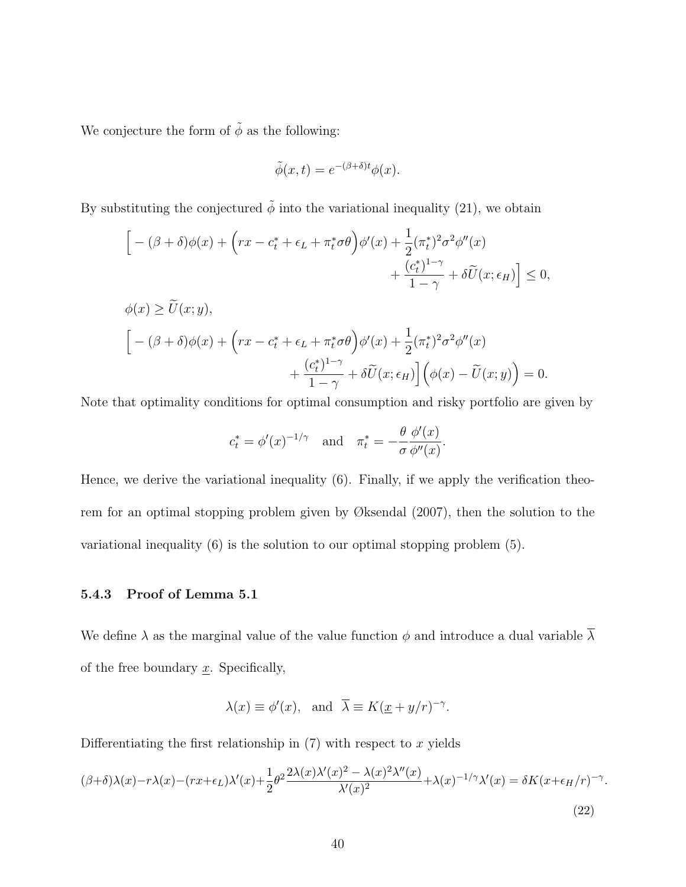We conjecture the form of  $\tilde{\phi}$  as the following:

$$
\tilde{\phi}(x,t) = e^{-(\beta + \delta)t} \phi(x).
$$

By substituting the conjectured  $\tilde{\phi}$  into the variational inequality (21), we obtain

$$
\begin{aligned}\n&\left[-\left(\beta+\delta\right)\phi(x)+\left(rx-c_t^*+\epsilon_L+\pi_t^*\sigma\theta\right)\phi'(x)+\frac{1}{2}(\pi_t^*)^2\sigma^2\phi''(x)\\&+\frac{(c_t^*)^{1-\gamma}}{1-\gamma}+\delta\widetilde{U}(x;\epsilon_H)\right]\leq 0,\\
&\phi(x)\geq \widetilde{U}(x;y),\\
&\left[-\left(\beta+\delta\right)\phi(x)+\left(rx-c_t^*+\epsilon_L+\pi_t^*\sigma\theta\right)\phi'(x)+\frac{1}{2}(\pi_t^*)^2\sigma^2\phi''(x)\\&+\frac{(c_t^*)^{1-\gamma}}{1-\gamma}+\delta\widetilde{U}(x;\epsilon_H)\right]\left(\phi(x)-\widetilde{U}(x;y)\right)=0.\n\end{aligned}
$$

Note that optimality conditions for optimal consumption and risky portfolio are given by

$$
c_t^* = \phi'(x)^{-1/\gamma}
$$
 and  $\pi_t^* = -\frac{\theta}{\sigma} \frac{\phi'(x)}{\phi''(x)}$ .

Hence, we derive the variational inequality (6). Finally, if we apply the verification theorem for an optimal stopping problem given by Øksendal (2007), then the solution to the variational inequality (6) is the solution to our optimal stopping problem (5).

### 5.4.3 Proof of Lemma 5.1

We define  $\lambda$  as the marginal value of the value function  $\phi$  and introduce a dual variable  $\overline{\lambda}$ of the free boundary  $\underline{x}$ . Specifically,

$$
\lambda(x) \equiv \phi'(x)
$$
, and  $\overline{\lambda} \equiv K(\underline{x} + y/r)^{-\gamma}$ .

Differentiating the first relationship in  $(7)$  with respect to x yields

$$
(\beta + \delta)\lambda(x) - r\lambda(x) - (rx + \epsilon_L)\lambda'(x) + \frac{1}{2}\theta^2 \frac{2\lambda(x)\lambda'(x)^2 - \lambda(x)^2\lambda''(x)}{\lambda'(x)^2} + \lambda(x)^{-1/\gamma}\lambda'(x) = \delta K(x + \epsilon_H/r)^{-\gamma}
$$
\n(22)

.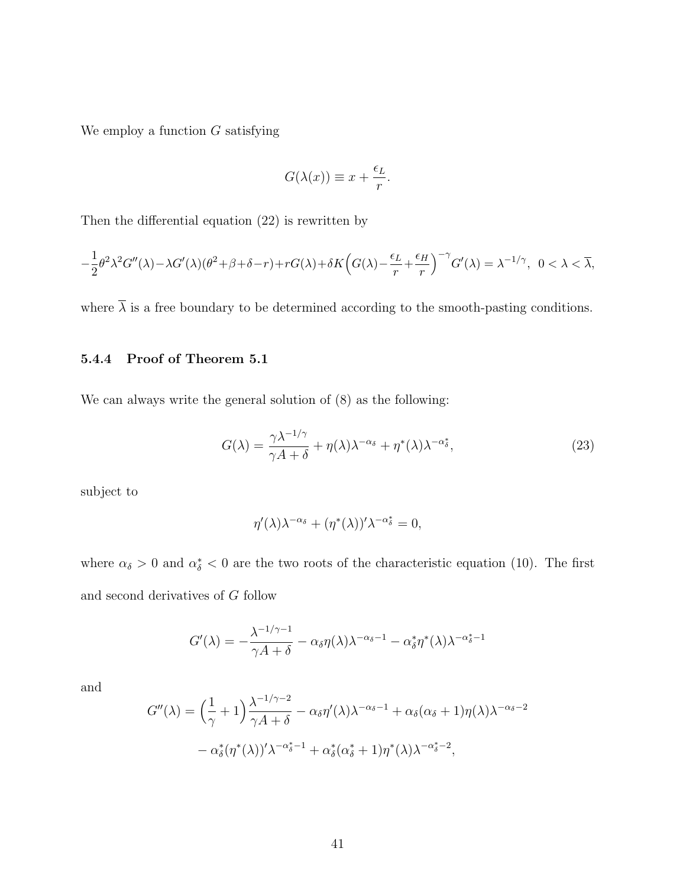We employ a function  $G$  satisfying

$$
G(\lambda(x)) \equiv x + \frac{\epsilon_L}{r}.
$$

Then the differential equation (22) is rewritten by

$$
-\frac{1}{2}\theta^2\lambda^2 G''(\lambda) - \lambda G'(\lambda)(\theta^2 + \beta + \delta - r) + rG(\lambda) + \delta K \Big(G(\lambda) - \frac{\epsilon_L}{r} + \frac{\epsilon_H}{r}\Big)^{-\gamma} G'(\lambda) = \lambda^{-1/\gamma}, \ \ 0 < \lambda < \overline{\lambda},
$$

where  $\overline{\lambda}$  is a free boundary to be determined according to the smooth-pasting conditions.

#### 5.4.4 Proof of Theorem 5.1

We can always write the general solution of (8) as the following:

$$
G(\lambda) = \frac{\gamma \lambda^{-1/\gamma}}{\gamma A + \delta} + \eta(\lambda) \lambda^{-\alpha_{\delta}} + \eta^*(\lambda) \lambda^{-\alpha_{\delta}^*},
$$
\n(23)

subject to

$$
\eta'(\lambda)\lambda^{-\alpha_{\delta}} + (\eta^*(\lambda))'\lambda^{-\alpha_{\delta}^*} = 0,
$$

where  $\alpha_{\delta} > 0$  and  $\alpha_{\delta}^* < 0$  are the two roots of the characteristic equation (10). The first and second derivatives of G follow

$$
G'(\lambda) = -\frac{\lambda^{-1/\gamma - 1}}{\gamma A + \delta} - \alpha_{\delta} \eta(\lambda) \lambda^{-\alpha_{\delta} - 1} - \alpha_{\delta}^* \eta^*(\lambda) \lambda^{-\alpha_{\delta}^* - 1}
$$

and

$$
G''(\lambda) = \left(\frac{1}{\gamma} + 1\right) \frac{\lambda^{-1/\gamma - 2}}{\gamma A + \delta} - \alpha_{\delta} \eta'(\lambda) \lambda^{-\alpha_{\delta} - 1} + \alpha_{\delta} (\alpha_{\delta} + 1) \eta(\lambda) \lambda^{-\alpha_{\delta} - 2}
$$

$$
- \alpha_{\delta}^*(\eta^*(\lambda))' \lambda^{-\alpha_{\delta}^* - 1} + \alpha_{\delta}^*(\alpha_{\delta}^* + 1) \eta^*(\lambda) \lambda^{-\alpha_{\delta}^* - 2},
$$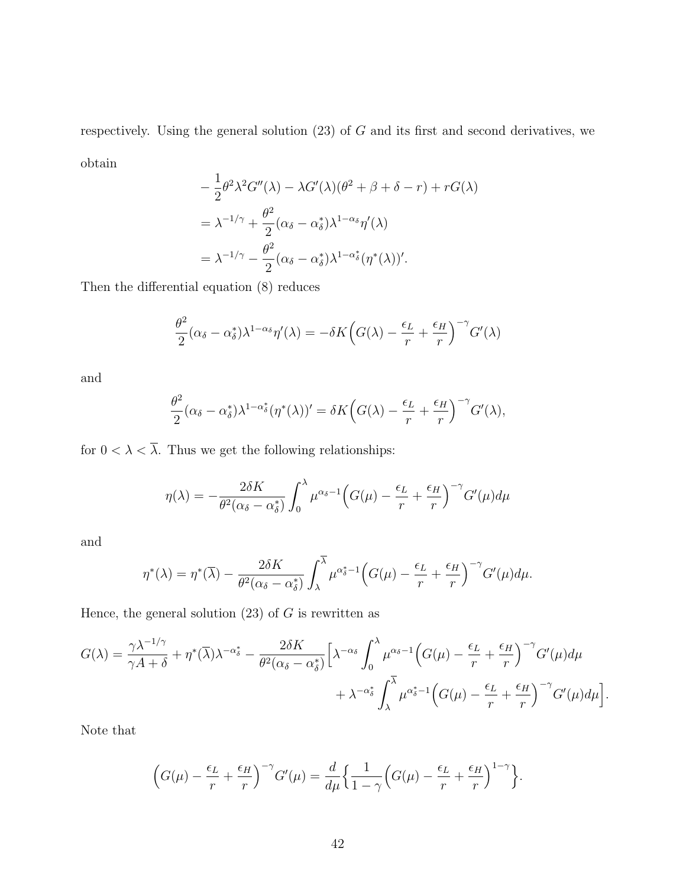respectively. Using the general solution  $(23)$  of G and its first and second derivatives, we obtain

$$
-\frac{1}{2}\theta^2\lambda^2 G''(\lambda) - \lambda G'(\lambda)(\theta^2 + \beta + \delta - r) + rG(\lambda)
$$
  
=  $\lambda^{-1/\gamma} + \frac{\theta^2}{2}(\alpha_\delta - \alpha_\delta^*)\lambda^{1-\alpha_\delta}\eta'(\lambda)$   
=  $\lambda^{-1/\gamma} - \frac{\theta^2}{2}(\alpha_\delta - \alpha_\delta^*)\lambda^{1-\alpha_\delta^*}(\eta^*(\lambda))'.$ 

Then the differential equation (8) reduces

$$
\frac{\theta^2}{2}(\alpha_\delta - \alpha_\delta^*)\lambda^{1-\alpha_\delta}\eta'(\lambda) = -\delta K\Big(G(\lambda) - \frac{\epsilon_L}{r} + \frac{\epsilon_H}{r}\Big)^{-\gamma}G'(\lambda)
$$

and

$$
\frac{\theta^2}{2}(\alpha_{\delta}-\alpha_{\delta}^*)\lambda^{1-\alpha_{\delta}^*}(\eta^*(\lambda))'=\delta K\Big(G(\lambda)-\frac{\epsilon_L}{r}+\frac{\epsilon_H}{r}\Big)^{-\gamma}G'(\lambda),
$$

for  $0 < \lambda < \overline{\lambda}$ . Thus we get the following relationships:

$$
\eta(\lambda) = -\frac{2\delta K}{\theta^2(\alpha_{\delta} - \alpha_{\delta}^*)} \int_0^{\lambda} \mu^{\alpha_{\delta} - 1} \left( G(\mu) - \frac{\epsilon_L}{r} + \frac{\epsilon_H}{r} \right)^{-\gamma} G'(\mu) d\mu
$$

and

$$
\eta^*(\lambda) = \eta^*(\overline{\lambda}) - \frac{2\delta K}{\theta^2(\alpha_{\delta} - \alpha_{\delta}^*)} \int_{\lambda}^{\lambda} \mu^{\alpha_{\delta}^* - 1} \Big(G(\mu) - \frac{\epsilon_L}{r} + \frac{\epsilon_H}{r}\Big)^{-\gamma} G'(\mu) d\mu.
$$

Hence, the general solution  $(23)$  of G is rewritten as

$$
G(\lambda) = \frac{\gamma \lambda^{-1/\gamma}}{\gamma A + \delta} + \eta^* (\overline{\lambda}) \lambda^{-\alpha_{\delta}^*} - \frac{2\delta K}{\theta^2 (\alpha_{\delta} - \alpha_{\delta}^*)} \Big[ \lambda^{-\alpha_{\delta}} \int_0^{\lambda} \mu^{\alpha_{\delta} - 1} \Big( G(\mu) - \frac{\epsilon_L}{r} + \frac{\epsilon_H}{r} \Big)^{-\gamma} G'(\mu) d\mu + \lambda^{-\alpha_{\delta}^*} \int_{\lambda}^{\overline{\lambda}} \mu^{\alpha_{\delta}^* - 1} \Big( G(\mu) - \frac{\epsilon_L}{r} + \frac{\epsilon_H}{r} \Big)^{-\gamma} G'(\mu) d\mu \Big].
$$

Note that

$$
\left(G(\mu) - \frac{\epsilon_L}{r} + \frac{\epsilon_H}{r}\right)^{-\gamma} G'(\mu) = \frac{d}{d\mu} \left\{ \frac{1}{1 - \gamma} \left( G(\mu) - \frac{\epsilon_L}{r} + \frac{\epsilon_H}{r} \right)^{1 - \gamma} \right\}.
$$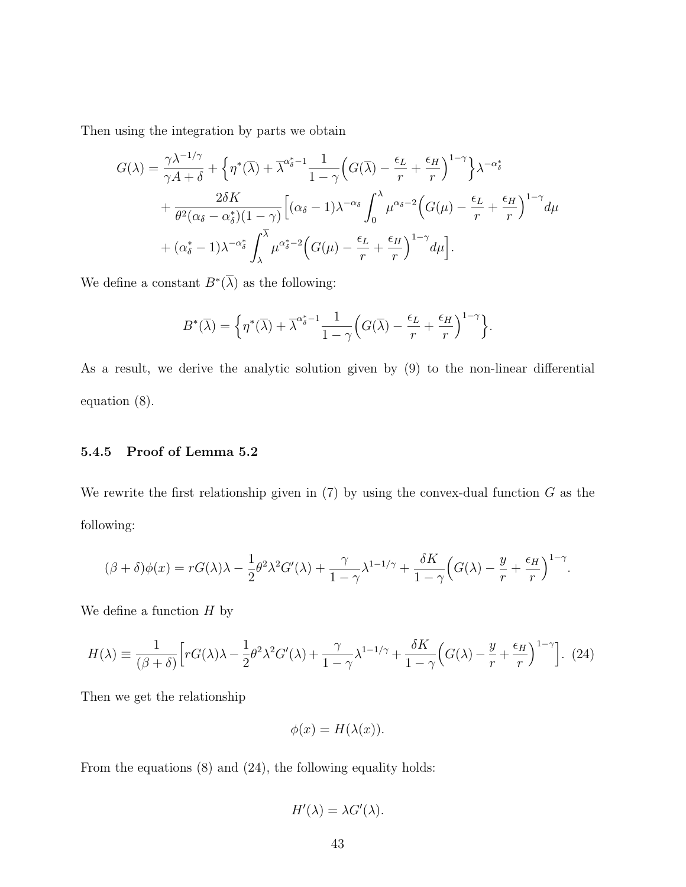Then using the integration by parts we obtain

$$
G(\lambda) = \frac{\gamma \lambda^{-1/\gamma}}{\gamma A + \delta} + \left\{ \eta^*(\overline{\lambda}) + \overline{\lambda}^{\alpha_{\delta}^* - 1} \frac{1}{1 - \gamma} \left( G(\overline{\lambda}) - \frac{\epsilon_L}{r} + \frac{\epsilon_H}{r} \right)^{1 - \gamma} \right\} \lambda^{-\alpha_{\delta}^*} + \frac{2\delta K}{\theta^2 (\alpha_{\delta} - \alpha_{\delta}^*) (1 - \gamma)} \left[ (\alpha_{\delta} - 1) \lambda^{-\alpha_{\delta}} \int_0^{\lambda} \mu^{\alpha_{\delta} - 2} \left( G(\mu) - \frac{\epsilon_L}{r} + \frac{\epsilon_H}{r} \right)^{1 - \gamma} d\mu + (\alpha_{\delta}^* - 1) \lambda^{-\alpha_{\delta}^*} \int_{\lambda}^{\overline{\lambda}} \mu^{\alpha_{\delta}^* - 2} \left( G(\mu) - \frac{\epsilon_L}{r} + \frac{\epsilon_H}{r} \right)^{1 - \gamma} d\mu \right].
$$

We define a constant  $B^*(\overline{\lambda})$  as the following:

$$
B^*(\overline{\lambda}) = \left\{ \eta^*(\overline{\lambda}) + \overline{\lambda}^{\alpha_{\delta}^*-1} \frac{1}{1-\gamma} \Big( G(\overline{\lambda}) - \frac{\epsilon_L}{r} + \frac{\epsilon_H}{r} \Big)^{1-\gamma} \right\}.
$$

As a result, we derive the analytic solution given by (9) to the non-linear differential equation (8).

#### 5.4.5 Proof of Lemma 5.2

We rewrite the first relationship given in  $(7)$  by using the convex-dual function G as the following:

$$
(\beta + \delta)\phi(x) = rG(\lambda)\lambda - \frac{1}{2}\theta^2\lambda^2G'(\lambda) + \frac{\gamma}{1-\gamma}\lambda^{1-1/\gamma} + \frac{\delta K}{1-\gamma}\Big(G(\lambda) - \frac{y}{r} + \frac{\epsilon_H}{r}\Big)^{1-\gamma}.
$$

We define a function  $H$  by

$$
H(\lambda) \equiv \frac{1}{(\beta + \delta)} \Big[ r G(\lambda) \lambda - \frac{1}{2} \theta^2 \lambda^2 G'(\lambda) + \frac{\gamma}{1 - \gamma} \lambda^{1 - 1/\gamma} + \frac{\delta K}{1 - \gamma} \Big( G(\lambda) - \frac{y}{r} + \frac{\epsilon_H}{r} \Big)^{1 - \gamma} \Big]. \tag{24}
$$

Then we get the relationship

$$
\phi(x) = H(\lambda(x)).
$$

From the equations (8) and (24), the following equality holds:

$$
H'(\lambda) = \lambda G'(\lambda).
$$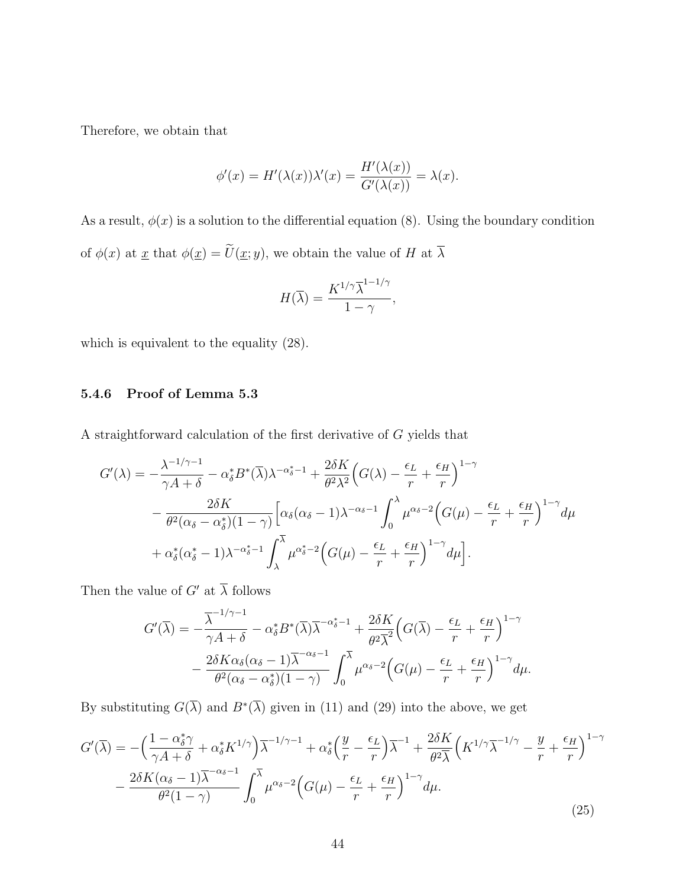Therefore, we obtain that

$$
\phi'(x) = H'(\lambda(x))\lambda'(x) = \frac{H'(\lambda(x))}{G'(\lambda(x))} = \lambda(x).
$$

As a result,  $\phi(x)$  is a solution to the differential equation (8). Using the boundary condition of  $\phi(x)$  at  $\underline{x}$  that  $\phi(\underline{x}) = \widetilde{U}(\underline{x}; y)$ , we obtain the value of H at  $\overline{\lambda}$ 

$$
H(\overline{\lambda}) = \frac{K^{1/\gamma} \overline{\lambda}^{1-1/\gamma}}{1-\gamma},
$$

which is equivalent to the equality (28).

### 5.4.6 Proof of Lemma 5.3

A straightforward calculation of the first derivative of G yields that

$$
G'(\lambda) = -\frac{\lambda^{-1/\gamma - 1}}{\gamma A + \delta} - \alpha_{\delta}^{*} B^{*}(\overline{\lambda}) \lambda^{-\alpha_{\delta}^{*} - 1} + \frac{2\delta K}{\theta^{2} \lambda^{2}} \Big(G(\lambda) - \frac{\epsilon_{L}}{r} + \frac{\epsilon_{H}}{r}\Big)^{1 - \gamma} - \frac{2\delta K}{\theta^{2} (\alpha_{\delta} - \alpha_{\delta}^{*})(1 - \gamma)} \Big[\alpha_{\delta} (\alpha_{\delta} - 1) \lambda^{-\alpha_{\delta} - 1} \int_{0}^{\lambda} \mu^{\alpha_{\delta} - 2} \Big(G(\mu) - \frac{\epsilon_{L}}{r} + \frac{\epsilon_{H}}{r}\Big)^{1 - \gamma} d\mu + \alpha_{\delta}^{*} (\alpha_{\delta}^{*} - 1) \lambda^{-\alpha_{\delta}^{*} - 1} \int_{\lambda}^{\overline{\lambda}} \mu^{\alpha_{\delta}^{*} - 2} \Big(G(\mu) - \frac{\epsilon_{L}}{r} + \frac{\epsilon_{H}}{r}\Big)^{1 - \gamma} d\mu\Big].
$$

Then the value of  $G'$  at  $\overline{\lambda}$  follows

$$
G'(\overline{\lambda}) = -\frac{\overline{\lambda}^{-1/\gamma - 1}}{\gamma A + \delta} - \alpha_{\delta}^{*} B^{*}(\overline{\lambda}) \overline{\lambda}^{-\alpha_{\delta}^{*} - 1} + \frac{2\delta K}{\theta^{2} \overline{\lambda}^{2}} \Big(G(\overline{\lambda}) - \frac{\epsilon_{L}}{r} + \frac{\epsilon_{H}}{r}\Big)^{1 - \gamma} - \frac{2\delta K \alpha_{\delta} (\alpha_{\delta} - 1) \overline{\lambda}^{-\alpha_{\delta} - 1}}{\theta^{2} (\alpha_{\delta} - \alpha_{\delta}^{*})(1 - \gamma)} \int_{0}^{\overline{\lambda}} \mu^{\alpha_{\delta} - 2} \Big(G(\mu) - \frac{\epsilon_{L}}{r} + \frac{\epsilon_{H}}{r}\Big)^{1 - \gamma} d\mu.
$$

By substituting  $G(\overline{\lambda})$  and  $B^*(\overline{\lambda})$  given in (11) and (29) into the above, we get

$$
G'(\overline{\lambda}) = -\left(\frac{1 - \alpha_{\delta}^* \gamma}{\gamma A + \delta} + \alpha_{\delta}^* K^{1/\gamma}\right) \overline{\lambda}^{-1/\gamma - 1} + \alpha_{\delta}^* \left(\frac{y}{r} - \frac{\epsilon_L}{r}\right) \overline{\lambda}^{-1} + \frac{2\delta K}{\theta^2 \overline{\lambda}} \left(K^{1/\gamma} \overline{\lambda}^{-1/\gamma} - \frac{y}{r} + \frac{\epsilon_H}{r}\right)^{1 - \gamma} - \frac{2\delta K (\alpha_{\delta} - 1) \overline{\lambda}^{-\alpha_{\delta} - 1}}{\theta^2 (1 - \gamma)} \int_0^{\overline{\lambda}} \mu^{\alpha_{\delta} - 2} \left(G(\mu) - \frac{\epsilon_L}{r} + \frac{\epsilon_H}{r}\right)^{1 - \gamma} d\mu.
$$
\n(25)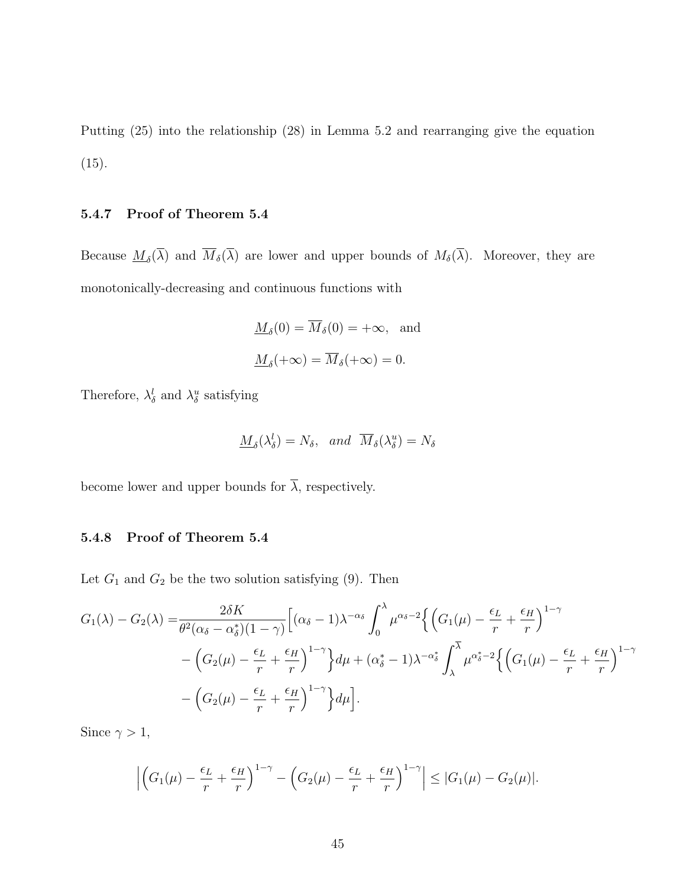Putting (25) into the relationship (28) in Lemma 5.2 and rearranging give the equation  $(15).$ 

#### 5.4.7 Proof of Theorem 5.4

Because  $\underline{M}_{\delta}(\lambda)$  and  $M_{\delta}(\lambda)$  are lower and upper bounds of  $M_{\delta}(\lambda)$ . Moreover, they are monotonically-decreasing and continuous functions with

$$
\underline{M}_{\delta}(0) = \overline{M}_{\delta}(0) = +\infty, \text{ and}
$$
  

$$
\underline{M}_{\delta}(+\infty) = \overline{M}_{\delta}(+\infty) = 0.
$$

Therefore,  $\lambda_{\delta}^{l}$  and  $\lambda_{\delta}^{u}$  satisfying

$$
\underline{M}_{\delta}(\lambda_{\delta}^{l}) = N_{\delta}, \quad and \quad \overline{M}_{\delta}(\lambda_{\delta}^{u}) = N_{\delta}
$$

become lower and upper bounds for  $\overline{\lambda}$ , respectively.

### 5.4.8 Proof of Theorem 5.4

Let  $G_1$  and  $G_2$  be the two solution satisfying (9). Then

$$
G_1(\lambda) - G_2(\lambda) = \frac{2\delta K}{\theta^2(\alpha_\delta - \alpha_\delta^*)(1 - \gamma)} \Big[ (\alpha_\delta - 1) \lambda^{-\alpha_\delta} \int_0^\lambda \mu^{\alpha_\delta - 2} \Big\{ \Big( G_1(\mu) - \frac{\epsilon_L}{r} + \frac{\epsilon_H}{r} \Big)^{1 - \gamma} - \Big( G_2(\mu) - \frac{\epsilon_L}{r} + \frac{\epsilon_H}{r} \Big)^{1 - \gamma} \Big\} d\mu + (\alpha_\delta^* - 1) \lambda^{-\alpha_\delta^*} \int_\lambda^{\overline{\lambda}} \mu^{\alpha_\delta^* - 2} \Big\{ \Big( G_1(\mu) - \frac{\epsilon_L}{r} + \frac{\epsilon_H}{r} \Big)^{1 - \gamma} - \Big( G_2(\mu) - \frac{\epsilon_L}{r} + \frac{\epsilon_H}{r} \Big)^{1 - \gamma} \Big\} d\mu \Big].
$$

Since  $\gamma > 1$ ,

$$
\left| \left( G_1(\mu) - \frac{\epsilon_L}{r} + \frac{\epsilon_H}{r} \right)^{1-\gamma} - \left( G_2(\mu) - \frac{\epsilon_L}{r} + \frac{\epsilon_H}{r} \right)^{1-\gamma} \right| \leq |G_1(\mu) - G_2(\mu)|.
$$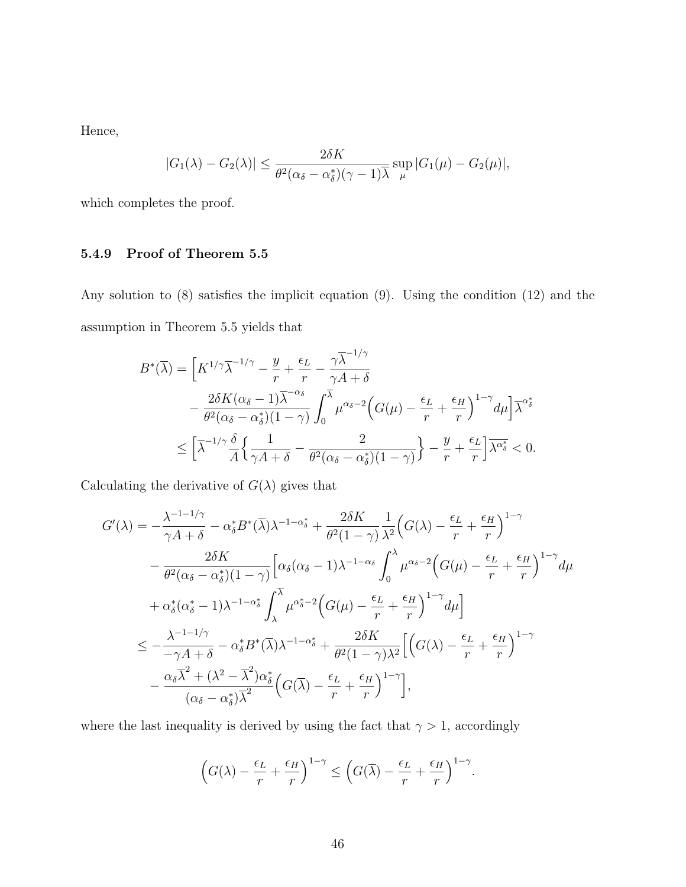Hence,

$$
|G_1(\lambda) - G_2(\lambda)| \le \frac{2\delta K}{\theta^2(\alpha_{\delta} - \alpha_{\delta}^*)(\gamma - 1)\overline{\lambda}} \sup_{\mu} |G_1(\mu) - G_2(\mu)|,
$$

which completes the proof.

## 5.4.9 Proof of Theorem 5.5

Any solution to (8) satisfies the implicit equation (9). Using the condition (12) and the assumption in Theorem 5.5 yields that

$$
B^*(\overline{\lambda}) = \left[K^{1/\gamma}\overline{\lambda}^{-1/\gamma} - \frac{y}{r} + \frac{\epsilon_L}{r} - \frac{\gamma \overline{\lambda}^{-1/\gamma}}{\gamma A + \delta} - \frac{2\delta K(\alpha_{\delta} - 1)\overline{\lambda}^{-\alpha_{\delta}}}{\theta^2(\alpha_{\delta} - \alpha_{\delta}^*)(1 - \gamma)} \int_0^{\overline{\lambda}} \mu^{\alpha_{\delta} - 2} \Big(G(\mu) - \frac{\epsilon_L}{r} + \frac{\epsilon_H}{r}\Big)^{1 - \gamma} d\mu\Big] \overline{\lambda}^{\alpha_{\delta}^*} \n\leq \left[\overline{\lambda}^{-1/\gamma} \frac{\delta}{A} \Big\{\frac{1}{\gamma A + \delta} - \frac{2}{\theta^2(\alpha_{\delta} - \alpha_{\delta}^*)(1 - \gamma)}\Big\} - \frac{y}{r} + \frac{\epsilon_L}{r}\right] \overline{\lambda^{\alpha_{\delta}^*}} < 0.
$$

Calculating the derivative of  $G(\lambda)$  gives that

$$
G'(\lambda) = -\frac{\lambda^{-1-1/\gamma}}{\gamma A + \delta} - \alpha_{\delta}^{*} B^{*}(\overline{\lambda}) \lambda^{-1-\alpha_{\delta}^{*}} + \frac{2\delta K}{\theta^{2}(1-\gamma)} \frac{1}{\lambda^{2}} \Big( G(\lambda) - \frac{\epsilon_{L}}{r} + \frac{\epsilon_{H}}{r} \Big)^{1-\gamma} - \frac{2\delta K}{\theta^{2}(\alpha_{\delta} - \alpha_{\delta}^{*})(1-\gamma)} \Big[ \alpha_{\delta}(\alpha_{\delta} - 1) \lambda^{-1-\alpha_{\delta}} \int_{0}^{\lambda} \mu^{\alpha_{\delta}-2} \Big( G(\mu) - \frac{\epsilon_{L}}{r} + \frac{\epsilon_{H}}{r} \Big)^{1-\gamma} d\mu + \alpha_{\delta}^{*}(\alpha_{\delta}^{*} - 1) \lambda^{-1-\alpha_{\delta}^{*}} \int_{\lambda}^{\overline{\lambda}} \mu^{\alpha_{\delta}^{*}-2} \Big( G(\mu) - \frac{\epsilon_{L}}{r} + \frac{\epsilon_{H}}{r} \Big)^{1-\gamma} d\mu \Big] - \frac{\epsilon_{L} - \lambda^{-1-1/\gamma}}{-\gamma A + \delta} - \alpha_{\delta}^{*} B^{*}(\overline{\lambda}) \lambda^{-1-\alpha_{\delta}^{*}} + \frac{2\delta K}{\theta^{2}(1-\gamma)\lambda^{2}} \Big[ \Big( G(\lambda) - \frac{\epsilon_{L}}{r} + \frac{\epsilon_{H}}{r} \Big)^{1-\gamma} - \frac{\alpha_{\delta} \overline{\lambda}^{2} + (\lambda^{2} - \overline{\lambda}^{2}) \alpha_{\delta}^{*}}{(\alpha_{\delta} - \alpha_{\delta}^{*}) \overline{\lambda}^{2}} \Big( G(\overline{\lambda}) - \frac{\epsilon_{L}}{r} + \frac{\epsilon_{H}}{r} \Big)^{1-\gamma} \Big],
$$

where the last inequality is derived by using the fact that  $\gamma > 1$ , accordingly

$$
\left(G(\lambda) - \frac{\epsilon_L}{r} + \frac{\epsilon_H}{r}\right)^{1-\gamma} \le \left(G(\overline{\lambda}) - \frac{\epsilon_L}{r} + \frac{\epsilon_H}{r}\right)^{1-\gamma}.
$$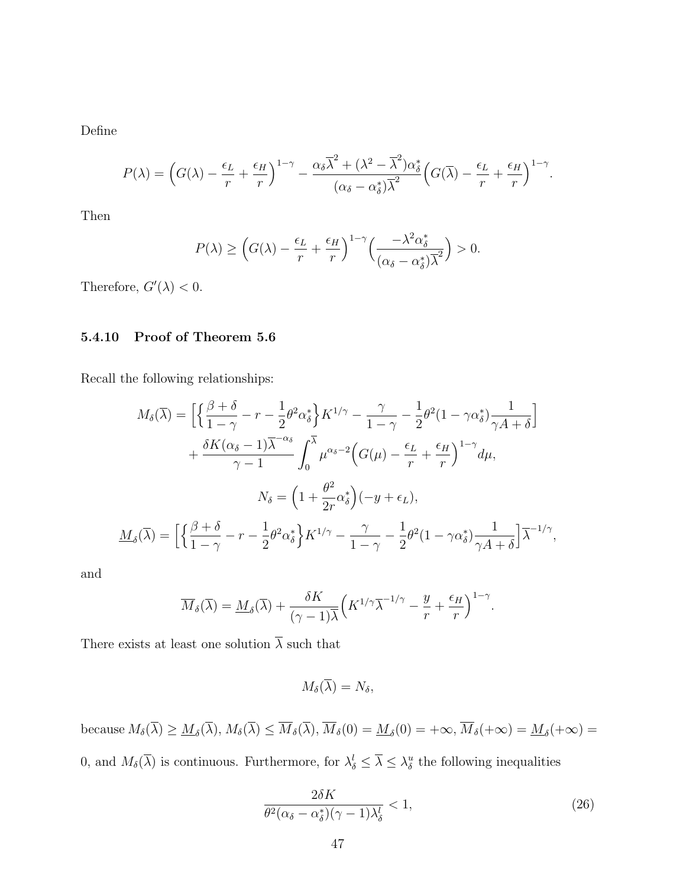Define

$$
P(\lambda) = \left(G(\lambda) - \frac{\epsilon_L}{r} + \frac{\epsilon_H}{r}\right)^{1-\gamma} - \frac{\alpha_\delta \overline{\lambda}^2 + (\lambda^2 - \overline{\lambda}^2)\alpha_\delta^*}{(\alpha_\delta - \alpha_\delta^*)\overline{\lambda}^2} \left(G(\overline{\lambda}) - \frac{\epsilon_L}{r} + \frac{\epsilon_H}{r}\right)^{1-\gamma}.
$$

Then

$$
P(\lambda) \ge \left( G(\lambda) - \frac{\epsilon_L}{r} + \frac{\epsilon_H}{r} \right)^{1-\gamma} \left( \frac{-\lambda^2 \alpha_{\delta}^*}{(\alpha_{\delta} - \alpha_{\delta}^*)^2} \right) > 0.
$$

Therefore,  $G'(\lambda) < 0$ .

#### 5.4.10 Proof of Theorem 5.6

Recall the following relationships:

$$
M_{\delta}(\overline{\lambda}) = \left[ \left\{ \frac{\beta + \delta}{1 - \gamma} - r - \frac{1}{2} \theta^2 \alpha_{\delta}^* \right\} K^{1/\gamma} - \frac{\gamma}{1 - \gamma} - \frac{1}{2} \theta^2 (1 - \gamma \alpha_{\delta}^*) \frac{1}{\gamma A + \delta} \right] + \frac{\delta K (\alpha_{\delta} - 1) \overline{\lambda}^{-\alpha_{\delta}}}{\gamma - 1} \int_0^{\overline{\lambda}} \mu^{\alpha_{\delta} - 2} \Big( G(\mu) - \frac{\epsilon_L}{r} + \frac{\epsilon_H}{r} \Big)^{1 - \gamma} d\mu, N_{\delta} = \left( 1 + \frac{\theta^2}{2r} \alpha_{\delta}^* \right) (-y + \epsilon_L), \n\underline{M}_{\delta}(\overline{\lambda}) = \left[ \left\{ \frac{\beta + \delta}{1 - \gamma} - r - \frac{1}{2} \theta^2 \alpha_{\delta}^* \right\} K^{1/\gamma} - \frac{\gamma}{1 - \gamma} - \frac{1}{2} \theta^2 (1 - \gamma \alpha_{\delta}^*) \frac{1}{\gamma A + \delta} \right] \overline{\lambda}^{-1/\gamma},
$$

and

$$
\overline{M}_{\delta}(\overline{\lambda}) = \underline{M}_{\delta}(\overline{\lambda}) + \frac{\delta K}{(\gamma - 1)\overline{\lambda}} \Big( K^{1/\gamma} \overline{\lambda}^{-1/\gamma} - \frac{y}{r} + \frac{\epsilon_H}{r} \Big)^{1 - \gamma}.
$$

There exists at least one solution  $\overline{\lambda}$  such that

$$
M_{\delta}(\lambda)=N_{\delta},
$$

because  $M_{\delta}(\lambda) \geq \underline{M}_{\delta}(\lambda), M_{\delta}(\lambda) \leq M_{\delta}(\lambda), M_{\delta}(0) = \underline{M}_{\delta}(0) = +\infty, M_{\delta}(+\infty) = \underline{M}_{\delta}(+\infty) =$ 0, and  $M_{\delta}(\overline{\lambda})$  is continuous. Furthermore, for  $\lambda_{\delta}^{l} \leq \overline{\lambda} \leq \lambda_{\delta}^{u}$  the following inequalities

$$
\frac{2\delta K}{\theta^2(\alpha_\delta - \alpha_\delta^*)(\gamma - 1)\lambda_\delta^l} < 1,\tag{26}
$$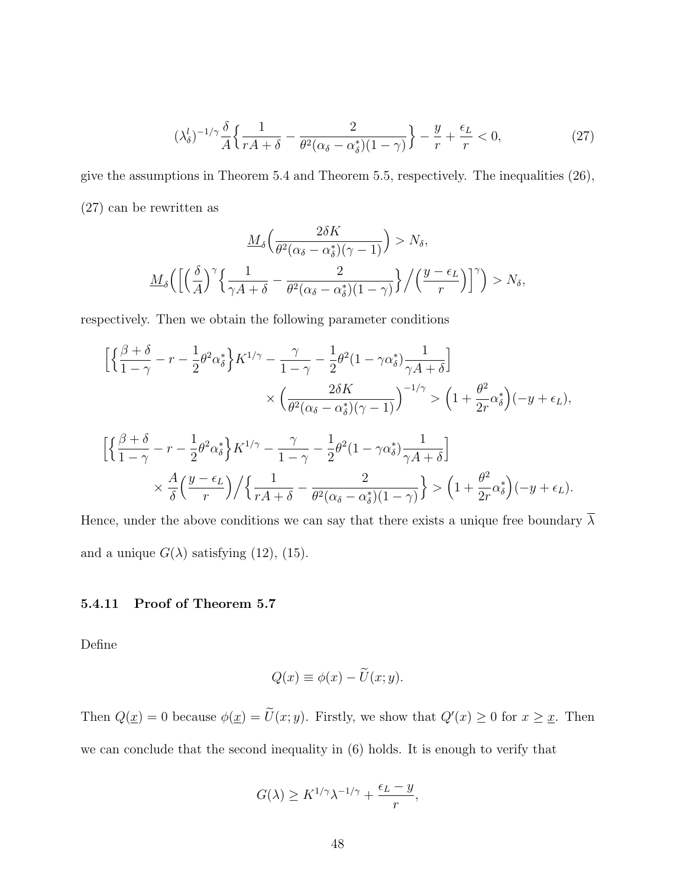$$
(\lambda_{\delta}^{l})^{-1/\gamma} \frac{\delta}{A} \left\{ \frac{1}{rA + \delta} - \frac{2}{\theta^{2}(\alpha_{\delta} - \alpha_{\delta}^{*})(1 - \gamma)} \right\} - \frac{y}{r} + \frac{\epsilon_{L}}{r} < 0,\tag{27}
$$

give the assumptions in Theorem 5.4 and Theorem 5.5, respectively. The inequalities (26), (27) can be rewritten as

$$
\underline{M}_{\delta}\left(\frac{2\delta K}{\theta^2(\alpha_{\delta}-\alpha_{\delta}^*)(\gamma-1)}\right) > N_{\delta},
$$

$$
\underline{M}_{\delta}\left(\left[\left(\frac{\delta}{A}\right)^{\gamma}\left\{\frac{1}{\gamma A+\delta}-\frac{2}{\theta^2(\alpha_{\delta}-\alpha_{\delta}^*)(1-\gamma)}\right\}/\left(\frac{y-\epsilon_L}{r}\right)\right]^{\gamma}\right) > N_{\delta},
$$

respectively. Then we obtain the following parameter conditions

$$
\begin{aligned} \Big[ \Big\{ \frac{\beta+\delta}{1-\gamma} - r - \frac{1}{2} \theta^2 \alpha_{\delta}^* \Big\} K^{1/\gamma} - \frac{\gamma}{1-\gamma} - \frac{1}{2} \theta^2 (1-\gamma \alpha_{\delta}^*) \frac{1}{\gamma A + \delta} \Big] \\ &\quad \times \Big( \frac{2\delta K}{\theta^2 (\alpha_{\delta} - \alpha_{\delta}^*) (\gamma - 1)} \Big)^{-1/\gamma} > \Big( 1 + \frac{\theta^2}{2r} \alpha_{\delta}^* \Big) (-y + \epsilon_L), \end{aligned}
$$

$$
\left[ \left\{ \frac{\beta+\delta}{1-\gamma} - r - \frac{1}{2} \theta^2 \alpha_{\delta}^* \right\} K^{1/\gamma} - \frac{\gamma}{1-\gamma} - \frac{1}{2} \theta^2 (1-\gamma \alpha_{\delta}^*) \frac{1}{\gamma A + \delta} \right] \times \frac{A}{\delta} \left( \frac{y-\epsilon_L}{r} \right) / \left\{ \frac{1}{rA+\delta} - \frac{2}{\theta^2 (\alpha_{\delta} - \alpha_{\delta}^*) (1-\gamma)} \right\} > \left( 1 + \frac{\theta^2}{2r} \alpha_{\delta}^* \right) (-y+\epsilon_L).
$$

Hence, under the above conditions we can say that there exists a unique free boundary  $\overline{\lambda}$ and a unique  $G(\lambda)$  satisfying (12), (15).

#### 5.4.11 Proof of Theorem 5.7

Define

$$
Q(x) \equiv \phi(x) - \widetilde{U}(x; y).
$$

Then  $Q(\underline{x}) = 0$  because  $\phi(\underline{x}) = \tilde{U}(x; y)$ . Firstly, we show that  $Q'(x) \geq 0$  for  $x \geq \underline{x}$ . Then we can conclude that the second inequality in (6) holds. It is enough to verify that

$$
G(\lambda) \ge K^{1/\gamma} \lambda^{-1/\gamma} + \frac{\epsilon_L - y}{r},
$$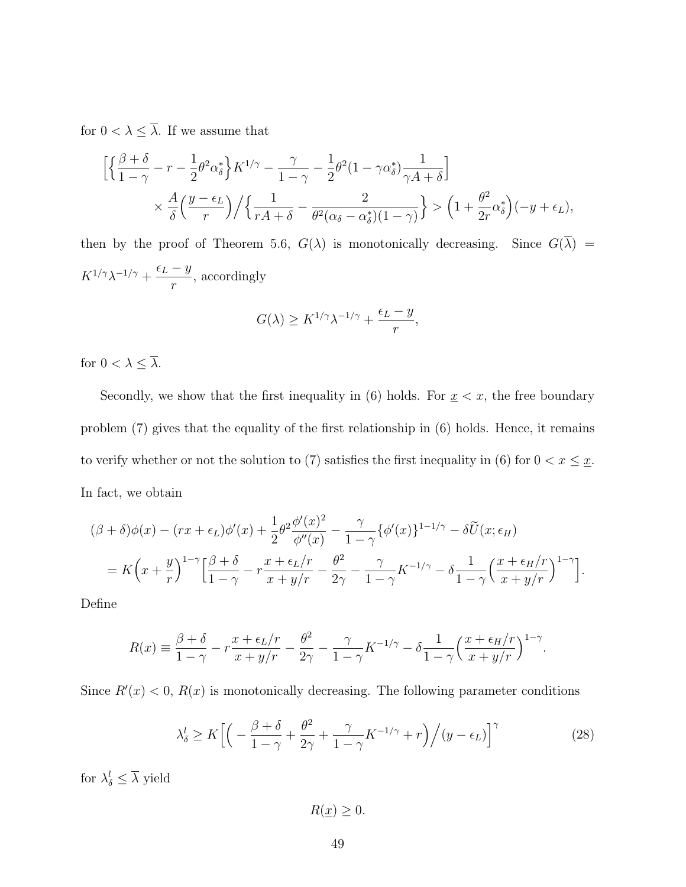for  $0 < \lambda \leq \overline{\lambda}$  . If we assume that

$$
\left[ \left\{ \frac{\beta+\delta}{1-\gamma} - r - \frac{1}{2} \theta^2 \alpha_{\delta}^* \right\} K^{1/\gamma} - \frac{\gamma}{1-\gamma} - \frac{1}{2} \theta^2 (1-\gamma \alpha_{\delta}^*) \frac{1}{\gamma A + \delta} \right] \times \frac{A}{\delta} \left( \frac{y-\epsilon_L}{r} \right) / \left\{ \frac{1}{rA+\delta} - \frac{2}{\theta^2 (\alpha_{\delta} - \alpha_{\delta}^*) (1-\gamma)} \right\} > \left( 1 + \frac{\theta^2}{2r} \alpha_{\delta}^* \right) (-y+\epsilon_L),
$$

then by the proof of Theorem 5.6,  $G(\lambda)$  is monotonically decreasing. Since  $G(\overline{\lambda})$  =  $K^{1/\gamma}\lambda^{-1/\gamma}+\frac{\epsilon_L-y}{\sqrt{2\pi}}$ r , accordingly

$$
G(\lambda) \ge K^{1/\gamma} \lambda^{-1/\gamma} + \frac{\epsilon_L - y}{r},
$$

for  $0 < \lambda \leq \overline{\lambda}$ .

Secondly, we show that the first inequality in (6) holds. For  $\underline{x} < x$ , the free boundary problem (7) gives that the equality of the first relationship in (6) holds. Hence, it remains to verify whether or not the solution to (7) satisfies the first inequality in (6) for  $0 < x \leq \underline{x}$ . In fact, we obtain

$$
(\beta + \delta)\phi(x) - (rx + \epsilon_L)\phi'(x) + \frac{1}{2}\theta^2 \frac{\phi'(x)^2}{\phi''(x)} - \frac{\gamma}{1-\gamma}\{\phi'(x)\}^{1-1/\gamma} - \delta\widetilde{U}(x;\epsilon_H)
$$
  
=  $K\left(x + \frac{y}{r}\right)^{1-\gamma}\Big[\frac{\beta+\delta}{1-\gamma} - r\frac{x+\epsilon_L/r}{x+y/r} - \frac{\theta^2}{2\gamma} - \frac{\gamma}{1-\gamma}K^{-1/\gamma} - \delta\frac{1}{1-\gamma}\Big(\frac{x+\epsilon_H/r}{x+y/r}\Big)^{1-\gamma}\Big].$ 

Define

$$
R(x) \equiv \frac{\beta + \delta}{1 - \gamma} - r \frac{x + \epsilon_L/r}{x + y/r} - \frac{\theta^2}{2\gamma} - \frac{\gamma}{1 - \gamma} K^{-1/\gamma} - \delta \frac{1}{1 - \gamma} \left(\frac{x + \epsilon_H/r}{x + y/r}\right)^{1 - \gamma}.
$$

Since  $R'(x) < 0$ ,  $R(x)$  is monotonically decreasing. The following parameter conditions

$$
\lambda_{\delta}^{l} \ge K \Big[ \Big( -\frac{\beta + \delta}{1 - \gamma} + \frac{\theta^{2}}{2\gamma} + \frac{\gamma}{1 - \gamma} K^{-1/\gamma} + r \Big) \Big/ (y - \epsilon_{L}) \Big]^{\gamma} \tag{28}
$$

for  $\lambda_{\delta}^{l} \leq \overline{\lambda}$  yield

 $R(\underline{x}) \geq 0.$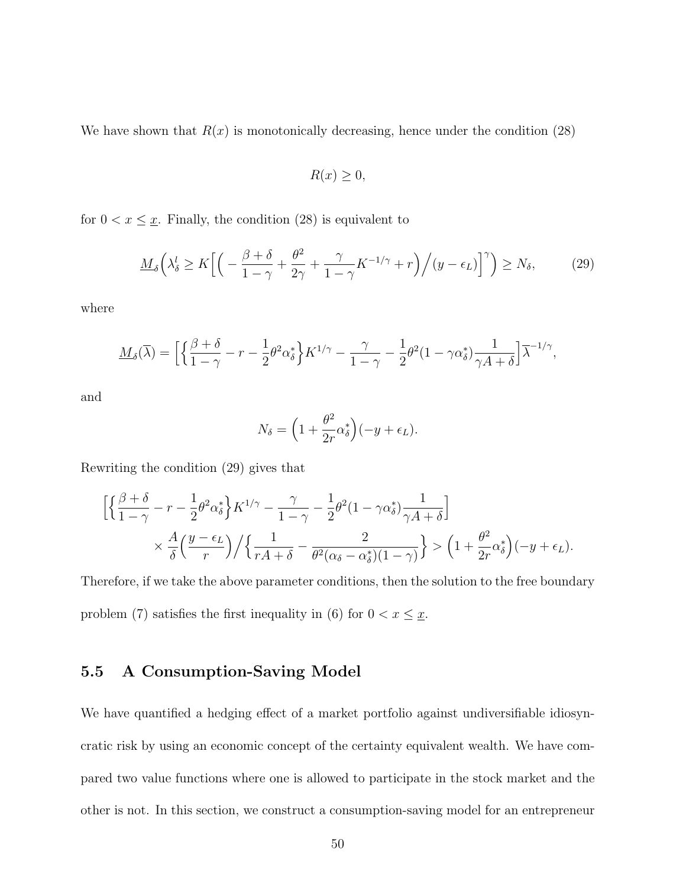We have shown that  $R(x)$  is monotonically decreasing, hence under the condition (28)

$$
R(x) \ge 0,
$$

for  $0 < x \leq \underline{x}$ . Finally, the condition (28) is equivalent to

$$
\underline{M}_{\delta}\left(\lambda_{\delta}^{l} \geq K\Big[\Big(-\frac{\beta+\delta}{1-\gamma}+\frac{\theta^{2}}{2\gamma}+\frac{\gamma}{1-\gamma}K^{-1/\gamma}+r\Big)\Big/(y-\epsilon_{L})\Big]^{\gamma}\right) \geq N_{\delta},\tag{29}
$$

where

$$
\underline{M}_{\delta}(\overline{\lambda}) = \Big[ \Big\{ \frac{\beta + \delta}{1 - \gamma} - r - \frac{1}{2} \theta^2 \alpha_{\delta}^* \Big\} K^{1/\gamma} - \frac{\gamma}{1 - \gamma} - \frac{1}{2} \theta^2 (1 - \gamma \alpha_{\delta}^*) \frac{1}{\gamma A + \delta} \Big] \overline{\lambda}^{-1/\gamma},
$$

and

$$
N_{\delta} = \left(1 + \frac{\theta^2}{2r} \alpha_{\delta}^*\right)(-y + \epsilon_L).
$$

Rewriting the condition (29) gives that

$$
\left[ \left\{ \frac{\beta+\delta}{1-\gamma} - r - \frac{1}{2} \theta^2 \alpha_{\delta}^* \right\} K^{1/\gamma} - \frac{\gamma}{1-\gamma} - \frac{1}{2} \theta^2 (1-\gamma \alpha_{\delta}^*) \frac{1}{\gamma A + \delta} \right] \times \frac{A}{\delta} \left( \frac{y-\epsilon_L}{r} \right) / \left\{ \frac{1}{rA+\delta} - \frac{2}{\theta^2 (\alpha_{\delta} - \alpha_{\delta}^*) (1-\gamma)} \right\} > \left( 1 + \frac{\theta^2}{2r} \alpha_{\delta}^* \right) (-y+\epsilon_L).
$$

Therefore, if we take the above parameter conditions, then the solution to the free boundary problem (7) satisfies the first inequality in (6) for  $0 < x \leq \underline{x}$ .

## 5.5 A Consumption-Saving Model

We have quantified a hedging effect of a market portfolio against undiversifiable idiosyncratic risk by using an economic concept of the certainty equivalent wealth. We have compared two value functions where one is allowed to participate in the stock market and the other is not. In this section, we construct a consumption-saving model for an entrepreneur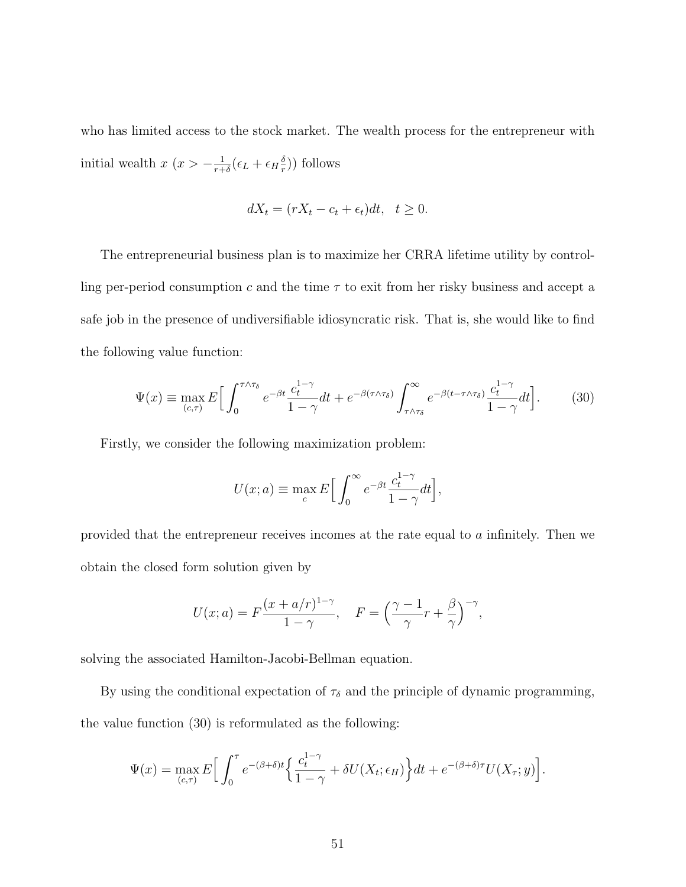who has limited access to the stock market. The wealth process for the entrepreneur with initial wealth  $x(x > -\frac{1}{r+1})$  $\frac{1}{r+\delta}(\epsilon_L+\epsilon_H\frac{\delta}{r}$  $(\frac{\delta}{r})$ ) follows

$$
dX_t = (rX_t - c_t + \epsilon_t)dt, \quad t \ge 0.
$$

The entrepreneurial business plan is to maximize her CRRA lifetime utility by controlling per-period consumption c and the time  $\tau$  to exit from her risky business and accept a safe job in the presence of undiversifiable idiosyncratic risk. That is, she would like to find the following value function:

$$
\Psi(x) \equiv \max_{(c,\tau)} E\Big[\int_0^{\tau \wedge \tau_\delta} e^{-\beta t} \frac{c_t^{1-\gamma}}{1-\gamma} dt + e^{-\beta(\tau \wedge \tau_\delta)} \int_{\tau \wedge \tau_\delta}^\infty e^{-\beta(t-\tau \wedge \tau_\delta)} \frac{c_t^{1-\gamma}}{1-\gamma} dt\Big].
$$
 (30)

Firstly, we consider the following maximization problem:

$$
U(x; a) \equiv \max_{c} E\Big[\int_0^\infty e^{-\beta t} \frac{c_t^{1-\gamma}}{1-\gamma} dt\Big],
$$

provided that the entrepreneur receives incomes at the rate equal to a infinitely. Then we obtain the closed form solution given by

$$
U(x;a) = F\frac{(x+a/r)^{1-\gamma}}{1-\gamma}, \quad F = \left(\frac{\gamma-1}{\gamma}r + \frac{\beta}{\gamma}\right)^{-\gamma},
$$

solving the associated Hamilton-Jacobi-Bellman equation.

By using the conditional expectation of  $\tau_{\delta}$  and the principle of dynamic programming, the value function (30) is reformulated as the following:

$$
\Psi(x) = \max_{(c,\tau)} E\Big[\int_0^{\tau} e^{-(\beta+\delta)t} \Big\{\frac{c_t^{1-\gamma}}{1-\gamma} + \delta U(X_t; \epsilon_H)\Big\} dt + e^{-(\beta+\delta)\tau} U(X_\tau; y)\Big].
$$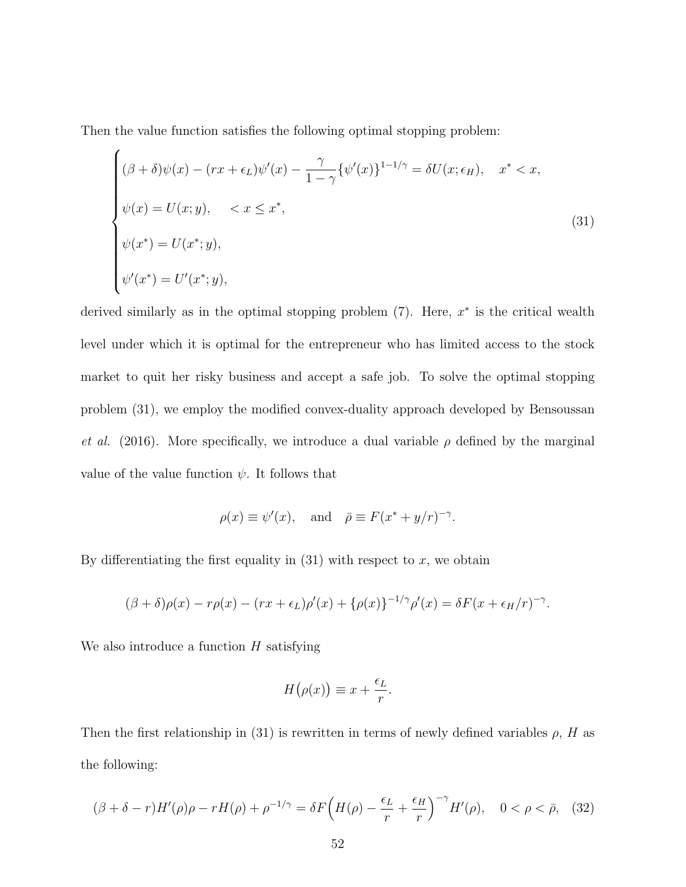Then the value function satisfies the following optimal stopping problem:

$$
\begin{cases}\n(\beta + \delta)\psi(x) - (rx + \epsilon_L)\psi'(x) - \frac{\gamma}{1 - \gamma}\{\psi'(x)\}^{1 - 1/\gamma} = \delta U(x; \epsilon_H), & x^* < x, \\
\psi(x) = U(x; y), & < x \le x^*, \\
\psi(x^*) = U(x^*; y), \\
\psi'(x^*) = U'(x^*; y),\n\end{cases}
$$
\n(31)

derived similarly as in the optimal stopping problem  $(7)$ . Here,  $x^*$  is the critical wealth level under which it is optimal for the entrepreneur who has limited access to the stock market to quit her risky business and accept a safe job. To solve the optimal stopping problem (31), we employ the modified convex-duality approach developed by Bensoussan *et al.* (2016). More specifically, we introduce a dual variable  $\rho$  defined by the marginal value of the value function  $\psi$ . It follows that

$$
\rho(x) \equiv \psi'(x)
$$
, and  $\bar{\rho} \equiv F(x^* + y/r)^{-\gamma}$ .

By differentiating the first equality in  $(31)$  with respect to x, we obtain

$$
(\beta + \delta)\rho(x) - r\rho(x) - (rx + \epsilon_L)\rho'(x) + {\rho(x)}^{-1/\gamma}\rho'(x) = \delta F(x + \epsilon_H/r)^{-\gamma}.
$$

We also introduce a function  $H$  satisfying

$$
H(\rho(x)) \equiv x + \frac{\epsilon_L}{r}.
$$

Then the first relationship in (31) is rewritten in terms of newly defined variables  $\rho$ , H as the following:

$$
(\beta + \delta - r)H'(\rho)\rho - rH(\rho) + \rho^{-1/\gamma} = \delta F\left(H(\rho) - \frac{\epsilon_L}{r} + \frac{\epsilon_H}{r}\right)^{-\gamma}H'(\rho), \quad 0 < \rho < \bar{\rho}, \tag{32}
$$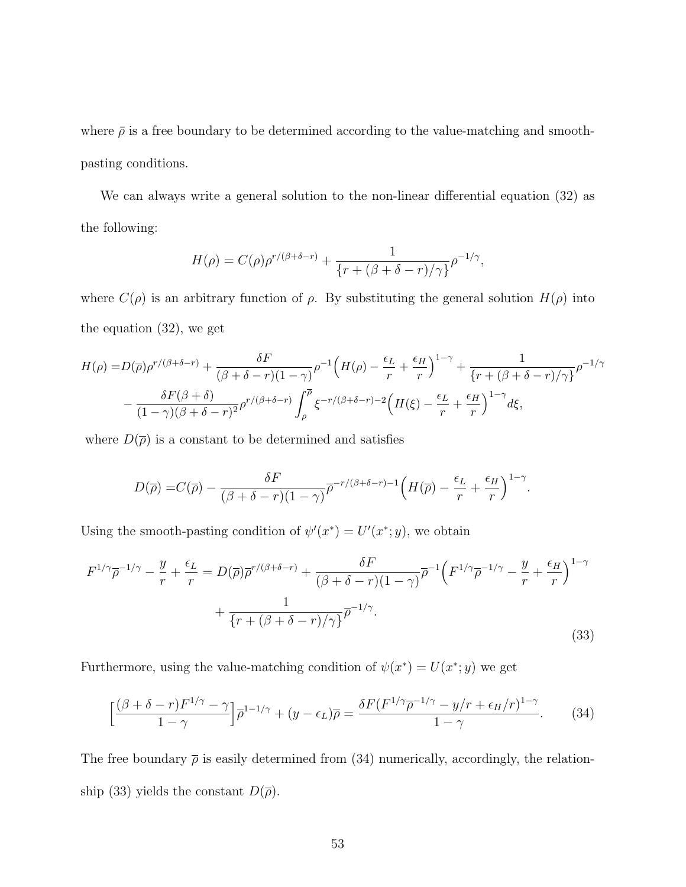where  $\bar{\rho}$  is a free boundary to be determined according to the value-matching and smoothpasting conditions.

We can always write a general solution to the non-linear differential equation (32) as the following:

$$
H(\rho) = C(\rho)\rho^{r/(\beta+\delta-r)} + \frac{1}{\{r+(\beta+\delta-r)/\gamma\}}\rho^{-1/\gamma},
$$

where  $C(\rho)$  is an arbitrary function of  $\rho$ . By substituting the general solution  $H(\rho)$  into the equation (32), we get

$$
H(\rho) = D(\overline{\rho})\rho^{r/(\beta+\delta-r)} + \frac{\delta F}{(\beta+\delta-r)(1-\gamma)}\rho^{-1}\left(H(\rho) - \frac{\epsilon_L}{r} + \frac{\epsilon_H}{r}\right)^{1-\gamma} + \frac{1}{\{r+(\beta+\delta-r)/\gamma\}}\rho^{-1/\gamma} - \frac{\delta F(\beta+\delta)}{(1-\gamma)(\beta+\delta-r)^2}\rho^{r/(\beta+\delta-r)}\int_{\rho}^{\overline{\rho}} \xi^{-r/(\beta+\delta-r)-2}\left(H(\xi) - \frac{\epsilon_L}{r} + \frac{\epsilon_H}{r}\right)^{1-\gamma}d\xi,
$$

where  $D(\bar{\rho})$  is a constant to be determined and satisfies

$$
D(\overline{\rho}) = C(\overline{\rho}) - \frac{\delta F}{(\beta + \delta - r)(1 - \gamma)} \overline{\rho}^{-r/(\beta + \delta - r) - 1} \Big( H(\overline{\rho}) - \frac{\epsilon_L}{r} + \frac{\epsilon_H}{r} \Big)^{1 - \gamma}.
$$

Using the smooth-pasting condition of  $\psi'(x^*) = U'(x^*; y)$ , we obtain

$$
F^{1/\gamma}\overline{\rho}^{-1/\gamma} - \frac{y}{r} + \frac{\epsilon_L}{r} = D(\overline{\rho})\overline{\rho}^{r/(\beta+\delta-r)} + \frac{\delta F}{(\beta+\delta-r)(1-\gamma)}\overline{\rho}^{-1}\left(F^{1/\gamma}\overline{\rho}^{-1/\gamma} - \frac{y}{r} + \frac{\epsilon_H}{r}\right)^{1-\gamma} + \frac{1}{\left\{r + (\beta+\delta-r)/\gamma\right\}}\overline{\rho}^{-1/\gamma}.
$$
\n(33)

Furthermore, using the value-matching condition of  $\psi(x^*) = U(x^*; y)$  we get

$$
\left[\frac{(\beta+\delta-r)F^{1/\gamma}-\gamma}{1-\gamma}\right]\overline{\rho}^{1-1/\gamma}+(y-\epsilon_L)\overline{\rho}=\frac{\delta F(F^{1/\gamma}\overline{\rho}^{-1/\gamma}-y/r+\epsilon_H/r)^{1-\gamma}}{1-\gamma}.\tag{34}
$$

The free boundary  $\bar{\rho}$  is easily determined from (34) numerically, accordingly, the relationship (33) yields the constant  $D(\overline{\rho})$ .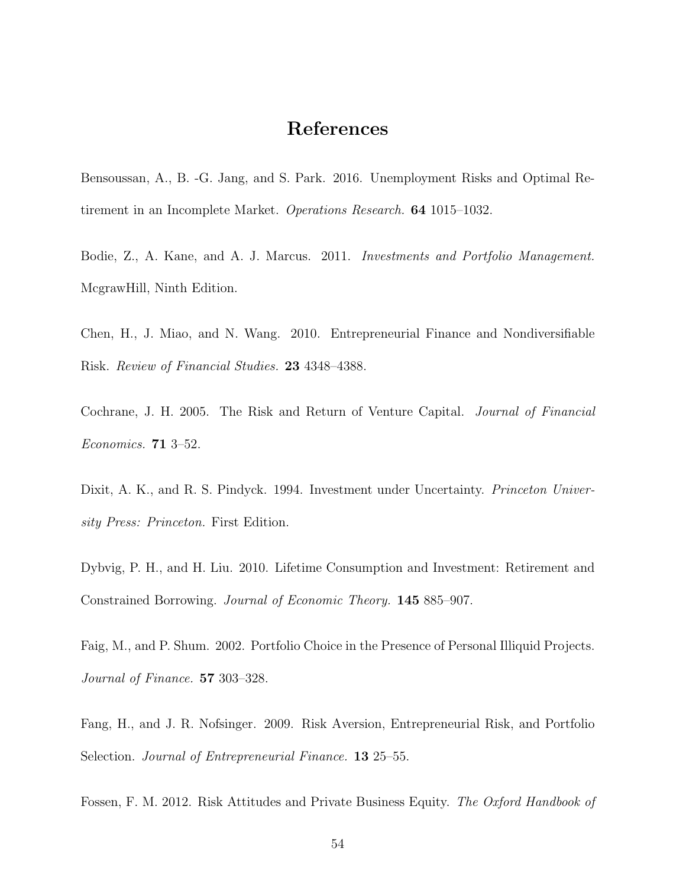## References

Bensoussan, A., B. -G. Jang, and S. Park. 2016. Unemployment Risks and Optimal Retirement in an Incomplete Market. Operations Research. 64 1015–1032.

Bodie, Z., A. Kane, and A. J. Marcus. 2011. Investments and Portfolio Management. McgrawHill, Ninth Edition.

Chen, H., J. Miao, and N. Wang. 2010. Entrepreneurial Finance and Nondiversifiable Risk. Review of Financial Studies. 23 4348–4388.

Cochrane, J. H. 2005. The Risk and Return of Venture Capital. Journal of Financial Economics. 71 3–52.

Dixit, A. K., and R. S. Pindyck. 1994. Investment under Uncertainty. *Princeton Univer*sity Press: Princeton. First Edition.

Dybvig, P. H., and H. Liu. 2010. Lifetime Consumption and Investment: Retirement and Constrained Borrowing. Journal of Economic Theory. 145 885–907.

Faig, M., and P. Shum. 2002. Portfolio Choice in the Presence of Personal Illiquid Projects. Journal of Finance. 57 303–328.

Fang, H., and J. R. Nofsinger. 2009. Risk Aversion, Entrepreneurial Risk, and Portfolio Selection. *Journal of Entrepreneurial Finance*. **13** 25–55.

Fossen, F. M. 2012. Risk Attitudes and Private Business Equity. The Oxford Handbook of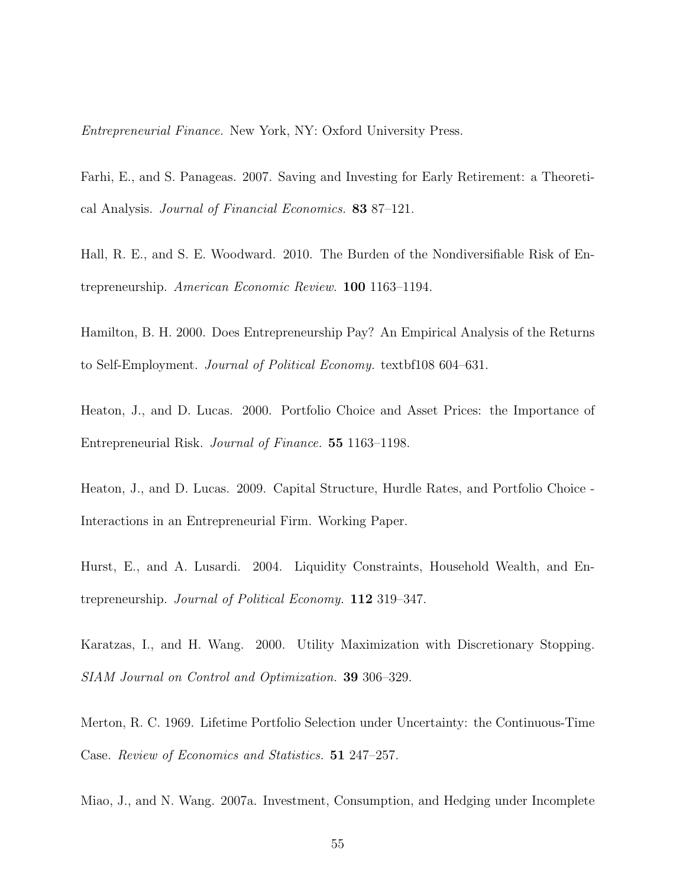Entrepreneurial Finance. New York, NY: Oxford University Press.

Farhi, E., and S. Panageas. 2007. Saving and Investing for Early Retirement: a Theoretical Analysis. Journal of Financial Economics. 83 87–121.

Hall, R. E., and S. E. Woodward. 2010. The Burden of the Nondiversifiable Risk of Entrepreneurship. American Economic Review. 100 1163–1194.

Hamilton, B. H. 2000. Does Entrepreneurship Pay? An Empirical Analysis of the Returns to Self-Employment. Journal of Political Economy. textbf108 604–631.

Heaton, J., and D. Lucas. 2000. Portfolio Choice and Asset Prices: the Importance of Entrepreneurial Risk. Journal of Finance. 55 1163–1198.

Heaton, J., and D. Lucas. 2009. Capital Structure, Hurdle Rates, and Portfolio Choice - Interactions in an Entrepreneurial Firm. Working Paper.

Hurst, E., and A. Lusardi. 2004. Liquidity Constraints, Household Wealth, and Entrepreneurship. Journal of Political Economy. 112 319–347.

Karatzas, I., and H. Wang. 2000. Utility Maximization with Discretionary Stopping. SIAM Journal on Control and Optimization. 39 306–329.

Merton, R. C. 1969. Lifetime Portfolio Selection under Uncertainty: the Continuous-Time Case. Review of Economics and Statistics. 51 247–257.

Miao, J., and N. Wang. 2007a. Investment, Consumption, and Hedging under Incomplete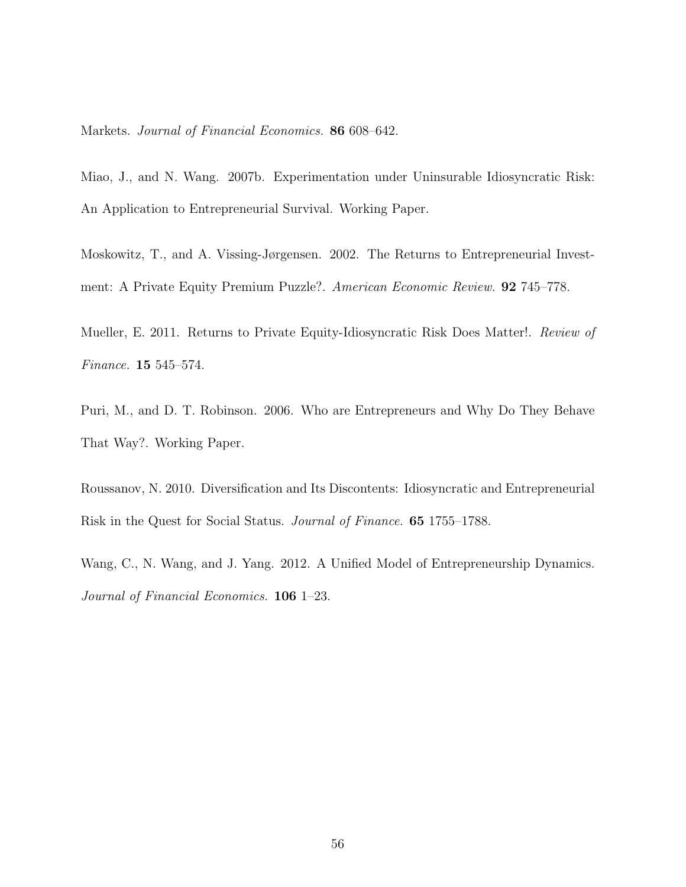Markets. Journal of Financial Economics. 86 608–642.

Miao, J., and N. Wang. 2007b. Experimentation under Uninsurable Idiosyncratic Risk: An Application to Entrepreneurial Survival. Working Paper.

Moskowitz, T., and A. Vissing-Jørgensen. 2002. The Returns to Entrepreneurial Investment: A Private Equity Premium Puzzle?. American Economic Review. 92 745–778.

Mueller, E. 2011. Returns to Private Equity-Idiosyncratic Risk Does Matter!. Review of Finance. 15 545–574.

Puri, M., and D. T. Robinson. 2006. Who are Entrepreneurs and Why Do They Behave That Way?. Working Paper.

Roussanov, N. 2010. Diversification and Its Discontents: Idiosyncratic and Entrepreneurial Risk in the Quest for Social Status. Journal of Finance. 65 1755–1788.

Wang, C., N. Wang, and J. Yang. 2012. A Unified Model of Entrepreneurship Dynamics. Journal of Financial Economics. 106 1–23.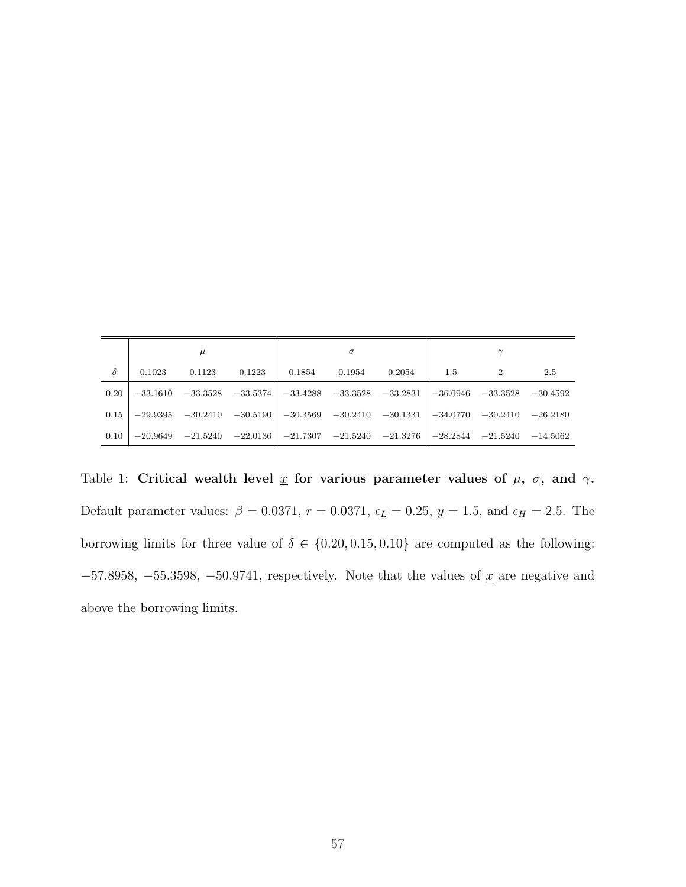|      | μ          |                                  |                                  | $\sigma$    |            |                                  | $\sim$                           |  |            |
|------|------------|----------------------------------|----------------------------------|-------------|------------|----------------------------------|----------------------------------|--|------------|
| δ    | 0.1023     | 0.1123                           | 0.1223                           | 0.1854      | 0.1954     | 0.2054                           | $1.5\,$                          |  | 2.5        |
| 0.20 | $-33.1610$ |                                  | $-33.3528$ $-33.5374$ $-33.4288$ |             | $-33.3528$ | $-33.2831$ $-36.0946$ $-33.3528$ |                                  |  | $-30.4592$ |
| 0.15 | $-29.9395$ | $-30.2410$ $-30.5190$ $-30.3569$ |                                  |             | $-30.2410$ |                                  | $-30.1331$ $-34.0770$ $-30.2410$ |  | $-26.2180$ |
| 0.10 | $-20.9649$ | $-21.5240$ $-22.0136$            |                                  | $ -21.7307$ | $-21.5240$ | $-21.3276$                       | $-28.2844$ $-21.5240$            |  | $-14.5062$ |

Table 1: Critical wealth level  $\underline{x}$  for various parameter values of  $\mu$ ,  $\sigma$ , and  $\gamma$ . Default parameter values:  $\beta = 0.0371$ ,  $r = 0.0371$ ,  $\epsilon_L = 0.25$ ,  $y = 1.5$ , and  $\epsilon_H = 2.5$ . The borrowing limits for three value of  $\delta \in \{0.20, 0.15, 0.10\}$  are computed as the following:  $-57.8958, -55.3598, -50.9741$ , respectively. Note that the values of  $\underline{x}$  are negative and above the borrowing limits.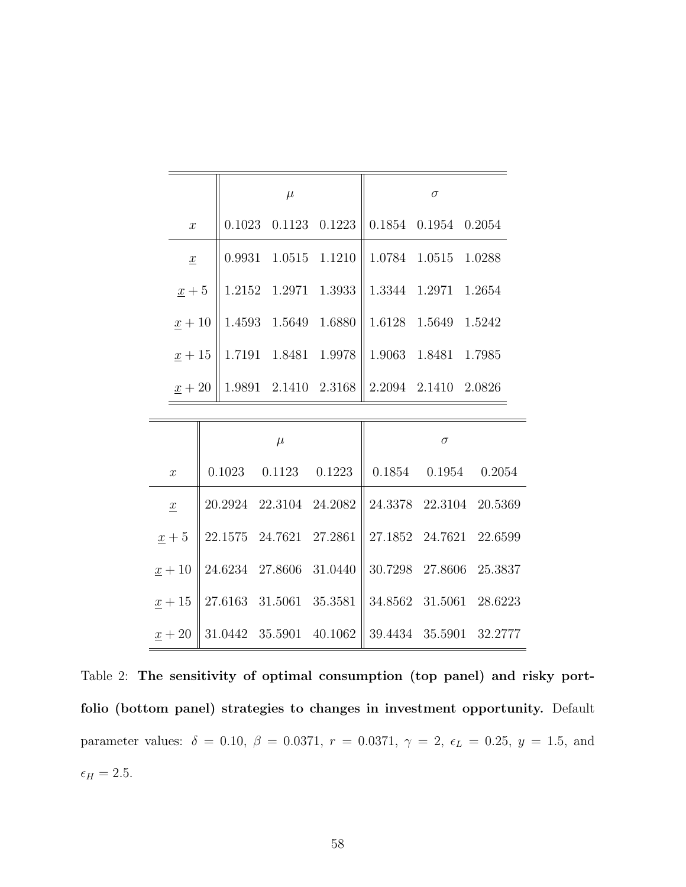|                      |                                                                    | $\mu$ |                                                                               | $\sigma$ |  |  |  |
|----------------------|--------------------------------------------------------------------|-------|-------------------------------------------------------------------------------|----------|--|--|--|
| $\boldsymbol{x}$     |                                                                    |       | $0.1023$ $0.1123$ $0.1223$ 0.1854 0.1954 0.2054                               |          |  |  |  |
| $\underline{x}$      |                                                                    |       | $0.9931 \quad 1.0515 \quad 1.1210 \parallel 1.0784 \quad 1.0515 \quad 1.0288$ |          |  |  |  |
|                      | $\underline{x} + 5$   1.2152 1.2971 1.3933   1.3344 1.2971 1.2654  |       |                                                                               |          |  |  |  |
| $\underline{x}+10$   | $\parallel$ 1.4593 1.5649 1.6880 $\parallel$ 1.6128 1.5649 1.5242  |       |                                                                               |          |  |  |  |
|                      | $\underline{x} + 15$   1.7191 1.8481 1.9978   1.9063 1.8481 1.7985 |       |                                                                               |          |  |  |  |
| $\underline{x} + 20$ |                                                                    |       | $1.9891$ $2.1410$ $2.3168$ $2.2094$ $2.1410$ $2.0826$                         |          |  |  |  |

|                 | $\mu$                      |                                                   | $\sigma$ |                            |  |  |
|-----------------|----------------------------|---------------------------------------------------|----------|----------------------------|--|--|
| $\mathcal{X}$   | $0.1023$ $0.1123$ $0.1223$ |                                                   |          | $0.1854$ $0.1954$ $0.2054$ |  |  |
| $\underline{x}$ |                            | $20.2924$ 22.3104 24.2082 24.3378 22.3104 20.5369 |          |                            |  |  |
| $x+5$           |                            | 22.1575 24.7621 27.2861 27.1852 24.7621 22.6599   |          |                            |  |  |
| $x+10$          | 24.6234 27.8606 31.0440    |                                                   |          | 30.7298 27.8606 25.3837    |  |  |
| $x+15$          | 27.6163 31.5061 35.3581    |                                                   |          | 34.8562 31.5061 28.6223    |  |  |
| $x+20$          | 31.0442 35.5901 40.1062    |                                                   |          | 39.4434 35.5901 32.2777    |  |  |

Table 2: The sensitivity of optimal consumption (top panel) and risky portfolio (bottom panel) strategies to changes in investment opportunity. Default parameter values:  $\delta = 0.10, \ \beta = 0.0371, \ r = 0.0371, \ \gamma = 2, \ \epsilon_L = 0.25, \ y = 1.5, \text{ and}$  $\epsilon_H=2.5.$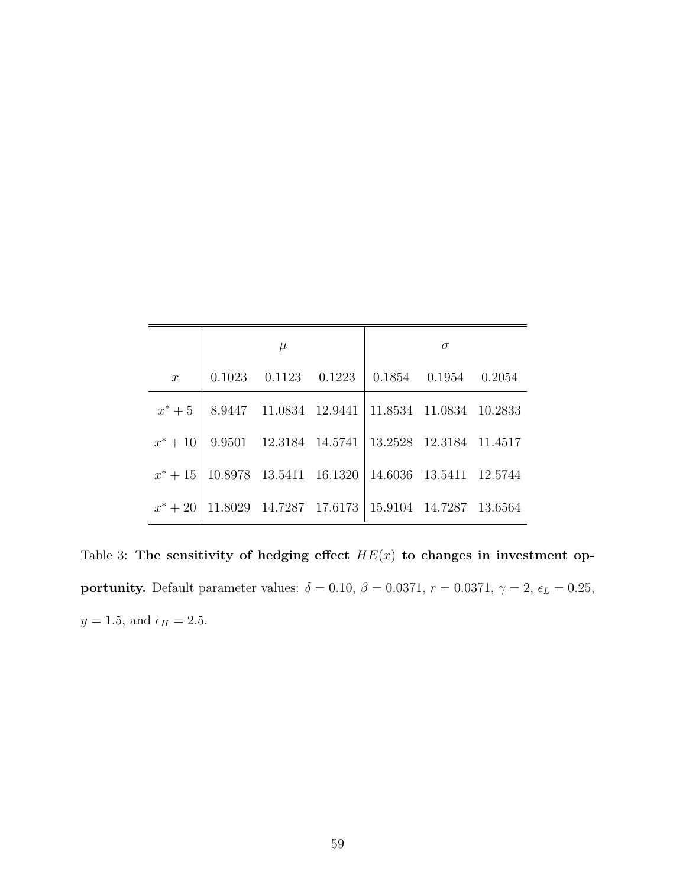|               | $\mu$ | $\sigma$ |                                                                        |  |  |
|---------------|-------|----------|------------------------------------------------------------------------|--|--|
| $\mathcal{X}$ |       |          | $0.1023$ $0.1123$ $0.1223$ $0.1854$ $0.1954$ $0.2054$                  |  |  |
|               |       |          | $x^* + 5$   8.9447 11.0834 12.9441   11.8534 11.0834 10.2833           |  |  |
|               |       |          | $x^* + 10$   9.9501 12.3184 14.5741   13.2528 12.3184 11.4517          |  |  |
|               |       |          | $x^* + 15   10.8978   13.5411   16.1320   14.6036   13.5411   12.5744$ |  |  |
| $x^* + 20$    |       |          | 11.8029 14.7287 17.6173   15.9104 14.7287 13.6564                      |  |  |

Table 3: The sensitivity of hedging effect  $HE(x)$  to changes in investment opportunity. Default parameter values:  $\delta = 0.10, \beta = 0.0371, r = 0.0371, \gamma = 2, \epsilon_L = 0.25,$  $y=1.5,$  and  $\epsilon_H=2.5.$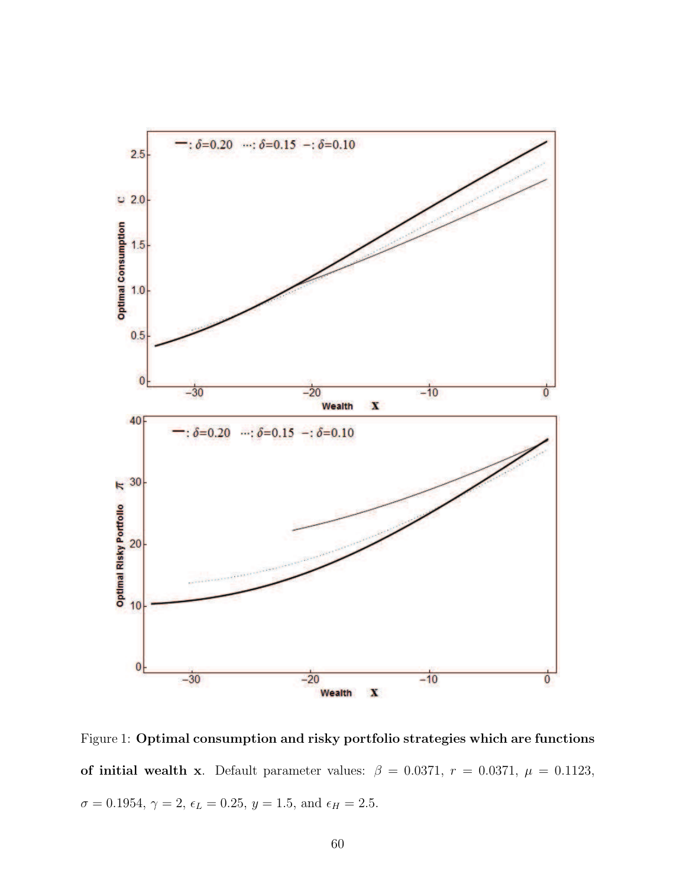

Figure 1: Optimal consumption and risky portfolio strategies which are functions of initial wealth x. Default parameter values:  $\beta = 0.0371$ ,  $r = 0.0371$ ,  $\mu = 0.1123$ ,  $\sigma=0.1954,\, \gamma=2,\, \epsilon_L=0.25,\, y=1.5,$  and  $\epsilon_H=2.5.$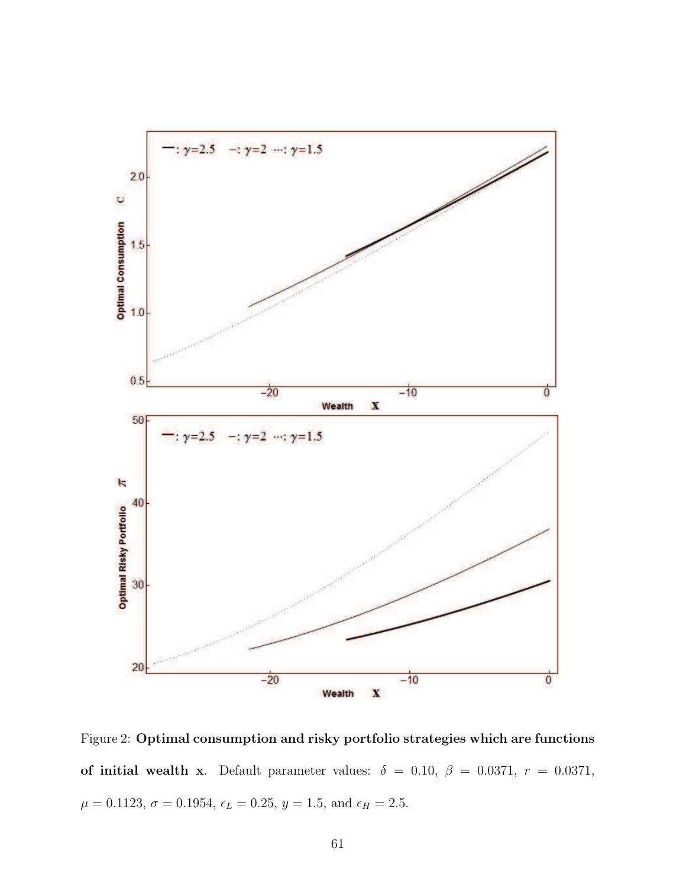

Figure 2: Optimal consumption and risky portfolio strategies which are functions of initial wealth x. Default parameter values:  $\delta = 0.10, \ \beta = 0.0371, \ r = 0.0371,$  $\mu = 0.1123, \, \sigma = 0.1954, \, \epsilon_L = 0.25, \, y = 1.5, \, \mathrm{and} \, \, \epsilon_H = 2.5.$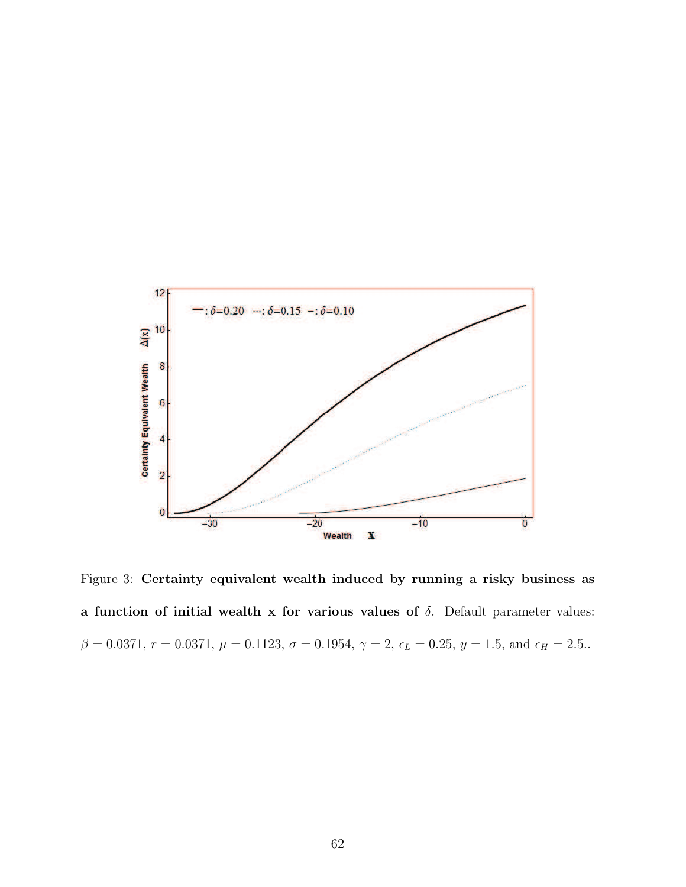

Figure 3: Certainty equivalent wealth induced by running a risky business as a function of initial wealth x for various values of  $\delta$ . Default parameter values:  $β = 0.0371, r = 0.0371, μ = 0.1123, σ = 0.1954, γ = 2, ε<sub>L</sub> = 0.25, y = 1.5, and ε<sub>H</sub> = 2.5.$ .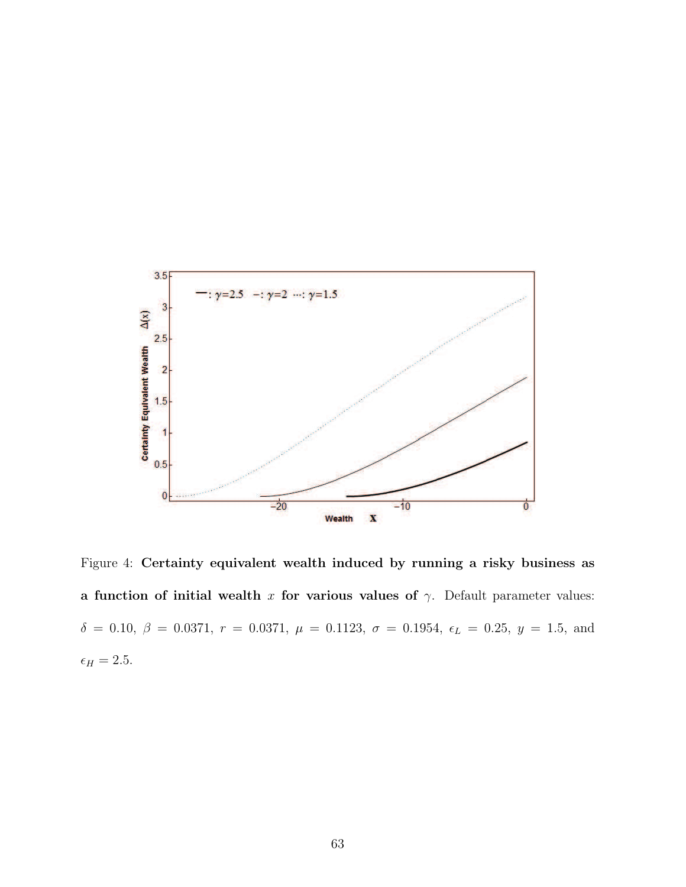

Figure 4: Certainty equivalent wealth induced by running a risky business as a function of initial wealth x for various values of  $\gamma$ . Default parameter values: δ = 0.10,  $β = 0.0371$ ,  $r = 0.0371$ ,  $μ = 0.1123$ ,  $σ = 0.1954$ ,  $ε<sub>L</sub> = 0.25$ ,  $y = 1.5$ , and  $\epsilon_H=2.5.$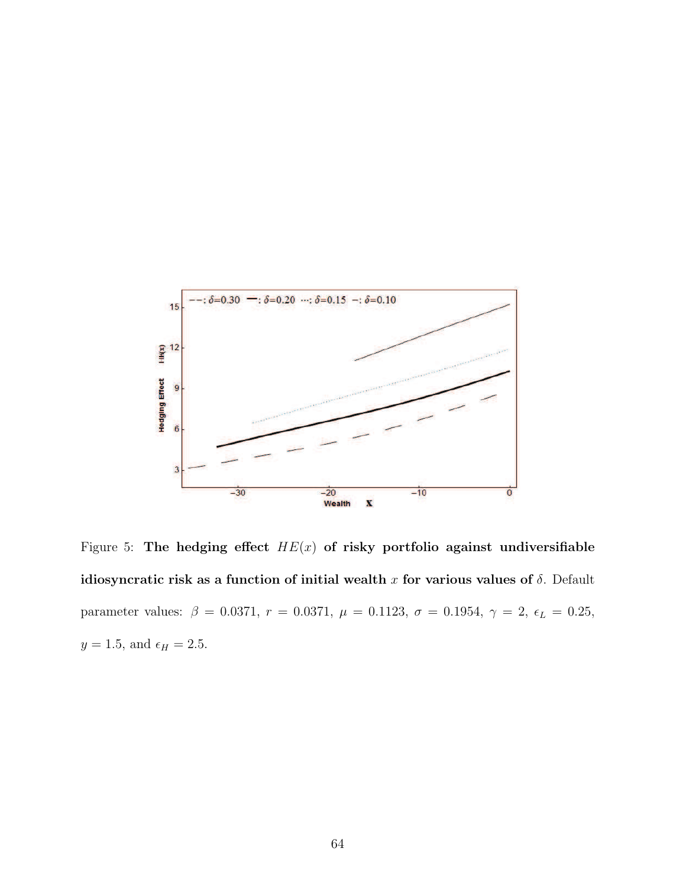

Figure 5: The hedging effect  $HE(x)$  of risky portfolio against undiversifiable idiosyncratic risk as a function of initial wealth x for various values of  $\delta$ . Default parameter values:  $\beta = 0.0371$ ,  $r = 0.0371$ ,  $\mu = 0.1123$ ,  $\sigma = 0.1954$ ,  $\gamma = 2$ ,  $\epsilon_L = 0.25$ ,  $y = 1.5$ , and  $\epsilon_H = 2.5$ .